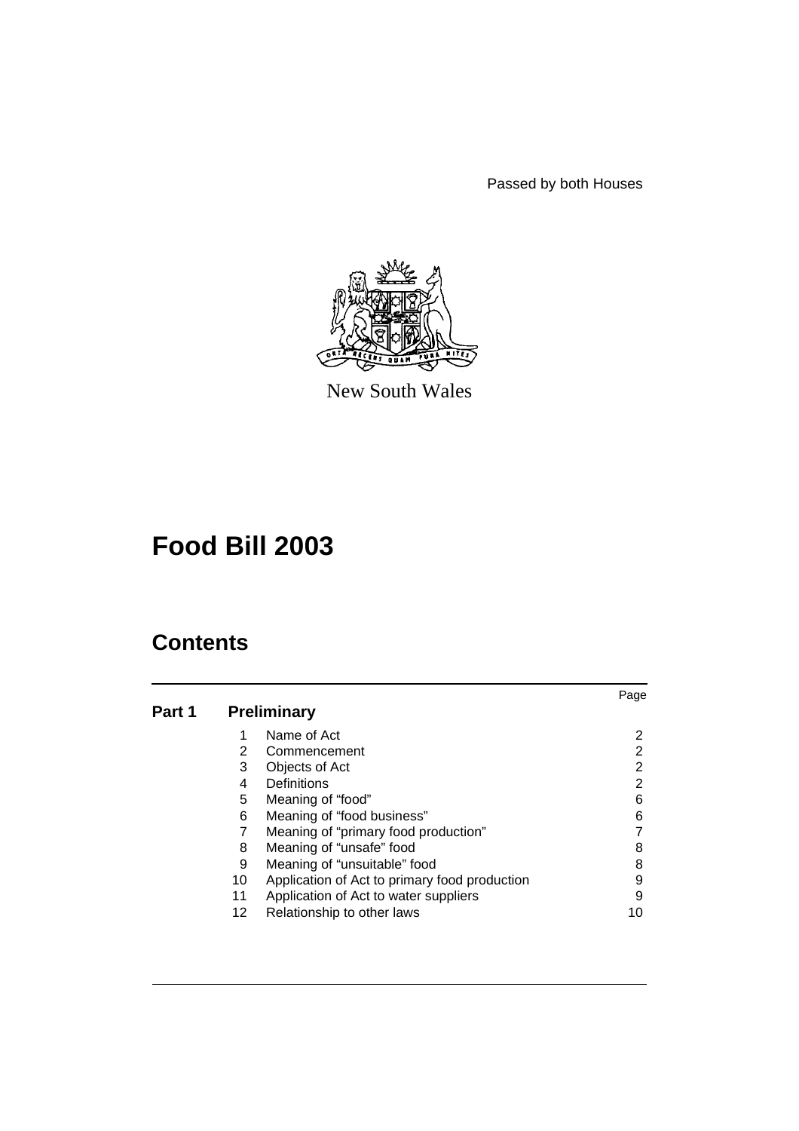Passed by both Houses



New South Wales

# **Food Bill 2003**

|        |    |                                               | Page |
|--------|----|-----------------------------------------------|------|
| Part 1 |    | <b>Preliminary</b>                            |      |
|        | 1  | Name of Act                                   | 2    |
|        | 2  | Commencement                                  | 2    |
|        | 3  | Objects of Act                                | 2    |
|        | 4  | Definitions                                   | 2    |
|        | 5  | Meaning of "food"                             | 6    |
|        | 6  | Meaning of "food business"                    | 6    |
|        |    | Meaning of "primary food production"          |      |
|        | 8  | Meaning of "unsafe" food                      | 8    |
|        | 9  | Meaning of "unsuitable" food                  | 8    |
|        | 10 | Application of Act to primary food production | 9    |
|        | 11 | Application of Act to water suppliers         | 9    |
|        | 12 | Relationship to other laws                    | 10   |
|        |    |                                               |      |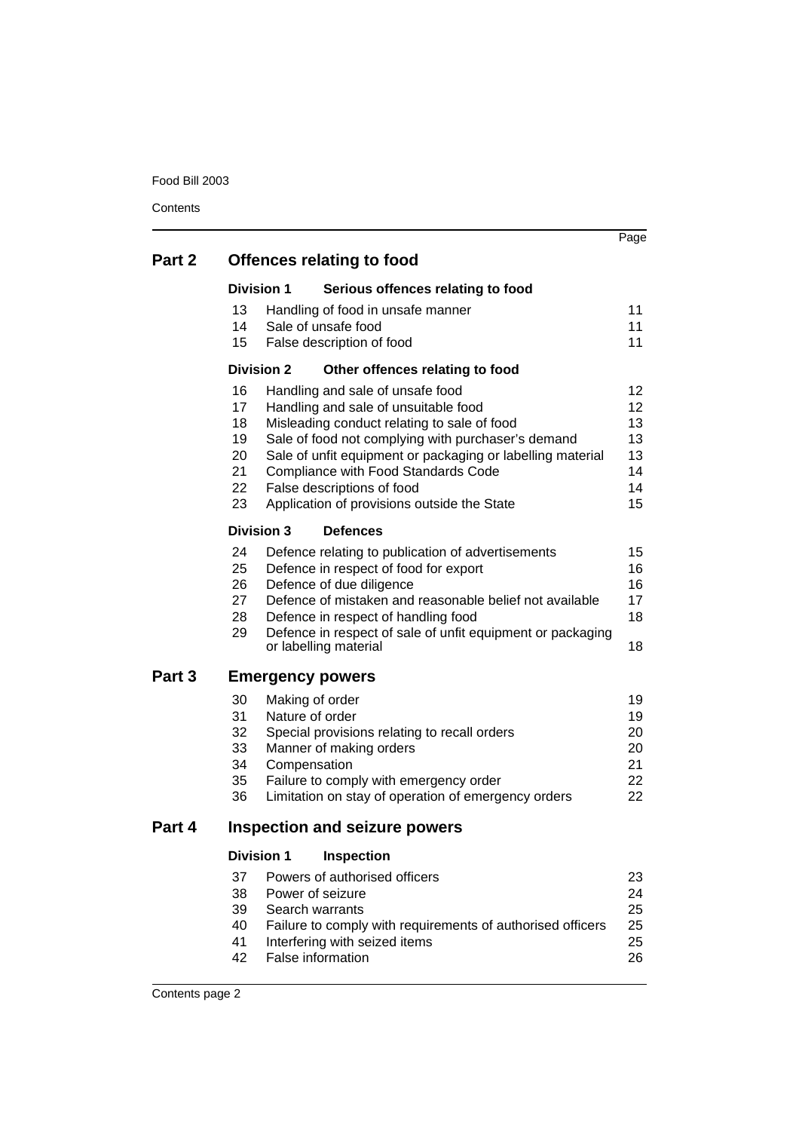|        |                               |                   |                                                                                                   | Page            |  |  |  |
|--------|-------------------------------|-------------------|---------------------------------------------------------------------------------------------------|-----------------|--|--|--|
| Part 2 |                               |                   | <b>Offences relating to food</b>                                                                  |                 |  |  |  |
|        |                               | <b>Division 1</b> | Serious offences relating to food                                                                 |                 |  |  |  |
|        | 13                            |                   | Handling of food in unsafe manner                                                                 | 11              |  |  |  |
|        | 14                            |                   | Sale of unsafe food                                                                               | 11              |  |  |  |
|        | 15 <sub>15</sub>              |                   | False description of food                                                                         | 11              |  |  |  |
|        |                               | <b>Division 2</b> | Other offences relating to food                                                                   |                 |  |  |  |
|        | 16                            |                   | Handling and sale of unsafe food                                                                  | 12              |  |  |  |
|        | 17<br>18                      |                   | Handling and sale of unsuitable food                                                              | 12 <sup>2</sup> |  |  |  |
|        | 19                            |                   | Misleading conduct relating to sale of food<br>Sale of food not complying with purchaser's demand | 13<br>13        |  |  |  |
|        | 20                            |                   | Sale of unfit equipment or packaging or labelling material                                        | 13              |  |  |  |
|        | 21                            |                   | Compliance with Food Standards Code                                                               | 14              |  |  |  |
|        | 22                            |                   | False descriptions of food                                                                        | 14              |  |  |  |
|        | 23                            |                   | Application of provisions outside the State                                                       | 15              |  |  |  |
|        | Division 3<br><b>Defences</b> |                   |                                                                                                   |                 |  |  |  |
|        | 24                            |                   | Defence relating to publication of advertisements                                                 | 15              |  |  |  |
|        | 25                            |                   | Defence in respect of food for export                                                             | 16              |  |  |  |
|        | 26<br>27                      |                   | Defence of due diligence<br>Defence of mistaken and reasonable belief not available               | 16<br>17        |  |  |  |
|        | 28                            |                   | Defence in respect of handling food                                                               | 18              |  |  |  |
|        | 29                            |                   | Defence in respect of sale of unfit equipment or packaging<br>or labelling material               | 18              |  |  |  |
| Part 3 |                               |                   | <b>Emergency powers</b>                                                                           |                 |  |  |  |
|        | 30                            |                   | Making of order                                                                                   | 19              |  |  |  |
|        | 31                            |                   | Nature of order                                                                                   | 19              |  |  |  |
|        | 32                            |                   | Special provisions relating to recall orders                                                      | 20              |  |  |  |
|        | 33                            |                   | Manner of making orders                                                                           | 20<br>21        |  |  |  |
|        | 34<br>35                      |                   | Compensation<br>Failure to comply with emergency order                                            | 22              |  |  |  |
|        | 36                            |                   | Limitation on stay of operation of emergency orders                                               | 22              |  |  |  |
| Part 4 |                               |                   | <b>Inspection and seizure powers</b>                                                              |                 |  |  |  |
|        |                               | <b>Division 1</b> | Inspection                                                                                        |                 |  |  |  |
|        | 37                            |                   | Powers of authorised officers                                                                     | 23              |  |  |  |
|        | 38                            |                   | Power of seizure                                                                                  | 24              |  |  |  |
|        | 39                            |                   | Search warrants                                                                                   | 25              |  |  |  |
|        | 40<br>41                      |                   | Failure to comply with requirements of authorised officers<br>Interfering with seized items       | 25<br>25        |  |  |  |
|        | 42                            |                   | False information                                                                                 | 26              |  |  |  |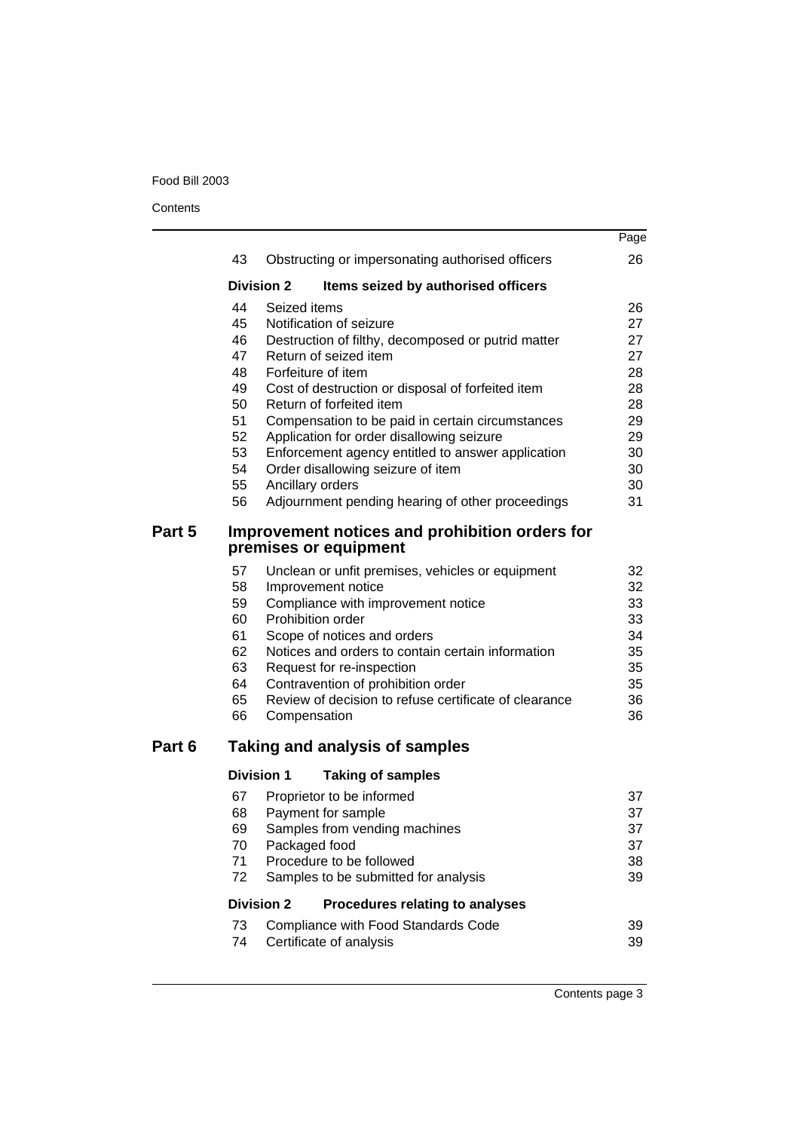|        |          |                   |                                                                                               | Page     |
|--------|----------|-------------------|-----------------------------------------------------------------------------------------------|----------|
|        | 43       |                   | Obstructing or impersonating authorised officers                                              | 26       |
|        |          | <b>Division 2</b> | Items seized by authorised officers                                                           |          |
|        | 44       | Seized items      |                                                                                               | 26       |
|        | 45       |                   | Notification of seizure                                                                       | 27       |
|        | 46       |                   | Destruction of filthy, decomposed or putrid matter                                            | 27       |
|        | 47       |                   | Return of seized item                                                                         | 27       |
|        | 48       |                   | Forfeiture of item                                                                            | 28       |
|        | 49       |                   | Cost of destruction or disposal of forfeited item                                             | 28       |
|        | 50<br>51 |                   | Return of forfeited item                                                                      | 28<br>29 |
|        | 52       |                   | Compensation to be paid in certain circumstances<br>Application for order disallowing seizure | 29       |
|        | 53       |                   | Enforcement agency entitled to answer application                                             | 30       |
|        | 54       |                   | Order disallowing seizure of item                                                             | 30       |
|        | 55       |                   | Ancillary orders                                                                              | 30       |
|        | 56       |                   | Adjournment pending hearing of other proceedings                                              | 31       |
| Part 5 |          |                   | Improvement notices and prohibition orders for<br>premises or equipment                       |          |
|        | 57       |                   | Unclean or unfit premises, vehicles or equipment                                              | 32       |
|        | 58       |                   | Improvement notice                                                                            | 32       |
|        | 59       |                   | Compliance with improvement notice                                                            | 33       |
|        | 60       |                   | Prohibition order                                                                             | 33       |
|        | 61       |                   | Scope of notices and orders                                                                   | 34       |
|        | 62       |                   | Notices and orders to contain certain information                                             | 35       |
|        | 63       |                   | Request for re-inspection                                                                     | 35       |
|        | 64       |                   | Contravention of prohibition order<br>Review of decision to refuse certificate of clearance   | 35<br>36 |
|        | 65<br>66 |                   |                                                                                               | 36       |
|        |          |                   | Compensation                                                                                  |          |
| Part 6 |          |                   | <b>Taking and analysis of samples</b>                                                         |          |
|        |          | <b>Division 1</b> | <b>Taking of samples</b>                                                                      |          |
|        | 67       |                   | Proprietor to be informed                                                                     | 37       |
|        | 68       |                   | Payment for sample                                                                            | 37       |
|        | 69       |                   | Samples from vending machines                                                                 | 37       |
|        | 70       |                   | Packaged food                                                                                 | 37       |
|        | 71<br>72 |                   | Procedure to be followed<br>Samples to be submitted for analysis                              | 38<br>39 |
|        |          | <b>Division 2</b> | Procedures relating to analyses                                                               |          |
|        | 73       |                   | Compliance with Food Standards Code                                                           | 39       |
|        | 74       |                   | Certificate of analysis                                                                       | 39       |
|        |          |                   |                                                                                               |          |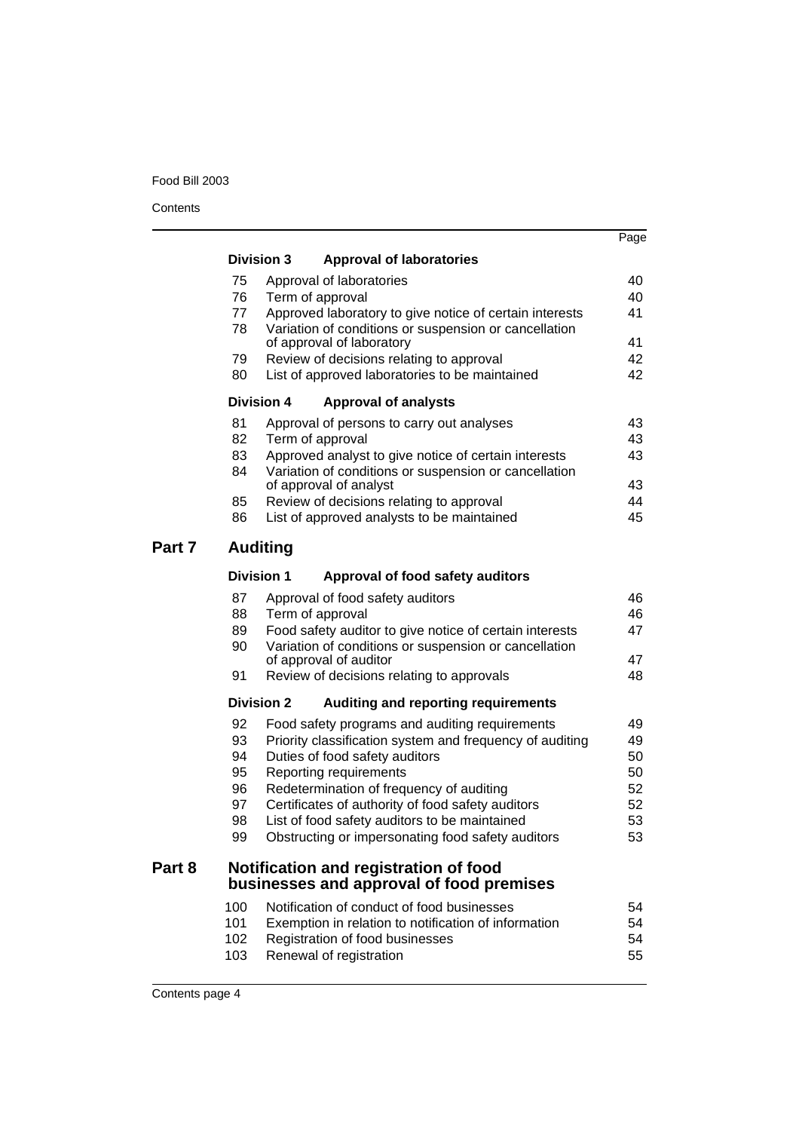**Contents** 

|        |     |                                                                                   | Page |
|--------|-----|-----------------------------------------------------------------------------------|------|
|        |     | <b>Division 3</b><br><b>Approval of laboratories</b>                              |      |
|        | 75  | Approval of laboratories                                                          | 40   |
|        | 76  | Term of approval                                                                  | 40   |
|        | 77  | Approved laboratory to give notice of certain interests                           | 41   |
|        | 78  | Variation of conditions or suspension or cancellation                             | 41   |
|        | 79  | of approval of laboratory<br>Review of decisions relating to approval             | 42   |
|        | 80  | List of approved laboratories to be maintained                                    | 42   |
|        |     | <b>Division 4</b><br><b>Approval of analysts</b>                                  |      |
|        | 81  | Approval of persons to carry out analyses                                         | 43   |
|        | 82  | Term of approval                                                                  | 43   |
|        | 83  | Approved analyst to give notice of certain interests                              | 43   |
|        | 84  | Variation of conditions or suspension or cancellation<br>of approval of analyst   | 43   |
|        | 85  | Review of decisions relating to approval                                          | 44   |
|        | 86  | List of approved analysts to be maintained                                        | 45   |
|        |     |                                                                                   |      |
| Part 7 |     | <b>Auditing</b>                                                                   |      |
|        |     | <b>Division 1</b><br>Approval of food safety auditors                             |      |
|        | 87  | Approval of food safety auditors                                                  | 46   |
|        | 88  | Term of approval                                                                  | 46   |
|        | 89  | Food safety auditor to give notice of certain interests                           | 47   |
|        | 90  | Variation of conditions or suspension or cancellation<br>of approval of auditor   | 47   |
|        | 91  | Review of decisions relating to approvals                                         | 48   |
|        |     | <b>Division 2</b><br>Auditing and reporting requirements                          |      |
|        | 92  | Food safety programs and auditing requirements                                    | 49   |
|        | 93  | Priority classification system and frequency of auditing                          | 49   |
|        | 94  | Duties of food safety auditors                                                    | 50   |
|        | 95  | Reporting requirements                                                            | 50   |
|        | 96  | Redetermination of frequency of auditing                                          | 52   |
|        | 97  | Certificates of authority of food safety auditors                                 | 52   |
|        | 98  | List of food safety auditors to be maintained                                     | 53   |
|        | 99  | Obstructing or impersonating food safety auditors                                 | 53   |
| Part 8 |     | Notification and registration of food<br>businesses and approval of food premises |      |
|        | 100 | Notification of conduct of food businesses                                        | 54   |
|        | 101 | Exemption in relation to notification of information                              | 54   |
|        | 102 | Registration of food businesses                                                   | 54   |
|        | 103 | Renewal of registration                                                           | 55   |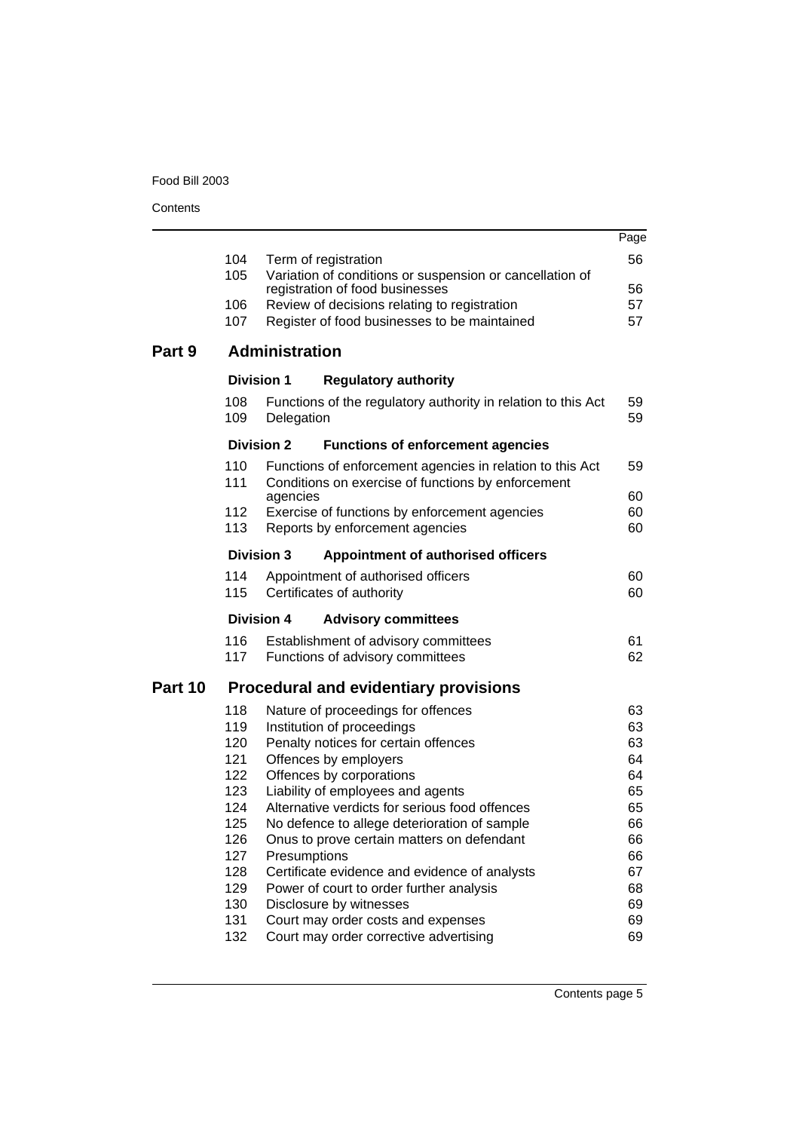|         |            |                       |                                                                                                                 | Page     |
|---------|------------|-----------------------|-----------------------------------------------------------------------------------------------------------------|----------|
|         | 104        | Term of registration  |                                                                                                                 | 56       |
|         | 105        |                       | Variation of conditions or suspension or cancellation of<br>registration of food businesses                     | 56       |
|         | 106        |                       | Review of decisions relating to registration                                                                    | 57       |
|         | 107        |                       | Register of food businesses to be maintained                                                                    | 57       |
| Part 9  |            | <b>Administration</b> |                                                                                                                 |          |
|         |            | <b>Division 1</b>     | <b>Regulatory authority</b>                                                                                     |          |
|         | 108<br>109 | Delegation            | Functions of the regulatory authority in relation to this Act                                                   | 59<br>59 |
|         |            | <b>Division 2</b>     | <b>Functions of enforcement agencies</b>                                                                        |          |
|         | 110<br>111 |                       | Functions of enforcement agencies in relation to this Act<br>Conditions on exercise of functions by enforcement | 59<br>60 |
|         | 112        | agencies              | Exercise of functions by enforcement agencies                                                                   | 60       |
|         | 113        |                       | Reports by enforcement agencies                                                                                 | 60       |
|         |            | <b>Division 3</b>     | Appointment of authorised officers                                                                              |          |
|         | 114        |                       | Appointment of authorised officers                                                                              | 60       |
|         | 115        |                       | Certificates of authority                                                                                       | 60       |
|         |            | <b>Division 4</b>     | <b>Advisory committees</b>                                                                                      |          |
|         | 116        |                       | Establishment of advisory committees                                                                            | 61       |
|         | 117        |                       | Functions of advisory committees                                                                                | 62       |
| Part 10 |            |                       | <b>Procedural and evidentiary provisions</b>                                                                    |          |
|         | 118        |                       | Nature of proceedings for offences                                                                              | 63       |
|         | 119<br>120 |                       | Institution of proceedings<br>Penalty notices for certain offences                                              | 63<br>63 |
|         | 121        |                       | Offences by employers                                                                                           | 64       |
|         | 122        |                       | Offences by corporations                                                                                        | 64       |
|         | 123        |                       | Liability of employees and agents                                                                               | 65       |
|         | 124        |                       | Alternative verdicts for serious food offences                                                                  | 65       |
|         | 125<br>126 |                       | No defence to allege deterioration of sample<br>Onus to prove certain matters on defendant                      | 66<br>66 |
|         | 127        | Presumptions          |                                                                                                                 | 66       |
|         | 128        |                       | Certificate evidence and evidence of analysts                                                                   | 67       |
|         | 129        |                       | Power of court to order further analysis                                                                        | 68       |
|         | 130        |                       | Disclosure by witnesses                                                                                         | 69       |
|         | 131<br>132 |                       | Court may order costs and expenses<br>Court may order corrective advertising                                    | 69<br>69 |
|         |            |                       |                                                                                                                 |          |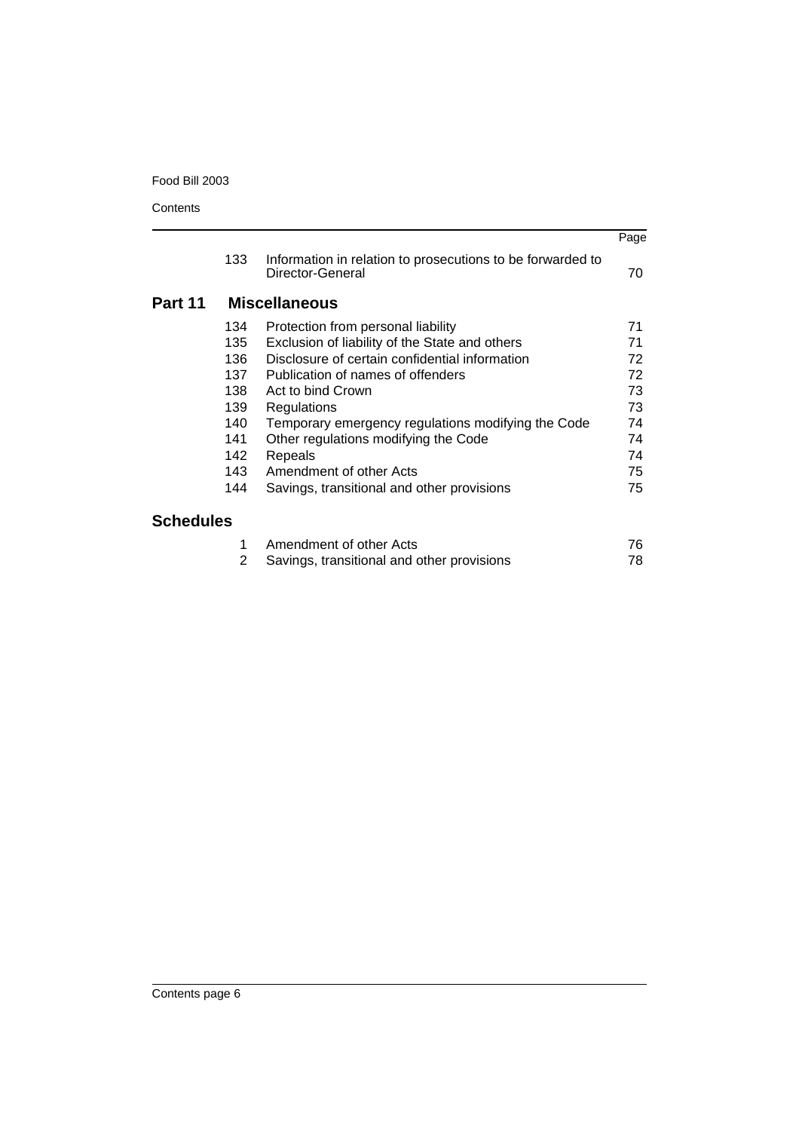|                  |     |                                                                                | Page |
|------------------|-----|--------------------------------------------------------------------------------|------|
|                  | 133 | Information in relation to prosecutions to be forwarded to<br>Director-General | 70   |
| Part 11          |     | <b>Miscellaneous</b>                                                           |      |
|                  | 134 | Protection from personal liability                                             | 71   |
|                  | 135 | Exclusion of liability of the State and others                                 | 71   |
|                  | 136 | Disclosure of certain confidential information                                 | 72   |
|                  | 137 | Publication of names of offenders                                              | 72   |
|                  | 138 | Act to bind Crown                                                              | 73   |
|                  | 139 | Regulations                                                                    | 73   |
|                  | 140 | Temporary emergency regulations modifying the Code                             | 74   |
|                  | 141 | Other regulations modifying the Code                                           | 74   |
|                  | 142 | Repeals                                                                        | 74   |
|                  | 143 | Amendment of other Acts                                                        | 75   |
|                  | 144 | Savings, transitional and other provisions                                     | 75   |
| <b>Schedules</b> |     |                                                                                |      |
|                  |     | Amendment of other Acts                                                        | 76   |

# **Schedules**

| Amendment of other Acts                      | 76. |
|----------------------------------------------|-----|
| 2 Savings, transitional and other provisions | 78. |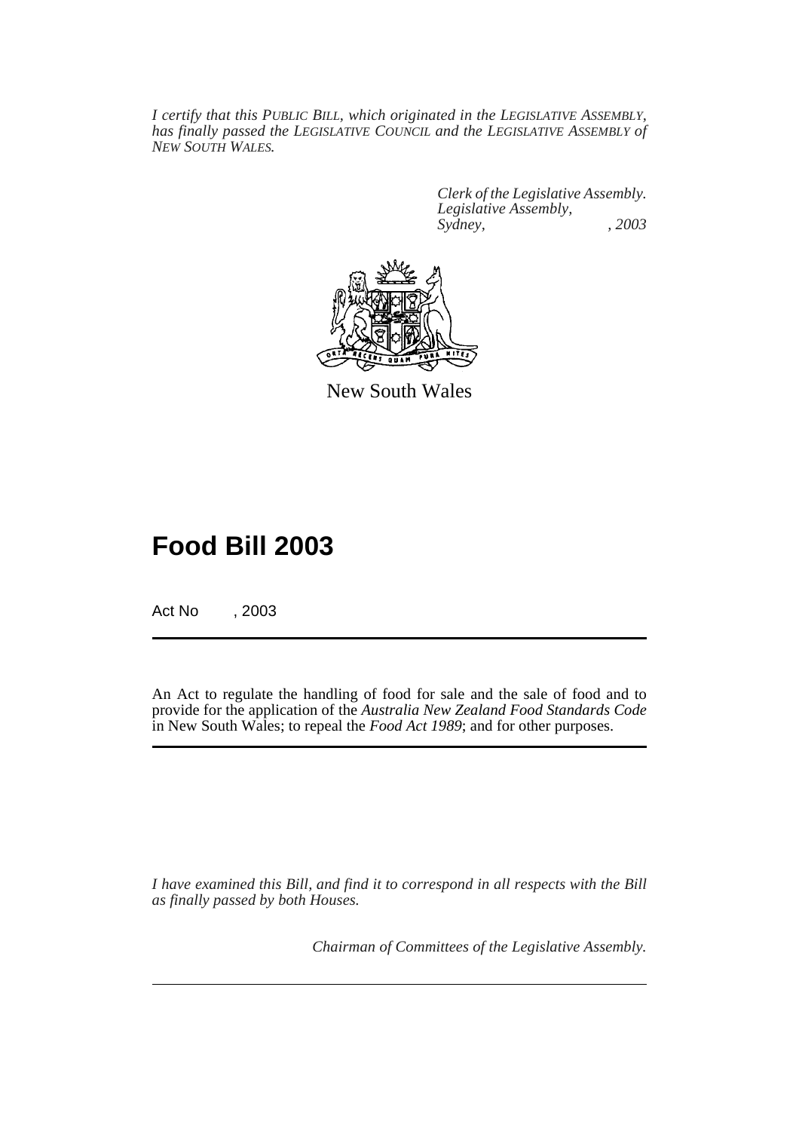*I certify that this PUBLIC BILL, which originated in the LEGISLATIVE ASSEMBLY, has finally passed the LEGISLATIVE COUNCIL and the LEGISLATIVE ASSEMBLY of NEW SOUTH WALES.*

> *Clerk of the Legislative Assembly. Legislative Assembly, Sydney, , 2003*



New South Wales

# **Food Bill 2003**

Act No , 2003

An Act to regulate the handling of food for sale and the sale of food and to provide for the application of the *Australia New Zealand Food Standards Code* in New South Wales; to repeal the *Food Act 1989*; and for other purposes.

*I have examined this Bill, and find it to correspond in all respects with the Bill as finally passed by both Houses.*

*Chairman of Committees of the Legislative Assembly.*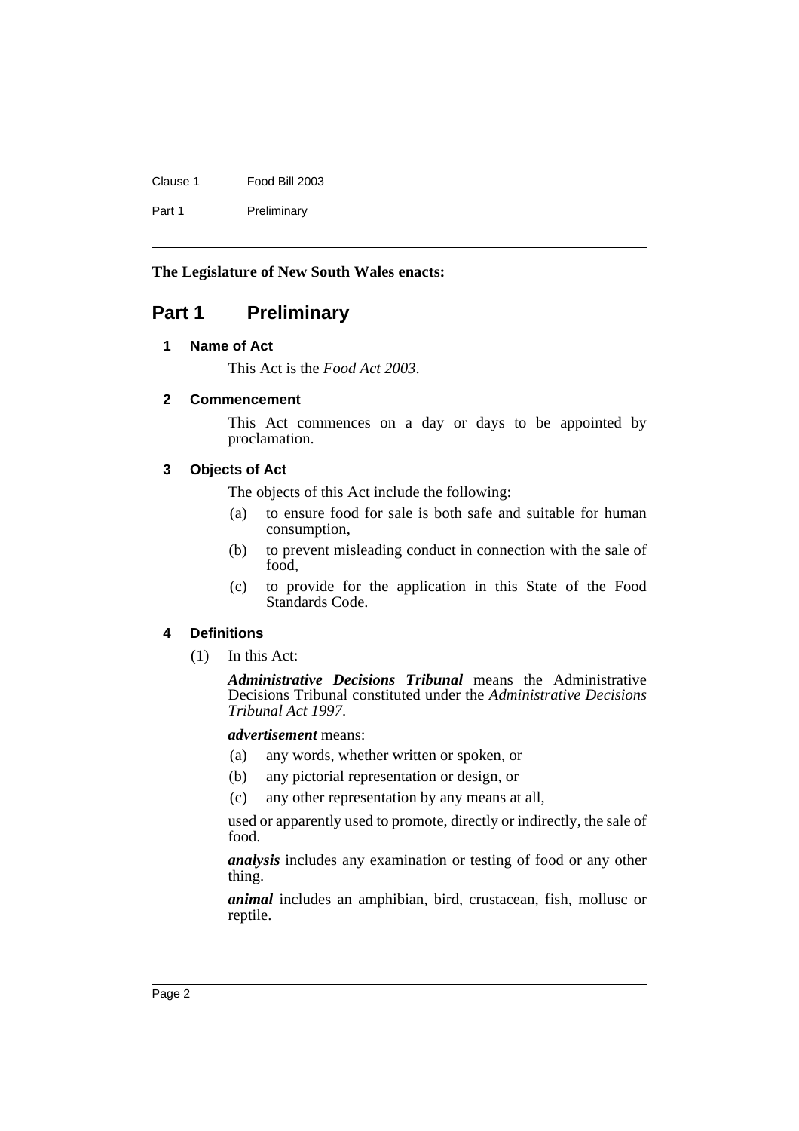| Clause 1 | Food Bill 2003 |
|----------|----------------|
| Part 1   | Preliminary    |

### **The Legislature of New South Wales enacts:**

# <span id="page-7-1"></span><span id="page-7-0"></span>**Part 1 Preliminary**

# **1 Name of Act**

This Act is the *Food Act 2003*.

# <span id="page-7-2"></span>**2 Commencement**

This Act commences on a day or days to be appointed by proclamation.

# <span id="page-7-3"></span>**3 Objects of Act**

The objects of this Act include the following:

- (a) to ensure food for sale is both safe and suitable for human consumption,
- (b) to prevent misleading conduct in connection with the sale of food,
- (c) to provide for the application in this State of the Food Standards Code.

# <span id="page-7-4"></span>**4 Definitions**

(1) In this Act:

*Administrative Decisions Tribunal* means the Administrative Decisions Tribunal constituted under the *Administrative Decisions Tribunal Act 1997*.

*advertisement* means:

- (a) any words, whether written or spoken, or
- (b) any pictorial representation or design, or
- (c) any other representation by any means at all,

used or apparently used to promote, directly or indirectly, the sale of food.

*analysis* includes any examination or testing of food or any other thing.

*animal* includes an amphibian, bird, crustacean, fish, mollusc or reptile.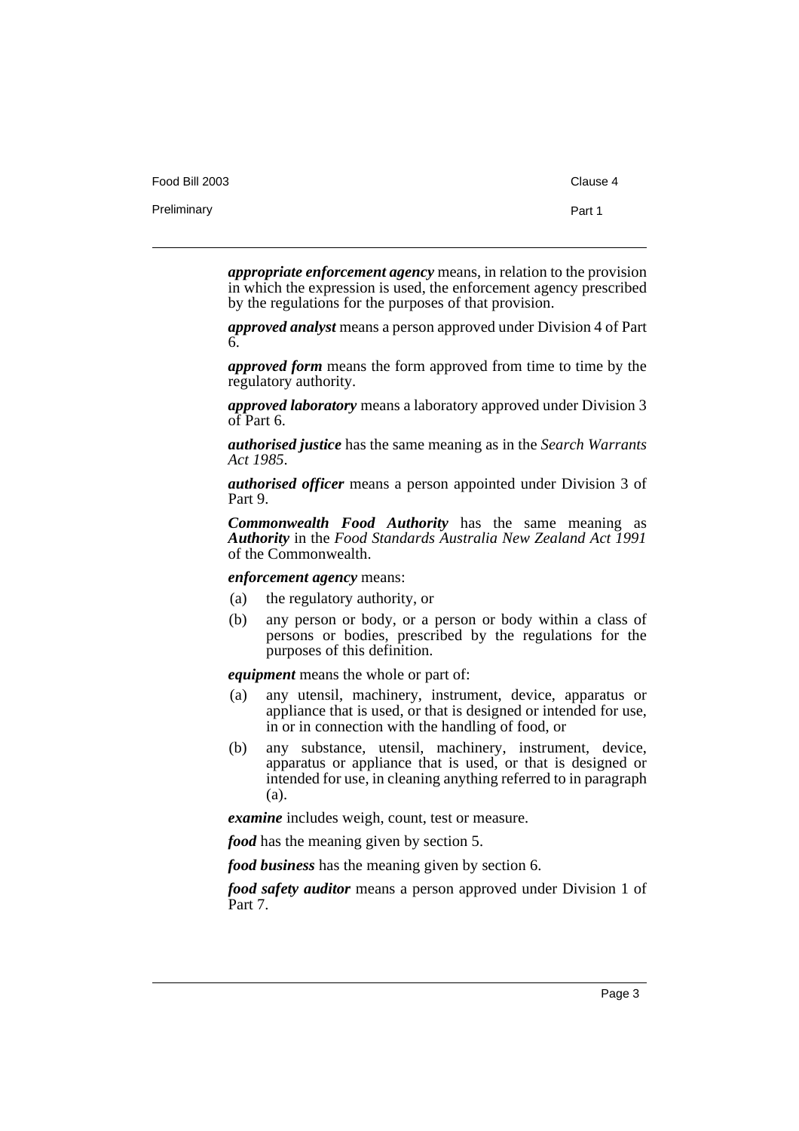| Food Bill 2003 | Clause 4 |
|----------------|----------|
| Preliminary    | Part 1   |
|                |          |

*appropriate enforcement agency* means, in relation to the provision in which the expression is used, the enforcement agency prescribed by the regulations for the purposes of that provision.

*approved analyst* means a person approved under Division 4 of Part 6.

*approved form* means the form approved from time to time by the regulatory authority.

*approved laboratory* means a laboratory approved under Division 3 of Part 6.

*authorised justice* has the same meaning as in the *Search Warrants Act 1985*.

*authorised officer* means a person appointed under Division 3 of Part 9.

*Commonwealth Food Authority* has the same meaning as *Authority* in the *Food Standards Australia New Zealand Act 1991* of the Commonwealth.

*enforcement agency* means:

- (a) the regulatory authority, or
- (b) any person or body, or a person or body within a class of persons or bodies, prescribed by the regulations for the purposes of this definition.

*equipment* means the whole or part of:

- (a) any utensil, machinery, instrument, device, apparatus or appliance that is used, or that is designed or intended for use, in or in connection with the handling of food, or
- (b) any substance, utensil, machinery, instrument, device, apparatus or appliance that is used, or that is designed or intended for use, in cleaning anything referred to in paragraph (a).

*examine* includes weigh, count, test or measure.

*food* has the meaning given by section 5.

*food business* has the meaning given by section 6.

*food safety auditor* means a person approved under Division 1 of Part 7.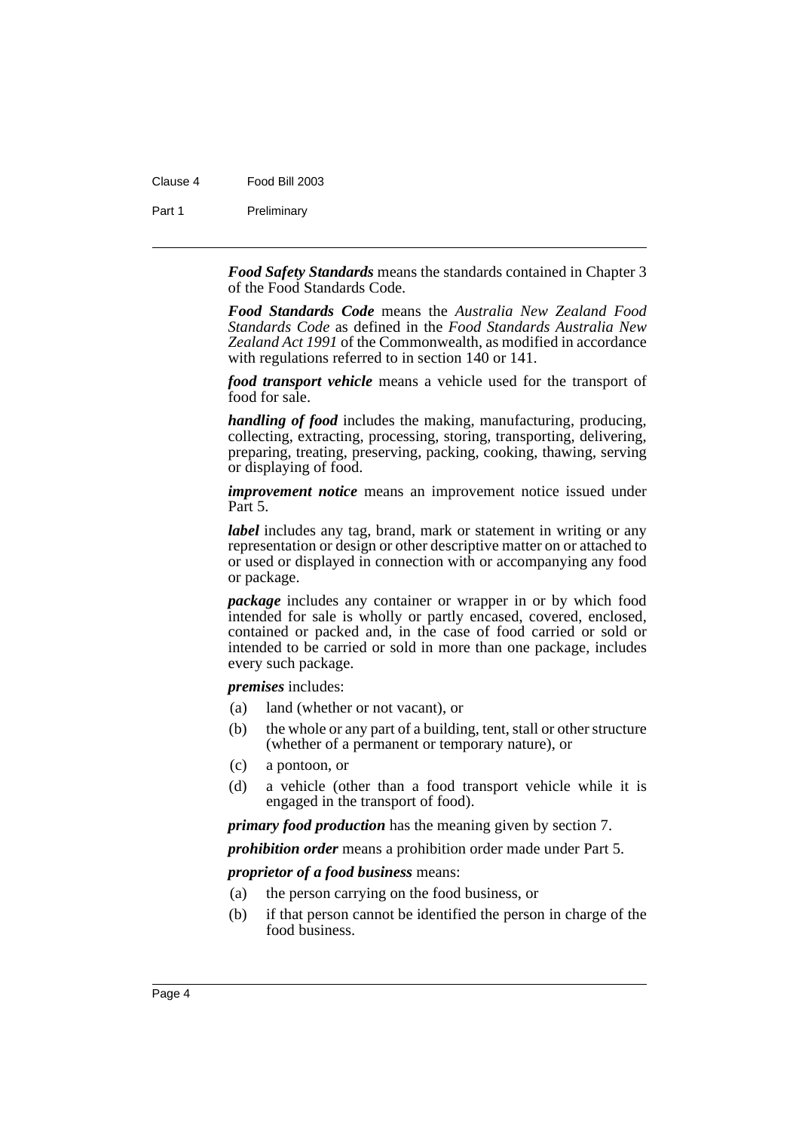### Clause 4 Food Bill 2003

Part 1 Preliminary

*Food Safety Standards* means the standards contained in Chapter 3 of the Food Standards Code.

*Food Standards Code* means the *Australia New Zealand Food Standards Code* as defined in the *Food Standards Australia New Zealand Act 1991* of the Commonwealth, as modified in accordance with regulations referred to in section 140 or 141.

*food transport vehicle* means a vehicle used for the transport of food for sale.

*handling of food* includes the making, manufacturing, producing, collecting, extracting, processing, storing, transporting, delivering, preparing, treating, preserving, packing, cooking, thawing, serving or displaying of food.

*improvement notice* means an improvement notice issued under Part 5.

*label* includes any tag, brand, mark or statement in writing or any representation or design or other descriptive matter on or attached to or used or displayed in connection with or accompanying any food or package.

*package* includes any container or wrapper in or by which food intended for sale is wholly or partly encased, covered, enclosed, contained or packed and, in the case of food carried or sold or intended to be carried or sold in more than one package, includes every such package.

*premises* includes:

- (a) land (whether or not vacant), or
- (b) the whole or any part of a building, tent, stall or other structure (whether of a permanent or temporary nature), or
- (c) a pontoon, or
- (d) a vehicle (other than a food transport vehicle while it is engaged in the transport of food).

*primary food production* has the meaning given by section 7.

*prohibition order* means a prohibition order made under Part 5.

*proprietor of a food business* means:

- (a) the person carrying on the food business, or
- (b) if that person cannot be identified the person in charge of the food business.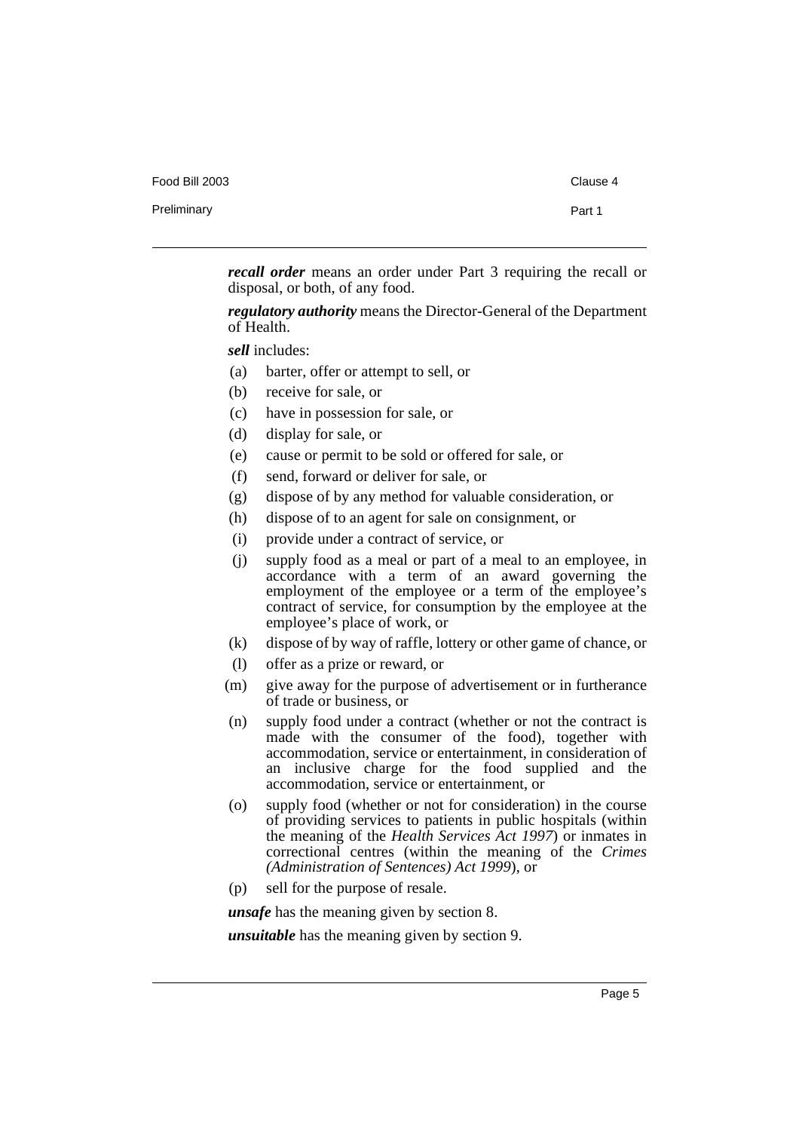| Food Bill 2003 | Clause 4 |
|----------------|----------|
| Preliminary    | Part 1   |
|                |          |

*recall order* means an order under Part 3 requiring the recall or disposal, or both, of any food.

*regulatory authority* means the Director-General of the Department of Health.

*sell* includes:

- (a) barter, offer or attempt to sell, or
- (b) receive for sale, or
- (c) have in possession for sale, or
- (d) display for sale, or
- (e) cause or permit to be sold or offered for sale, or
- (f) send, forward or deliver for sale, or
- (g) dispose of by any method for valuable consideration, or
- (h) dispose of to an agent for sale on consignment, or
- (i) provide under a contract of service, or
- (j) supply food as a meal or part of a meal to an employee, in accordance with a term of an award governing the employment of the employee or a term of the employee's contract of service, for consumption by the employee at the employee's place of work, or
- (k) dispose of by way of raffle, lottery or other game of chance, or
- (l) offer as a prize or reward, or
- (m) give away for the purpose of advertisement or in furtherance of trade or business, or
- (n) supply food under a contract (whether or not the contract is made with the consumer of the food), together with accommodation, service or entertainment, in consideration of an inclusive charge for the food supplied and the accommodation, service or entertainment, or
- (o) supply food (whether or not for consideration) in the course of providing services to patients in public hospitals (within the meaning of the *Health Services Act 1997*) or inmates in correctional centres (within the meaning of the *Crimes (Administration of Sentences) Act 1999*), or
- (p) sell for the purpose of resale.

*unsafe* has the meaning given by section 8.

*unsuitable* has the meaning given by section 9.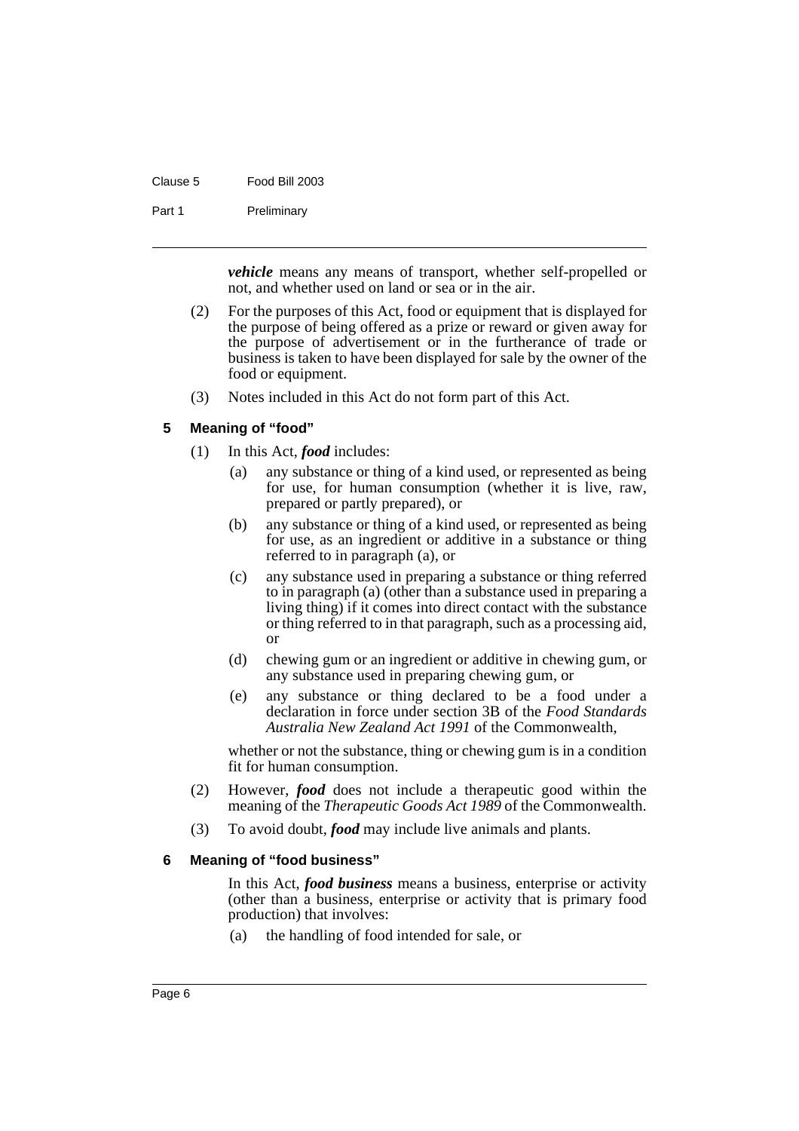| Clause 5 | Food Bill 2003 |
|----------|----------------|
|          |                |

Part 1 Preliminary

*vehicle* means any means of transport, whether self-propelled or not, and whether used on land or sea or in the air.

- (2) For the purposes of this Act, food or equipment that is displayed for the purpose of being offered as a prize or reward or given away for the purpose of advertisement or in the furtherance of trade or business is taken to have been displayed for sale by the owner of the food or equipment.
- (3) Notes included in this Act do not form part of this Act.

#### <span id="page-11-0"></span>**5 Meaning of "food"**

- (1) In this Act, *food* includes:
	- (a) any substance or thing of a kind used, or represented as being for use, for human consumption (whether it is live, raw, prepared or partly prepared), or
	- (b) any substance or thing of a kind used, or represented as being for use, as an ingredient or additive in a substance or thing referred to in paragraph (a), or
	- (c) any substance used in preparing a substance or thing referred to in paragraph (a) (other than a substance used in preparing a living thing) if it comes into direct contact with the substance or thing referred to in that paragraph, such as a processing aid, or
	- (d) chewing gum or an ingredient or additive in chewing gum, or any substance used in preparing chewing gum, or
	- (e) any substance or thing declared to be a food under a declaration in force under section 3B of the *Food Standards Australia New Zealand Act 1991* of the Commonwealth,

whether or not the substance, thing or chewing gum is in a condition fit for human consumption.

- (2) However, *food* does not include a therapeutic good within the meaning of the *Therapeutic Goods Act 1989* of the Commonwealth.
- (3) To avoid doubt, *food* may include live animals and plants.

#### <span id="page-11-1"></span>**6 Meaning of "food business"**

In this Act, *food business* means a business, enterprise or activity (other than a business, enterprise or activity that is primary food production) that involves:

(a) the handling of food intended for sale, or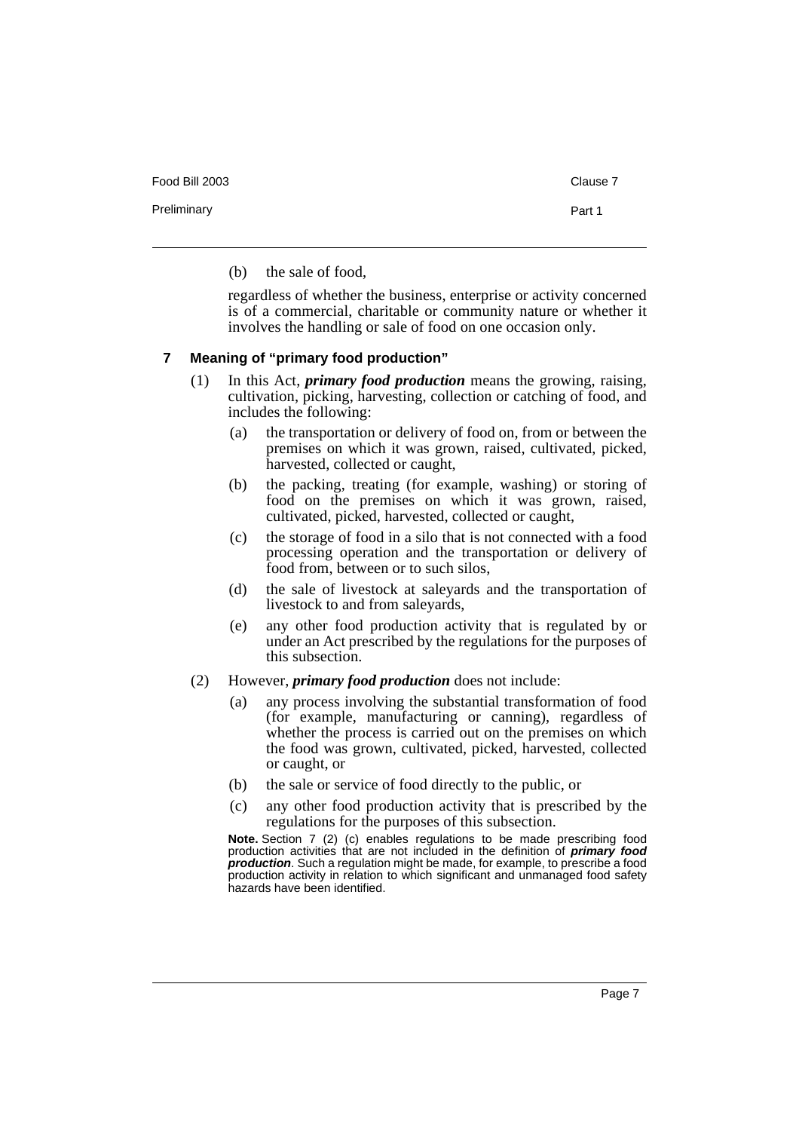Food Bill 2003 Clause 7

Preliminary **Preliminary** Part 1

(b) the sale of food,

regardless of whether the business, enterprise or activity concerned is of a commercial, charitable or community nature or whether it involves the handling or sale of food on one occasion only.

#### <span id="page-12-0"></span>**7 Meaning of "primary food production"**

- (1) In this Act, *primary food production* means the growing, raising, cultivation, picking, harvesting, collection or catching of food, and includes the following:
	- (a) the transportation or delivery of food on, from or between the premises on which it was grown, raised, cultivated, picked, harvested, collected or caught,
	- (b) the packing, treating (for example, washing) or storing of food on the premises on which it was grown, raised, cultivated, picked, harvested, collected or caught,
	- (c) the storage of food in a silo that is not connected with a food processing operation and the transportation or delivery of food from, between or to such silos,
	- (d) the sale of livestock at saleyards and the transportation of livestock to and from saleyards,
	- (e) any other food production activity that is regulated by or under an Act prescribed by the regulations for the purposes of this subsection.
- (2) However, *primary food production* does not include:
	- (a) any process involving the substantial transformation of food (for example, manufacturing or canning), regardless of whether the process is carried out on the premises on which the food was grown, cultivated, picked, harvested, collected or caught, or
	- (b) the sale or service of food directly to the public, or
	- (c) any other food production activity that is prescribed by the regulations for the purposes of this subsection.

**Note.** Section 7 (2) (c) enables regulations to be made prescribing food production activities that are not included in the definition of **primary food production**. Such a regulation might be made, for example, to prescribe a food production activity in relation to which significant and unmanaged food safety hazards have been identified.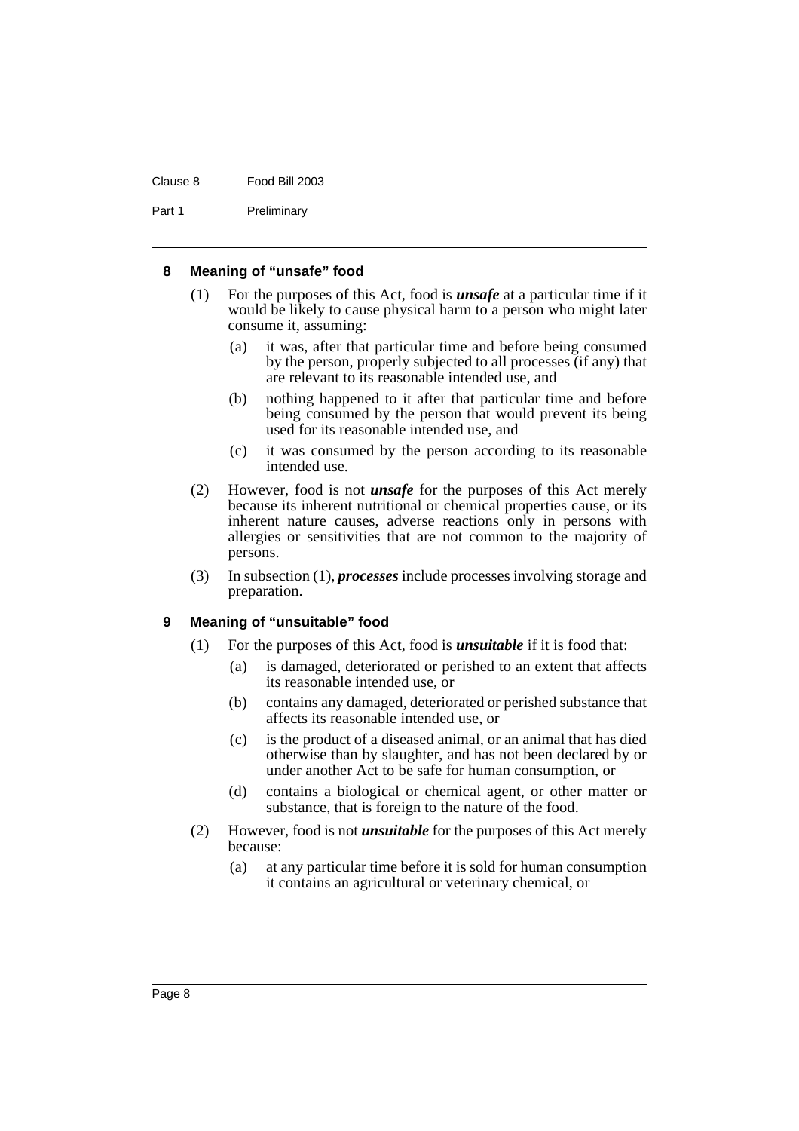#### Clause 8 Food Bill 2003

Part 1 Preliminary

#### <span id="page-13-0"></span>**8 Meaning of "unsafe" food**

- (1) For the purposes of this Act, food is *unsafe* at a particular time if it would be likely to cause physical harm to a person who might later consume it, assuming:
	- (a) it was, after that particular time and before being consumed by the person, properly subjected to all processes (if any) that are relevant to its reasonable intended use, and
	- (b) nothing happened to it after that particular time and before being consumed by the person that would prevent its being used for its reasonable intended use, and
	- (c) it was consumed by the person according to its reasonable intended use.
- (2) However, food is not *unsafe* for the purposes of this Act merely because its inherent nutritional or chemical properties cause, or its inherent nature causes, adverse reactions only in persons with allergies or sensitivities that are not common to the majority of persons.
- (3) In subsection (1), *processes* include processes involving storage and preparation.

#### <span id="page-13-1"></span>**9 Meaning of "unsuitable" food**

- (1) For the purposes of this Act, food is *unsuitable* if it is food that:
	- (a) is damaged, deteriorated or perished to an extent that affects its reasonable intended use, or
	- (b) contains any damaged, deteriorated or perished substance that affects its reasonable intended use, or
	- (c) is the product of a diseased animal, or an animal that has died otherwise than by slaughter, and has not been declared by or under another Act to be safe for human consumption, or
	- (d) contains a biological or chemical agent, or other matter or substance, that is foreign to the nature of the food.
- (2) However, food is not *unsuitable* for the purposes of this Act merely because:
	- (a) at any particular time before it is sold for human consumption it contains an agricultural or veterinary chemical, or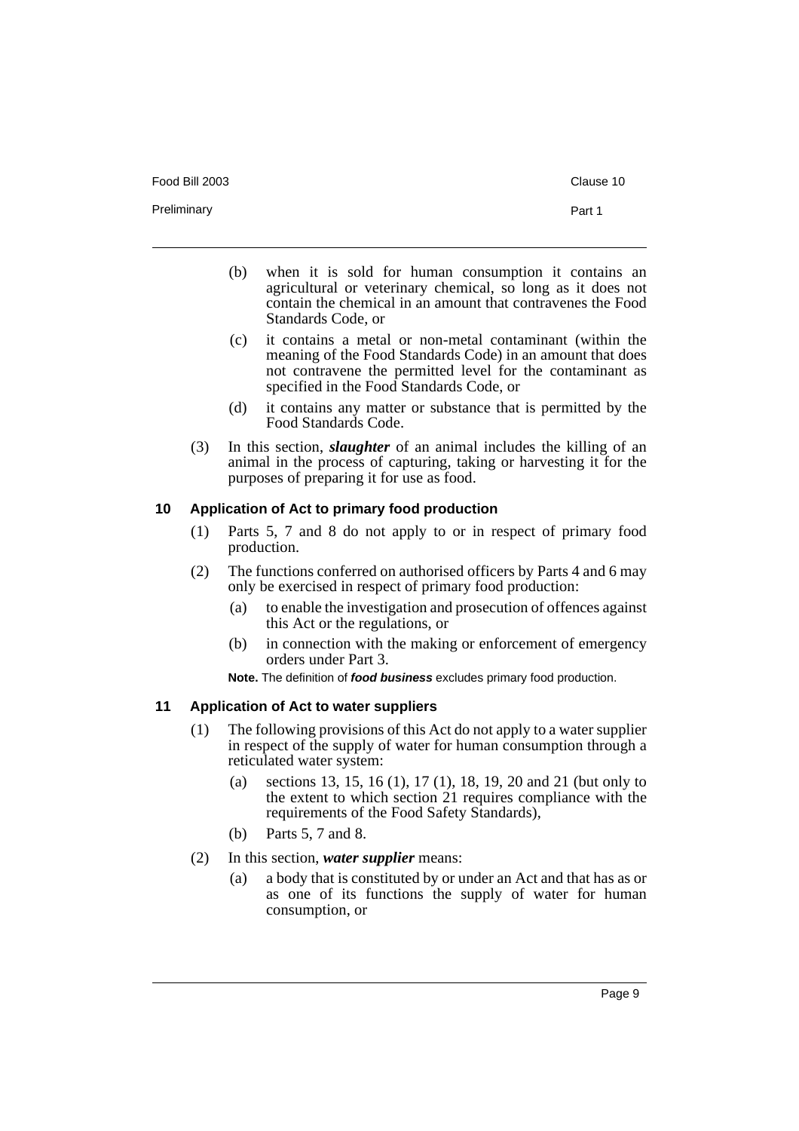- (b) when it is sold for human consumption it contains an agricultural or veterinary chemical, so long as it does not contain the chemical in an amount that contravenes the Food Standards Code, or
- (c) it contains a metal or non-metal contaminant (within the meaning of the Food Standards Code) in an amount that does not contravene the permitted level for the contaminant as specified in the Food Standards Code, or
- (d) it contains any matter or substance that is permitted by the Food Standards Code.
- (3) In this section, *slaughter* of an animal includes the killing of an animal in the process of capturing, taking or harvesting it for the purposes of preparing it for use as food.

#### <span id="page-14-0"></span>**10 Application of Act to primary food production**

- (1) Parts 5, 7 and 8 do not apply to or in respect of primary food production.
- (2) The functions conferred on authorised officers by Parts 4 and 6 may only be exercised in respect of primary food production:
	- (a) to enable the investigation and prosecution of offences against this Act or the regulations, or
	- (b) in connection with the making or enforcement of emergency orders under Part 3.

**Note.** The definition of **food business** excludes primary food production.

#### <span id="page-14-1"></span>**11 Application of Act to water suppliers**

- (1) The following provisions of this Act do not apply to a water supplier in respect of the supply of water for human consumption through a reticulated water system:
	- (a) sections 13, 15, 16 (1), 17 (1), 18, 19, 20 and 21 (but only to the extent to which section 21 requires compliance with the requirements of the Food Safety Standards),
	- (b) Parts 5, 7 and 8.
- (2) In this section, *water supplier* means:
	- (a) a body that is constituted by or under an Act and that has as or as one of its functions the supply of water for human consumption, or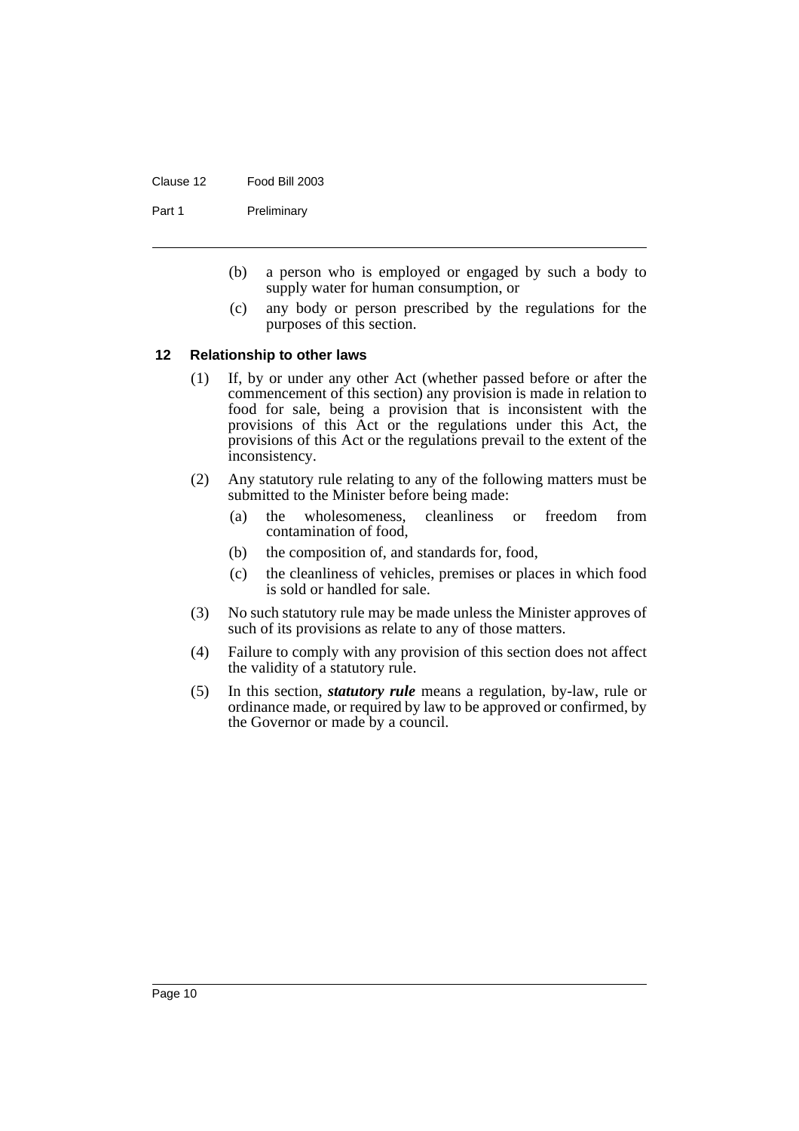#### Clause 12 Food Bill 2003

Part 1 Preliminary

- (b) a person who is employed or engaged by such a body to supply water for human consumption, or
- (c) any body or person prescribed by the regulations for the purposes of this section.

#### <span id="page-15-0"></span>**12 Relationship to other laws**

- (1) If, by or under any other Act (whether passed before or after the commencement of this section) any provision is made in relation to food for sale, being a provision that is inconsistent with the provisions of this Act or the regulations under this Act, the provisions of this Act or the regulations prevail to the extent of the inconsistency.
- (2) Any statutory rule relating to any of the following matters must be submitted to the Minister before being made:
	- (a) the wholesomeness, cleanliness or freedom from contamination of food,
	- (b) the composition of, and standards for, food,
	- (c) the cleanliness of vehicles, premises or places in which food is sold or handled for sale.
- (3) No such statutory rule may be made unless the Minister approves of such of its provisions as relate to any of those matters.
- (4) Failure to comply with any provision of this section does not affect the validity of a statutory rule.
- (5) In this section, *statutory rule* means a regulation, by-law, rule or ordinance made, or required by law to be approved or confirmed, by the Governor or made by a council.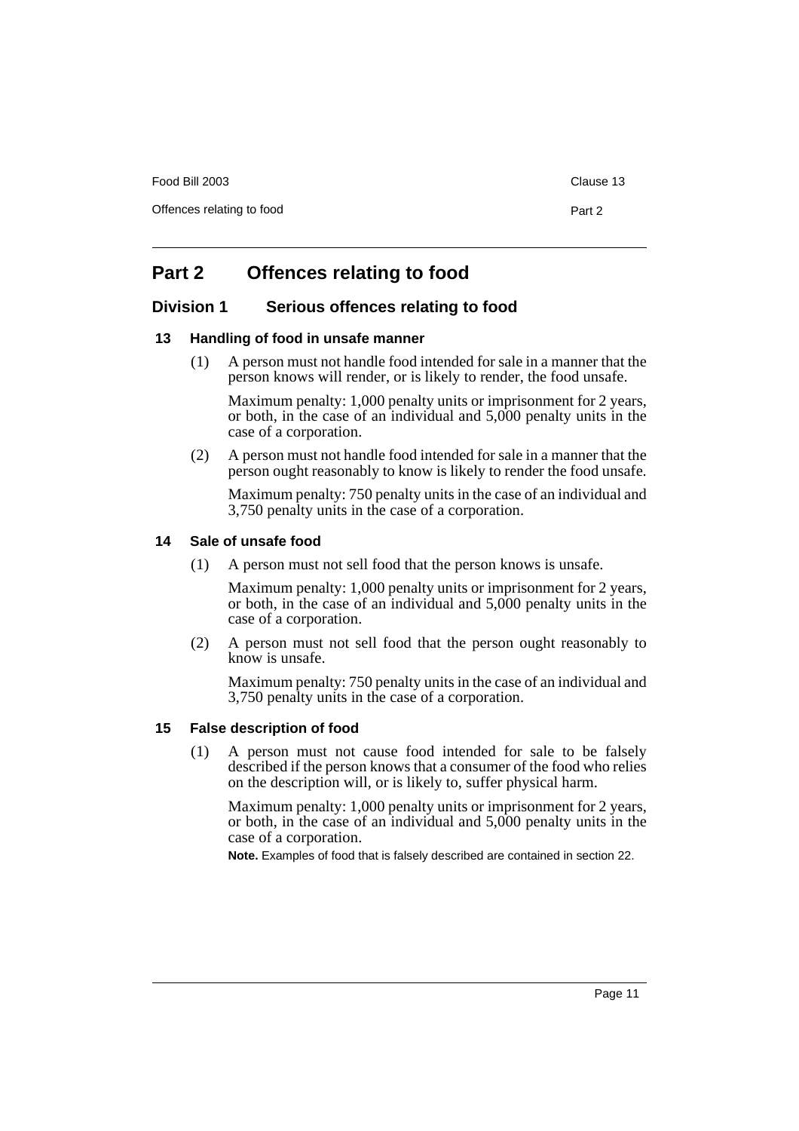Food Bill 2003 **Clause 13** 

Offences relating to food Part 2

# <span id="page-16-0"></span>**Part 2 Offences relating to food**

# <span id="page-16-1"></span>**Division 1 Serious offences relating to food**

#### <span id="page-16-2"></span>**13 Handling of food in unsafe manner**

(1) A person must not handle food intended for sale in a manner that the person knows will render, or is likely to render, the food unsafe.

Maximum penalty: 1,000 penalty units or imprisonment for 2 years, or both, in the case of an individual and 5,000 penalty units in the case of a corporation.

(2) A person must not handle food intended for sale in a manner that the person ought reasonably to know is likely to render the food unsafe.

Maximum penalty: 750 penalty units in the case of an individual and 3,750 penalty units in the case of a corporation.

#### <span id="page-16-3"></span>**14 Sale of unsafe food**

(1) A person must not sell food that the person knows is unsafe.

Maximum penalty: 1,000 penalty units or imprisonment for 2 years, or both, in the case of an individual and 5,000 penalty units in the case of a corporation.

(2) A person must not sell food that the person ought reasonably to know is unsafe.

Maximum penalty: 750 penalty units in the case of an individual and 3,750 penalty units in the case of a corporation.

#### <span id="page-16-4"></span>**15 False description of food**

(1) A person must not cause food intended for sale to be falsely described if the person knows that a consumer of the food who relies on the description will, or is likely to, suffer physical harm.

Maximum penalty: 1,000 penalty units or imprisonment for 2 years, or both, in the case of an individual and 5,000 penalty units in the case of a corporation.

**Note.** Examples of food that is falsely described are contained in section 22.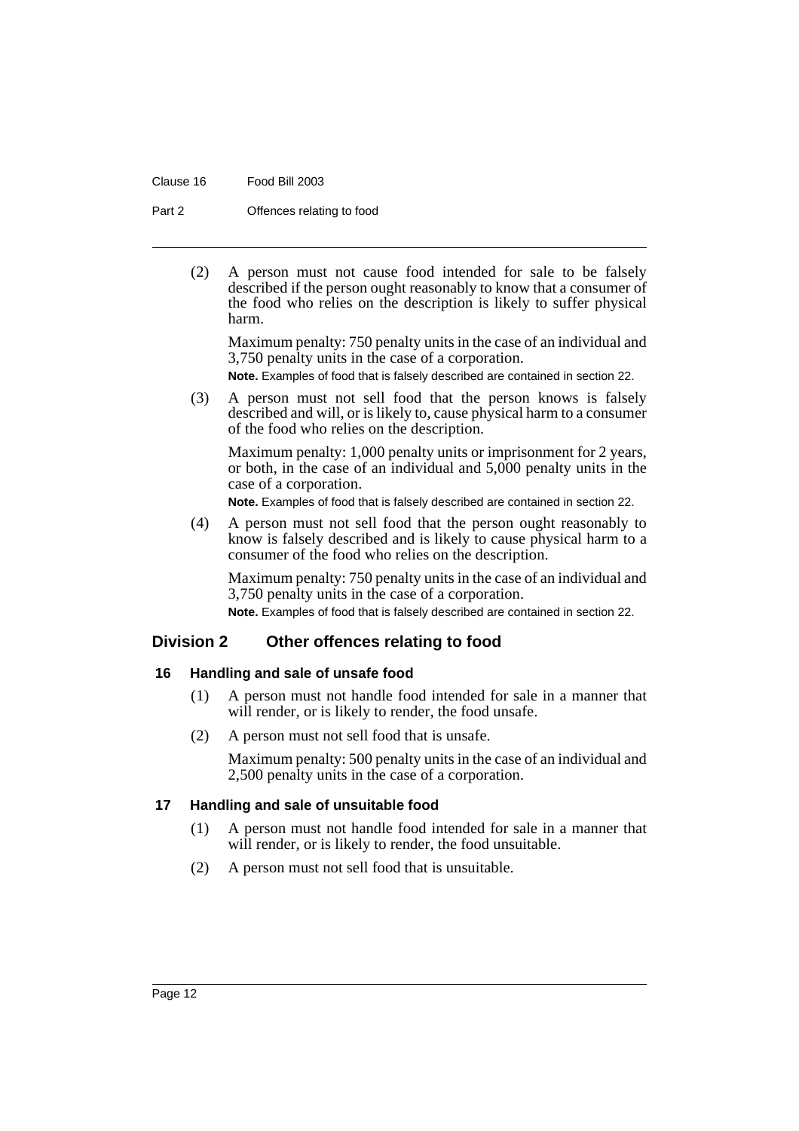Clause 16 Food Bill 2003

Part 2 **Offences relating to food** 

(2) A person must not cause food intended for sale to be falsely described if the person ought reasonably to know that a consumer of the food who relies on the description is likely to suffer physical harm.

Maximum penalty: 750 penalty units in the case of an individual and 3,750 penalty units in the case of a corporation.

**Note.** Examples of food that is falsely described are contained in section 22.

(3) A person must not sell food that the person knows is falsely described and will, or is likely to, cause physical harm to a consumer of the food who relies on the description.

Maximum penalty: 1,000 penalty units or imprisonment for 2 years, or both, in the case of an individual and 5,000 penalty units in the case of a corporation.

**Note.** Examples of food that is falsely described are contained in section 22.

(4) A person must not sell food that the person ought reasonably to know is falsely described and is likely to cause physical harm to a consumer of the food who relies on the description.

Maximum penalty: 750 penalty units in the case of an individual and 3,750 penalty units in the case of a corporation.

**Note.** Examples of food that is falsely described are contained in section 22.

# <span id="page-17-0"></span>**Division 2 Other offences relating to food**

#### <span id="page-17-1"></span>**16 Handling and sale of unsafe food**

- (1) A person must not handle food intended for sale in a manner that will render, or is likely to render, the food unsafe.
- (2) A person must not sell food that is unsafe.

Maximum penalty: 500 penalty units in the case of an individual and 2,500 penalty units in the case of a corporation.

# <span id="page-17-2"></span>**17 Handling and sale of unsuitable food**

- (1) A person must not handle food intended for sale in a manner that will render, or is likely to render, the food unsuitable.
- (2) A person must not sell food that is unsuitable.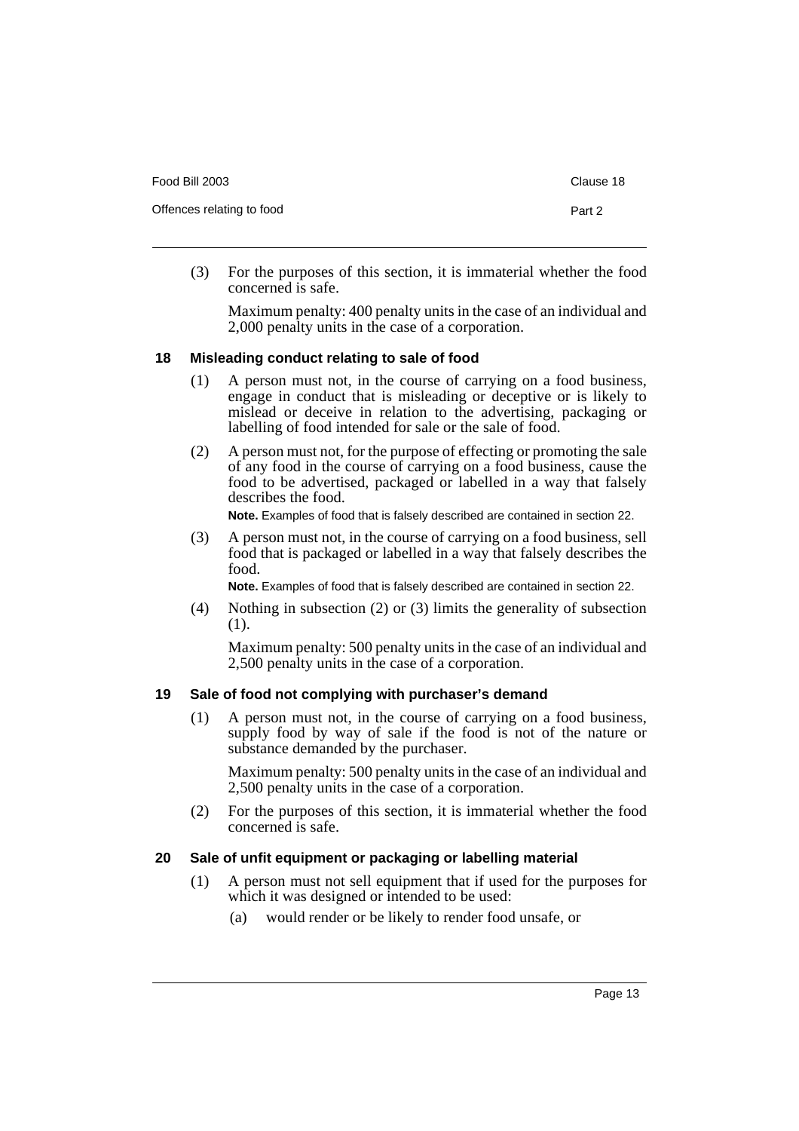| Food Bill 2003            | Clause 18 |
|---------------------------|-----------|
| Offences relating to food | Part 2    |

(3) For the purposes of this section, it is immaterial whether the food concerned is safe.

Maximum penalty: 400 penalty units in the case of an individual and 2,000 penalty units in the case of a corporation.

#### <span id="page-18-0"></span>**18 Misleading conduct relating to sale of food**

- (1) A person must not, in the course of carrying on a food business, engage in conduct that is misleading or deceptive or is likely to mislead or deceive in relation to the advertising, packaging or labelling of food intended for sale or the sale of food.
- (2) A person must not, for the purpose of effecting or promoting the sale of any food in the course of carrying on a food business, cause the food to be advertised, packaged or labelled in a way that falsely describes the food.

**Note.** Examples of food that is falsely described are contained in section 22.

(3) A person must not, in the course of carrying on a food business, sell food that is packaged or labelled in a way that falsely describes the food.

**Note.** Examples of food that is falsely described are contained in section 22.

(4) Nothing in subsection (2) or (3) limits the generality of subsection (1).

Maximum penalty: 500 penalty units in the case of an individual and 2,500 penalty units in the case of a corporation.

# <span id="page-18-1"></span>**19 Sale of food not complying with purchaser's demand**

(1) A person must not, in the course of carrying on a food business, supply food by way of sale if the food is not of the nature or substance demanded by the purchaser.

Maximum penalty: 500 penalty units in the case of an individual and 2,500 penalty units in the case of a corporation.

(2) For the purposes of this section, it is immaterial whether the food concerned is safe.

# <span id="page-18-2"></span>**20 Sale of unfit equipment or packaging or labelling material**

- (1) A person must not sell equipment that if used for the purposes for which it was designed or intended to be used:
	- (a) would render or be likely to render food unsafe, or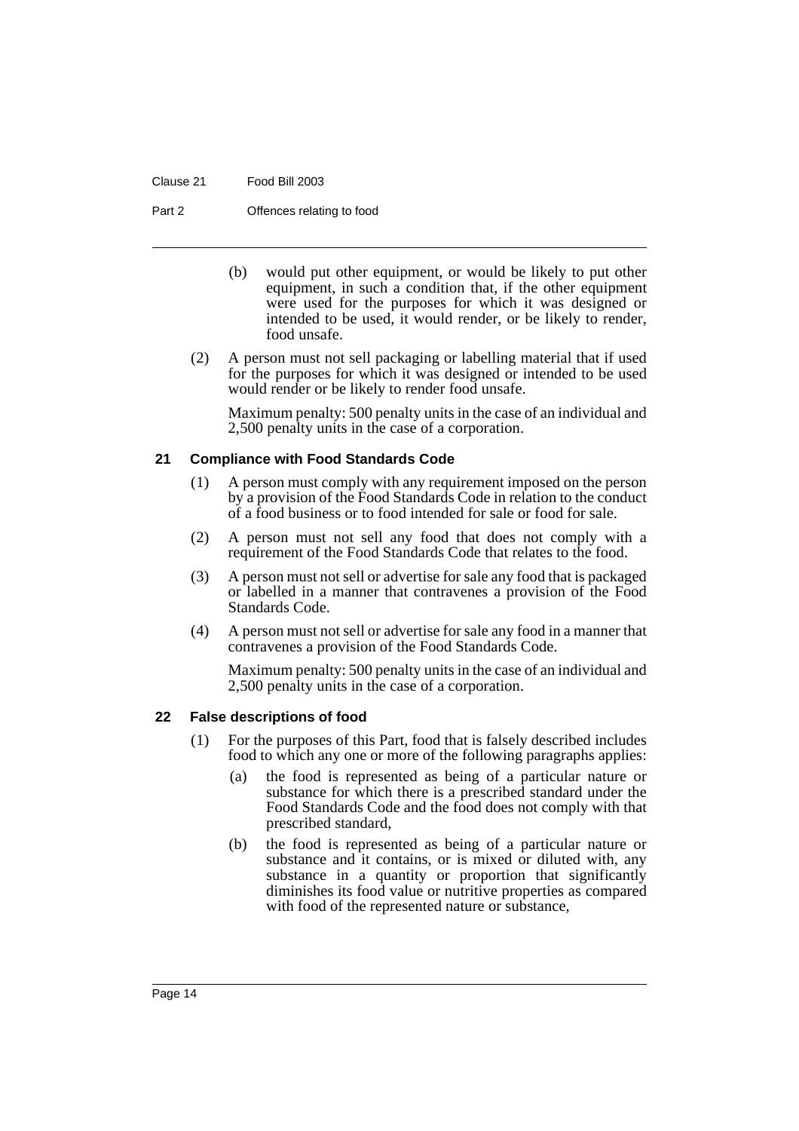#### Clause 21 Food Bill 2003

Part 2 **Offences relating to food** 

- (b) would put other equipment, or would be likely to put other equipment, in such a condition that, if the other equipment were used for the purposes for which it was designed or intended to be used, it would render, or be likely to render, food unsafe.
- (2) A person must not sell packaging or labelling material that if used for the purposes for which it was designed or intended to be used would render or be likely to render food unsafe.

Maximum penalty: 500 penalty units in the case of an individual and 2,500 penalty units in the case of a corporation.

#### <span id="page-19-0"></span>**21 Compliance with Food Standards Code**

- (1) A person must comply with any requirement imposed on the person by a provision of the Food Standards Code in relation to the conduct of a food business or to food intended for sale or food for sale.
- (2) A person must not sell any food that does not comply with a requirement of the Food Standards Code that relates to the food.
- (3) A person must not sell or advertise for sale any food that is packaged or labelled in a manner that contravenes a provision of the Food Standards Code.
- (4) A person must not sell or advertise for sale any food in a manner that contravenes a provision of the Food Standards Code.

Maximum penalty: 500 penalty units in the case of an individual and 2,500 penalty units in the case of a corporation.

#### <span id="page-19-1"></span>**22 False descriptions of food**

- (1) For the purposes of this Part, food that is falsely described includes food to which any one or more of the following paragraphs applies:
	- (a) the food is represented as being of a particular nature or substance for which there is a prescribed standard under the Food Standards Code and the food does not comply with that prescribed standard,
	- (b) the food is represented as being of a particular nature or substance and it contains, or is mixed or diluted with, any substance in a quantity or proportion that significantly diminishes its food value or nutritive properties as compared with food of the represented nature or substance,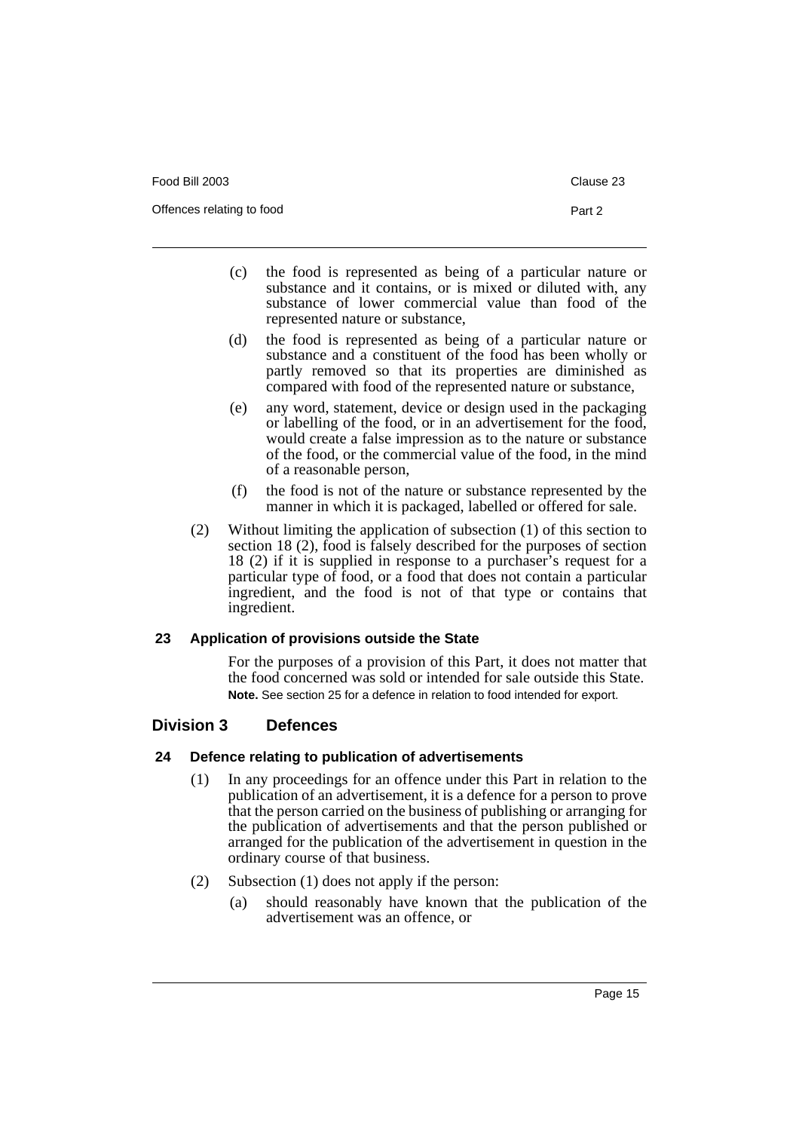Food Bill 2003 Clause 23

Offences relating to food Part 2

- (c) the food is represented as being of a particular nature or substance and it contains, or is mixed or diluted with, any substance of lower commercial value than food of the represented nature or substance,
- (d) the food is represented as being of a particular nature or substance and a constituent of the food has been wholly or partly removed so that its properties are diminished as compared with food of the represented nature or substance,
- (e) any word, statement, device or design used in the packaging or labelling of the food, or in an advertisement for the food, would create a false impression as to the nature or substance of the food, or the commercial value of the food, in the mind of a reasonable person,
- (f) the food is not of the nature or substance represented by the manner in which it is packaged, labelled or offered for sale.
- (2) Without limiting the application of subsection (1) of this section to section 18 (2), food is falsely described for the purposes of section 18 (2) if it is supplied in response to a purchaser's request for a particular type of food, or a food that does not contain a particular ingredient, and the food is not of that type or contains that ingredient.

#### <span id="page-20-0"></span>**23 Application of provisions outside the State**

For the purposes of a provision of this Part, it does not matter that the food concerned was sold or intended for sale outside this State. **Note.** See section 25 for a defence in relation to food intended for export.

# <span id="page-20-1"></span>**Division 3 Defences**

# <span id="page-20-2"></span>**24 Defence relating to publication of advertisements**

- (1) In any proceedings for an offence under this Part in relation to the publication of an advertisement, it is a defence for a person to prove that the person carried on the business of publishing or arranging for the publication of advertisements and that the person published or arranged for the publication of the advertisement in question in the ordinary course of that business.
- (2) Subsection (1) does not apply if the person:
	- (a) should reasonably have known that the publication of the advertisement was an offence, or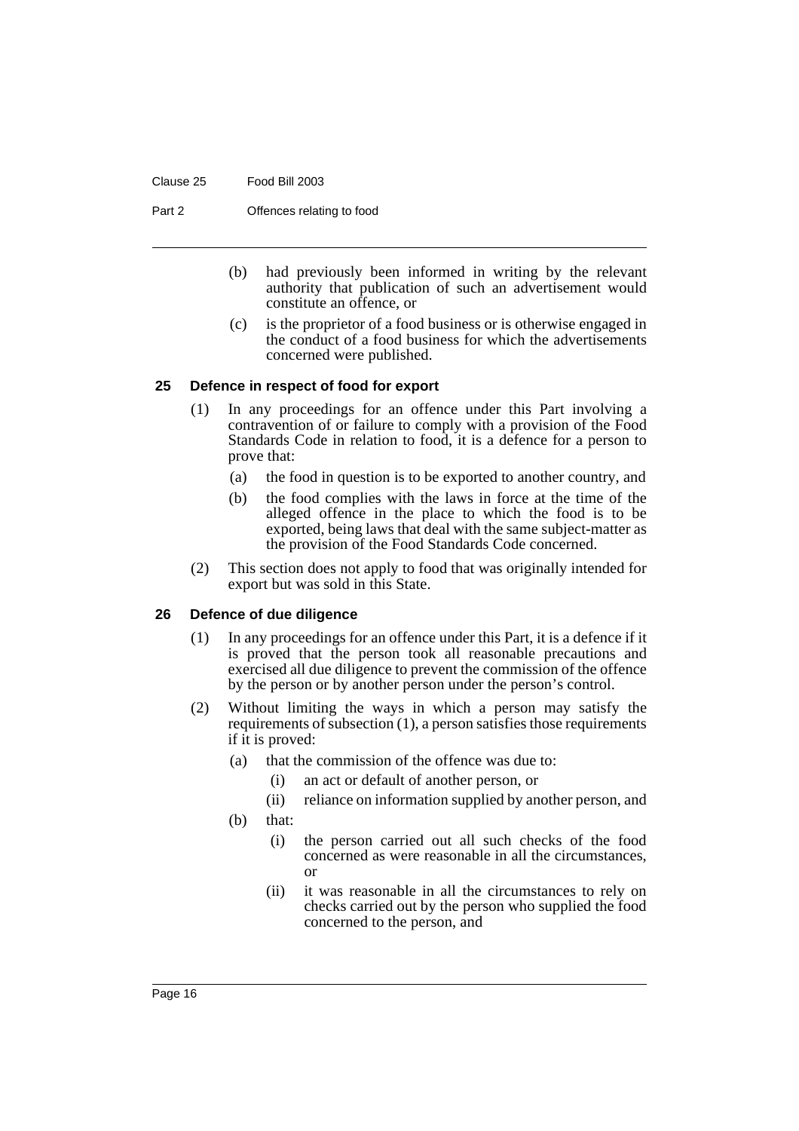Clause 25 Food Bill 2003

Part 2 **Offences relating to food** 

- (b) had previously been informed in writing by the relevant authority that publication of such an advertisement would constitute an offence, or
- (c) is the proprietor of a food business or is otherwise engaged in the conduct of a food business for which the advertisements concerned were published.

#### <span id="page-21-0"></span>**25 Defence in respect of food for export**

- (1) In any proceedings for an offence under this Part involving a contravention of or failure to comply with a provision of the Food Standards Code in relation to food, it is a defence for a person to prove that:
	- (a) the food in question is to be exported to another country, and
	- (b) the food complies with the laws in force at the time of the alleged offence in the place to which the food is to be exported, being laws that deal with the same subject-matter as the provision of the Food Standards Code concerned.
- (2) This section does not apply to food that was originally intended for export but was sold in this State.

#### <span id="page-21-1"></span>**26 Defence of due diligence**

- (1) In any proceedings for an offence under this Part, it is a defence if it is proved that the person took all reasonable precautions and exercised all due diligence to prevent the commission of the offence by the person or by another person under the person's control.
- (2) Without limiting the ways in which a person may satisfy the requirements of subsection (1), a person satisfies those requirements if it is proved:
	- (a) that the commission of the offence was due to:
		- (i) an act or default of another person, or
		- (ii) reliance on information supplied by another person, and
	- (b) that:
		- (i) the person carried out all such checks of the food concerned as were reasonable in all the circumstances, or
		- (ii) it was reasonable in all the circumstances to rely on checks carried out by the person who supplied the food concerned to the person, and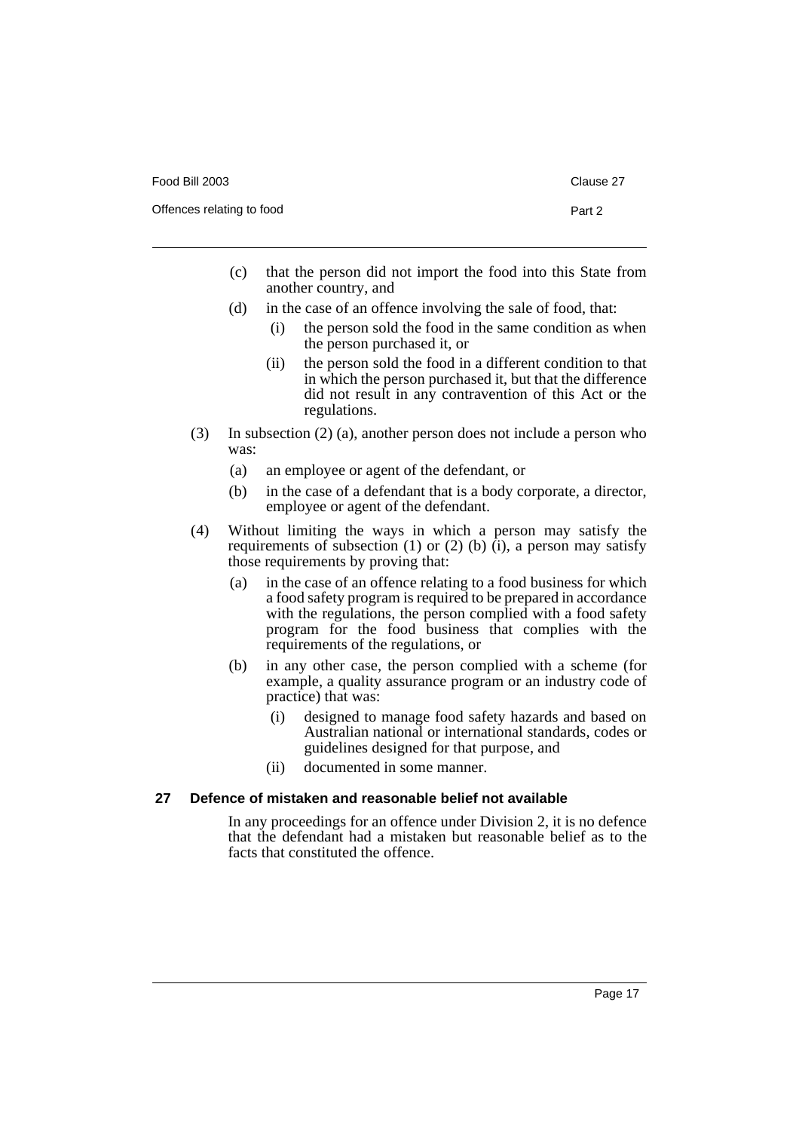| Food Bill 2003            | Clause 27 |
|---------------------------|-----------|
| Offences relating to food | Part 2    |

- (c) that the person did not import the food into this State from another country, and
- (d) in the case of an offence involving the sale of food, that:
	- (i) the person sold the food in the same condition as when the person purchased it, or
	- (ii) the person sold the food in a different condition to that in which the person purchased it, but that the difference did not result in any contravention of this Act or the regulations.
- (3) In subsection (2) (a), another person does not include a person who was:
	- (a) an employee or agent of the defendant, or
	- (b) in the case of a defendant that is a body corporate, a director, employee or agent of the defendant.
- (4) Without limiting the ways in which a person may satisfy the requirements of subsection (1) or (2) (b) (i), a person may satisfy those requirements by proving that:
	- (a) in the case of an offence relating to a food business for which a food safety program is required to be prepared in accordance with the regulations, the person complied with a food safety program for the food business that complies with the requirements of the regulations, or
	- (b) in any other case, the person complied with a scheme (for example, a quality assurance program or an industry code of practice) that was:
		- (i) designed to manage food safety hazards and based on Australian national or international standards, codes or guidelines designed for that purpose, and
		- (ii) documented in some manner.

#### <span id="page-22-0"></span>**27 Defence of mistaken and reasonable belief not available**

In any proceedings for an offence under Division 2, it is no defence that the defendant had a mistaken but reasonable belief as to the facts that constituted the offence.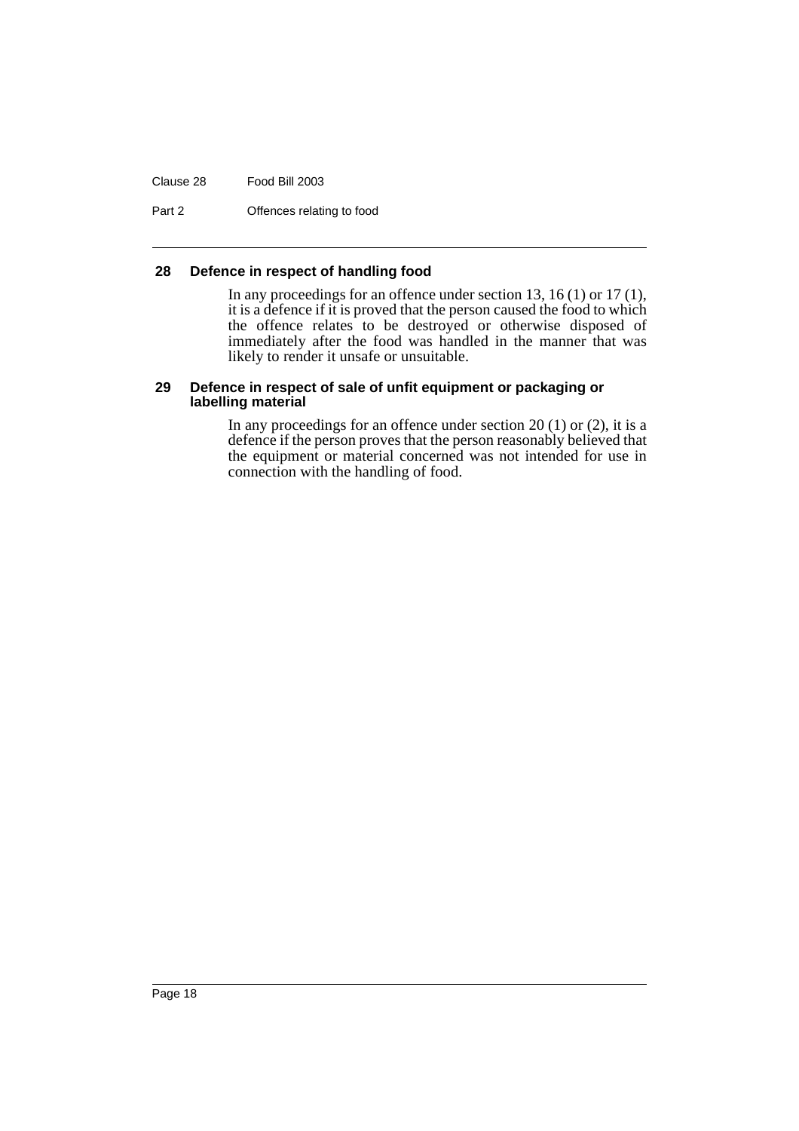Clause 28 Food Bill 2003

Part 2 **Offences relating to food** 

#### <span id="page-23-0"></span>**28 Defence in respect of handling food**

In any proceedings for an offence under section 13, 16 (1) or 17 (1), it is a defence if it is proved that the person caused the food to which the offence relates to be destroyed or otherwise disposed of immediately after the food was handled in the manner that was likely to render it unsafe or unsuitable.

#### <span id="page-23-1"></span>**29 Defence in respect of sale of unfit equipment or packaging or labelling material**

In any proceedings for an offence under section  $20(1)$  or  $(2)$ , it is a defence if the person proves that the person reasonably believed that the equipment or material concerned was not intended for use in connection with the handling of food.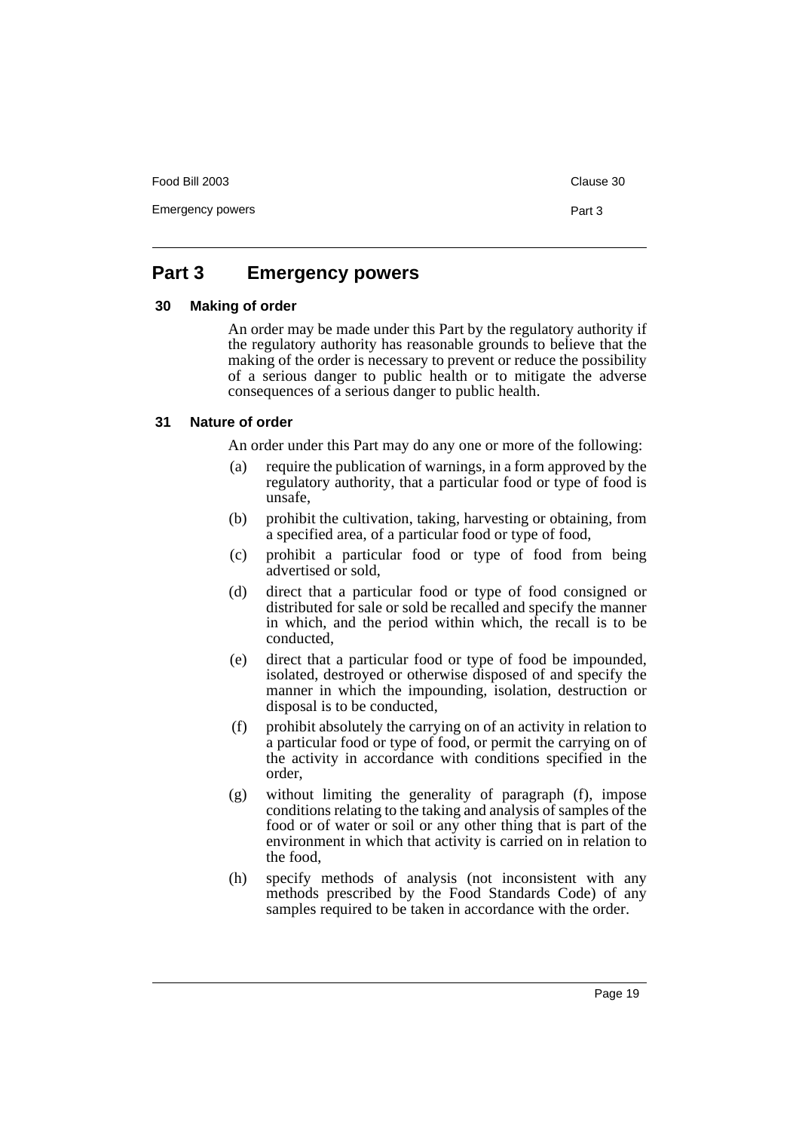Food Bill 2003 Clause 30

Emergency powers **Part 3** 

# <span id="page-24-0"></span>**Part 3 Emergency powers**

#### <span id="page-24-1"></span>**30 Making of order**

An order may be made under this Part by the regulatory authority if the regulatory authority has reasonable grounds to believe that the making of the order is necessary to prevent or reduce the possibility of a serious danger to public health or to mitigate the adverse consequences of a serious danger to public health.

#### <span id="page-24-2"></span>**31 Nature of order**

An order under this Part may do any one or more of the following:

- (a) require the publication of warnings, in a form approved by the regulatory authority, that a particular food or type of food is unsafe,
- (b) prohibit the cultivation, taking, harvesting or obtaining, from a specified area, of a particular food or type of food,
- (c) prohibit a particular food or type of food from being advertised or sold,
- (d) direct that a particular food or type of food consigned or distributed for sale or sold be recalled and specify the manner in which, and the period within which, the recall is to be conducted,
- (e) direct that a particular food or type of food be impounded, isolated, destroyed or otherwise disposed of and specify the manner in which the impounding, isolation, destruction or disposal is to be conducted,
- (f) prohibit absolutely the carrying on of an activity in relation to a particular food or type of food, or permit the carrying on of the activity in accordance with conditions specified in the order,
- (g) without limiting the generality of paragraph (f), impose conditions relating to the taking and analysis of samples of the food or of water or soil or any other thing that is part of the environment in which that activity is carried on in relation to the food,
- (h) specify methods of analysis (not inconsistent with any methods prescribed by the Food Standards Code) of any samples required to be taken in accordance with the order.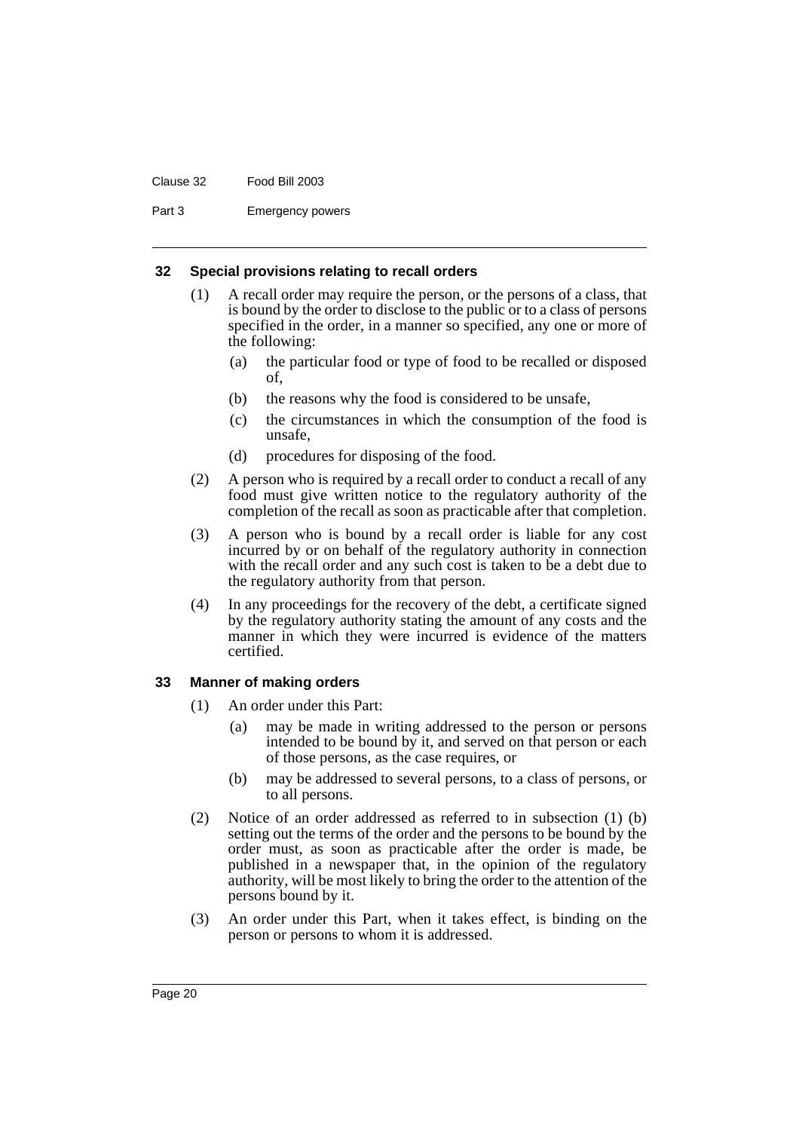#### Clause 32 Food Bill 2003

Part 3 Emergency powers

#### <span id="page-25-0"></span>**32 Special provisions relating to recall orders**

- (1) A recall order may require the person, or the persons of a class, that is bound by the order to disclose to the public or to a class of persons specified in the order, in a manner so specified, any one or more of the following:
	- (a) the particular food or type of food to be recalled or disposed of,
	- (b) the reasons why the food is considered to be unsafe,
	- (c) the circumstances in which the consumption of the food is unsafe,
	- (d) procedures for disposing of the food.
- (2) A person who is required by a recall order to conduct a recall of any food must give written notice to the regulatory authority of the completion of the recall as soon as practicable after that completion.
- (3) A person who is bound by a recall order is liable for any cost incurred by or on behalf of the regulatory authority in connection with the recall order and any such cost is taken to be a debt due to the regulatory authority from that person.
- (4) In any proceedings for the recovery of the debt, a certificate signed by the regulatory authority stating the amount of any costs and the manner in which they were incurred is evidence of the matters certified.

#### <span id="page-25-1"></span>**33 Manner of making orders**

- (1) An order under this Part:
	- (a) may be made in writing addressed to the person or persons intended to be bound by it, and served on that person or each of those persons, as the case requires, or
	- (b) may be addressed to several persons, to a class of persons, or to all persons.
- (2) Notice of an order addressed as referred to in subsection (1) (b) setting out the terms of the order and the persons to be bound by the order must, as soon as practicable after the order is made, be published in a newspaper that, in the opinion of the regulatory authority, will be most likely to bring the order to the attention of the persons bound by it.
- (3) An order under this Part, when it takes effect, is binding on the person or persons to whom it is addressed.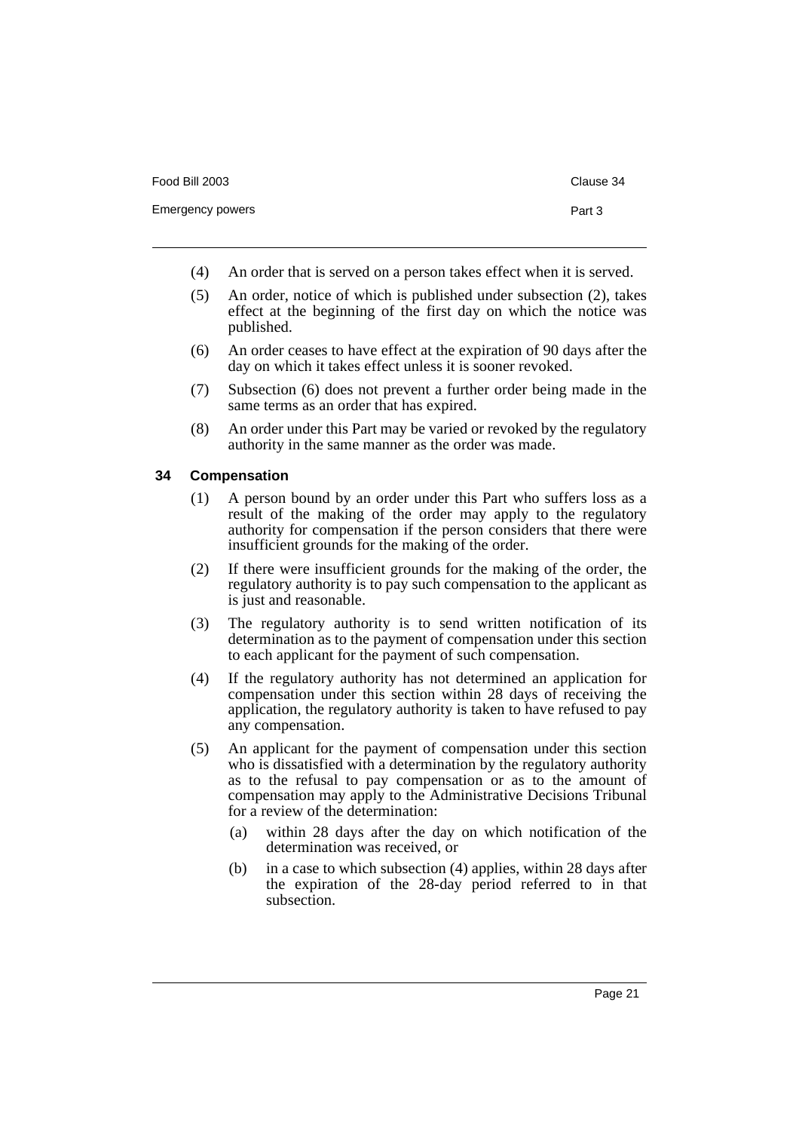- 
- (4) An order that is served on a person takes effect when it is served.
- (5) An order, notice of which is published under subsection (2), takes effect at the beginning of the first day on which the notice was published.
- (6) An order ceases to have effect at the expiration of 90 days after the day on which it takes effect unless it is sooner revoked.
- (7) Subsection (6) does not prevent a further order being made in the same terms as an order that has expired.
- (8) An order under this Part may be varied or revoked by the regulatory authority in the same manner as the order was made.

#### <span id="page-26-0"></span>**34 Compensation**

- (1) A person bound by an order under this Part who suffers loss as a result of the making of the order may apply to the regulatory authority for compensation if the person considers that there were insufficient grounds for the making of the order.
- (2) If there were insufficient grounds for the making of the order, the regulatory authority is to pay such compensation to the applicant as is just and reasonable.
- (3) The regulatory authority is to send written notification of its determination as to the payment of compensation under this section to each applicant for the payment of such compensation.
- (4) If the regulatory authority has not determined an application for compensation under this section within 28 days of receiving the application, the regulatory authority is taken to have refused to pay any compensation.
- (5) An applicant for the payment of compensation under this section who is dissatisfied with a determination by the regulatory authority as to the refusal to pay compensation or as to the amount of compensation may apply to the Administrative Decisions Tribunal for a review of the determination:
	- (a) within 28 days after the day on which notification of the determination was received, or
	- (b) in a case to which subsection (4) applies, within 28 days after the expiration of the 28-day period referred to in that subsection.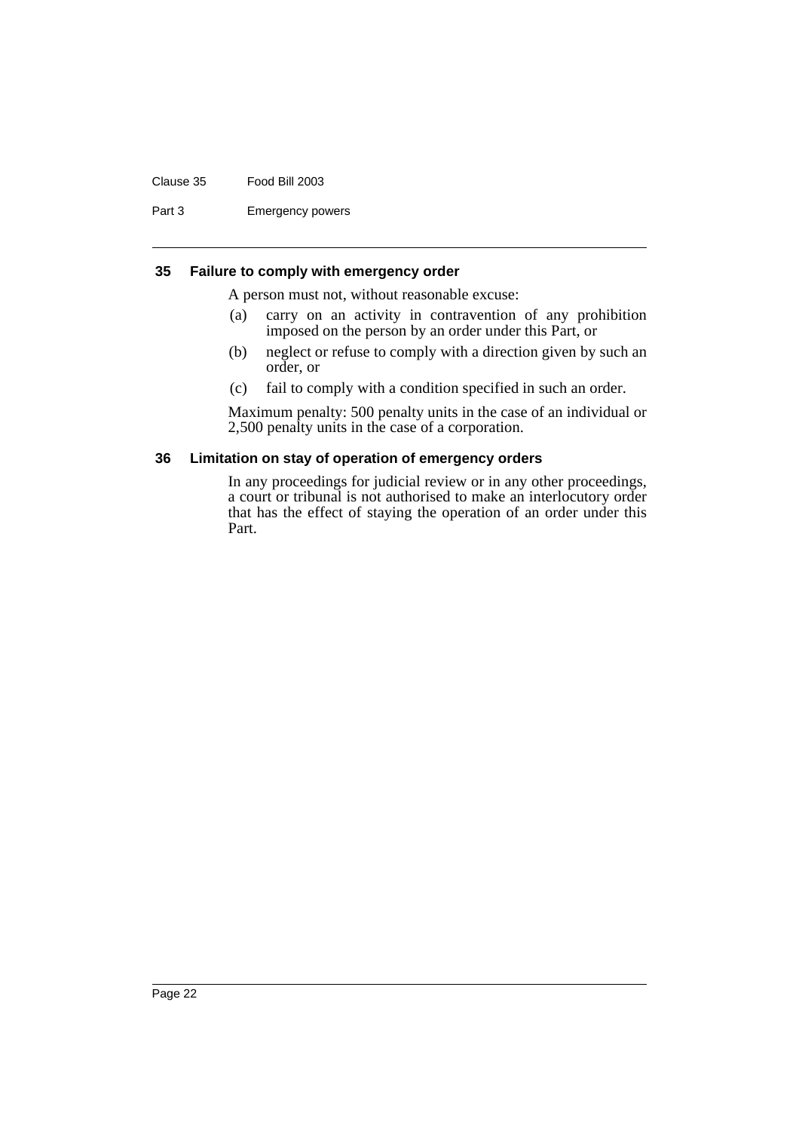#### Clause 35 Food Bill 2003

Part 3 Emergency powers

#### <span id="page-27-0"></span>**35 Failure to comply with emergency order**

A person must not, without reasonable excuse:

- (a) carry on an activity in contravention of any prohibition imposed on the person by an order under this Part, or
- (b) neglect or refuse to comply with a direction given by such an order, or
- (c) fail to comply with a condition specified in such an order.

Maximum penalty: 500 penalty units in the case of an individual or 2,500 penalty units in the case of a corporation.

#### <span id="page-27-1"></span>**36 Limitation on stay of operation of emergency orders**

In any proceedings for judicial review or in any other proceedings, a court or tribunal is not authorised to make an interlocutory order that has the effect of staying the operation of an order under this Part.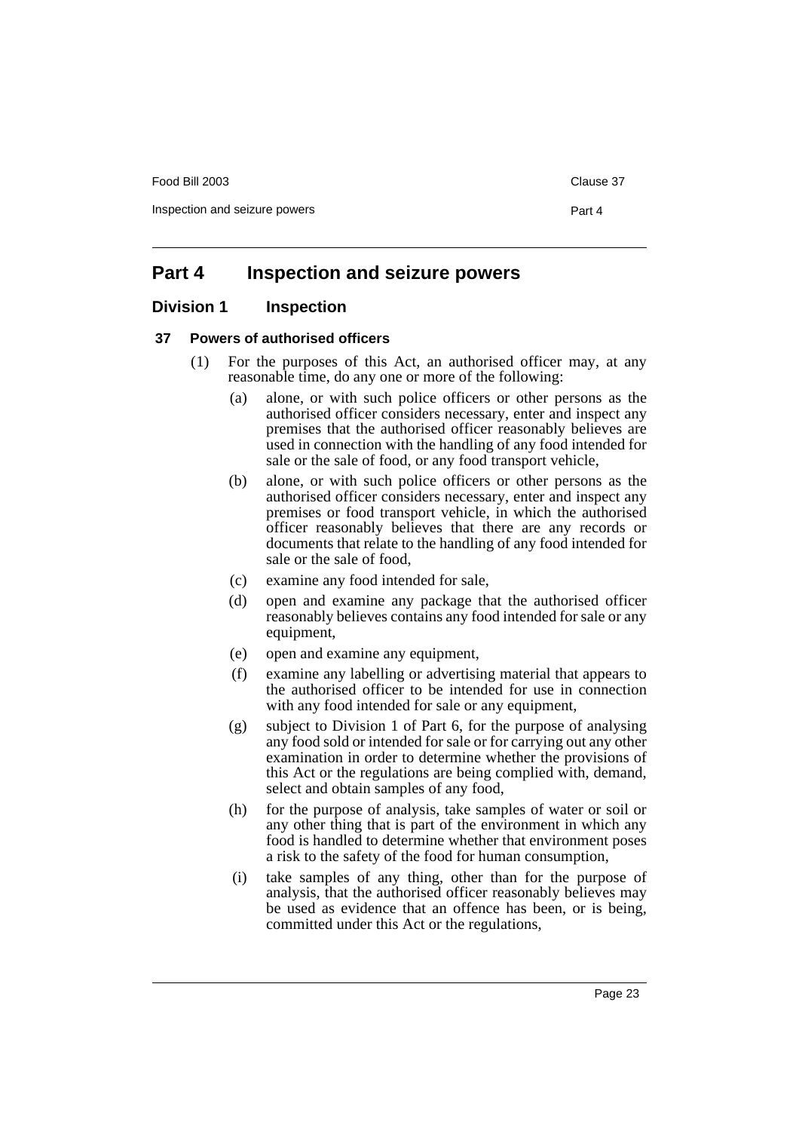Food Bill 2003 Clause 37

Inspection and seizure powers **Part 4** 

# <span id="page-28-0"></span>**Part 4 Inspection and seizure powers**

# <span id="page-28-1"></span>**Division 1 Inspection**

#### <span id="page-28-2"></span>**37 Powers of authorised officers**

- (1) For the purposes of this Act, an authorised officer may, at any reasonable time, do any one or more of the following:
	- (a) alone, or with such police officers or other persons as the authorised officer considers necessary, enter and inspect any premises that the authorised officer reasonably believes are used in connection with the handling of any food intended for sale or the sale of food, or any food transport vehicle,
	- (b) alone, or with such police officers or other persons as the authorised officer considers necessary, enter and inspect any premises or food transport vehicle, in which the authorised officer reasonably believes that there are any records or documents that relate to the handling of any food intended for sale or the sale of food,
	- (c) examine any food intended for sale,
	- (d) open and examine any package that the authorised officer reasonably believes contains any food intended for sale or any equipment,
	- (e) open and examine any equipment,
	- (f) examine any labelling or advertising material that appears to the authorised officer to be intended for use in connection with any food intended for sale or any equipment,
	- (g) subject to Division 1 of Part 6, for the purpose of analysing any food sold or intended for sale or for carrying out any other examination in order to determine whether the provisions of this Act or the regulations are being complied with, demand, select and obtain samples of any food,
	- (h) for the purpose of analysis, take samples of water or soil or any other thing that is part of the environment in which any food is handled to determine whether that environment poses a risk to the safety of the food for human consumption,
	- (i) take samples of any thing, other than for the purpose of analysis, that the authorised officer reasonably believes may be used as evidence that an offence has been, or is being, committed under this Act or the regulations,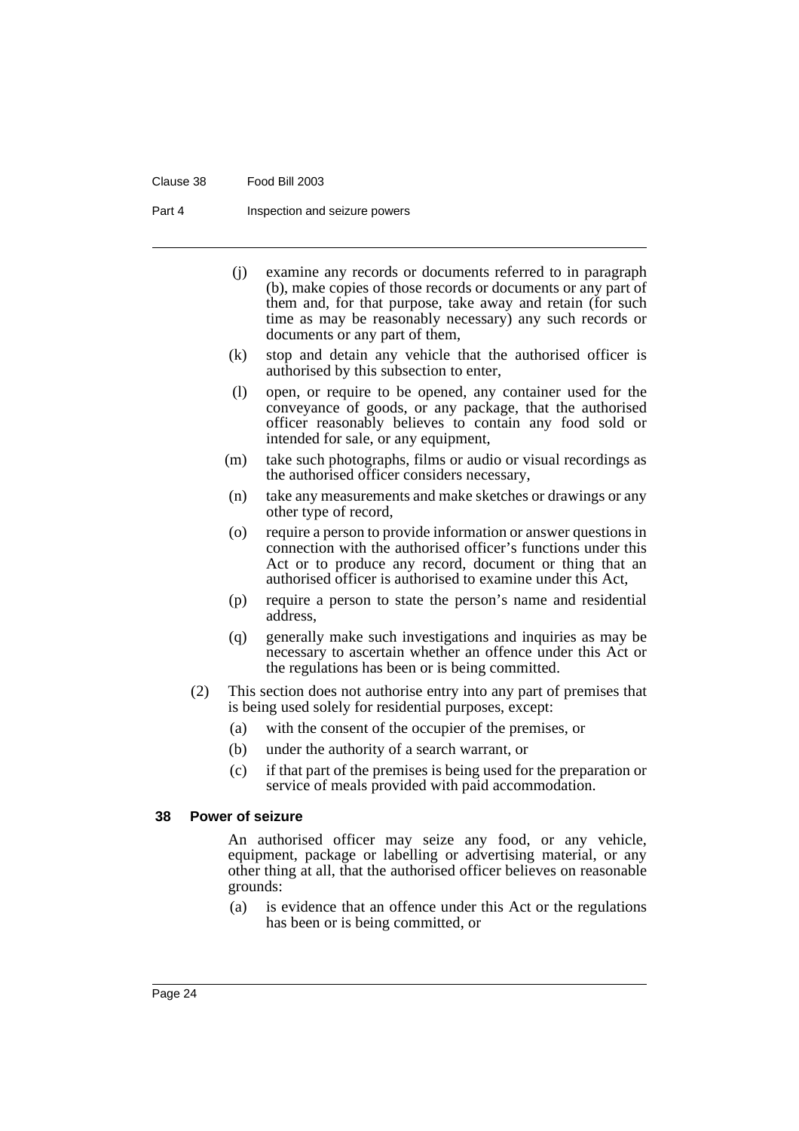#### Clause 38 Food Bill 2003

Part 4 **Inspection and seizure powers** 

- (j) examine any records or documents referred to in paragraph (b), make copies of those records or documents or any part of them and, for that purpose, take away and retain (for such time as may be reasonably necessary) any such records or documents or any part of them,
- (k) stop and detain any vehicle that the authorised officer is authorised by this subsection to enter,
- (l) open, or require to be opened, any container used for the conveyance of goods, or any package, that the authorised officer reasonably believes to contain any food sold or intended for sale, or any equipment,
- (m) take such photographs, films or audio or visual recordings as the authorised officer considers necessary,
- (n) take any measurements and make sketches or drawings or any other type of record,
- (o) require a person to provide information or answer questions in connection with the authorised officer's functions under this Act or to produce any record, document or thing that an authorised officer is authorised to examine under this Act,
- (p) require a person to state the person's name and residential address,
- (q) generally make such investigations and inquiries as may be necessary to ascertain whether an offence under this Act or the regulations has been or is being committed.
- (2) This section does not authorise entry into any part of premises that is being used solely for residential purposes, except:
	- (a) with the consent of the occupier of the premises, or
	- (b) under the authority of a search warrant, or
	- (c) if that part of the premises is being used for the preparation or service of meals provided with paid accommodation.

#### <span id="page-29-0"></span>**38 Power of seizure**

An authorised officer may seize any food, or any vehicle, equipment, package or labelling or advertising material, or any other thing at all, that the authorised officer believes on reasonable grounds:

(a) is evidence that an offence under this Act or the regulations has been or is being committed, or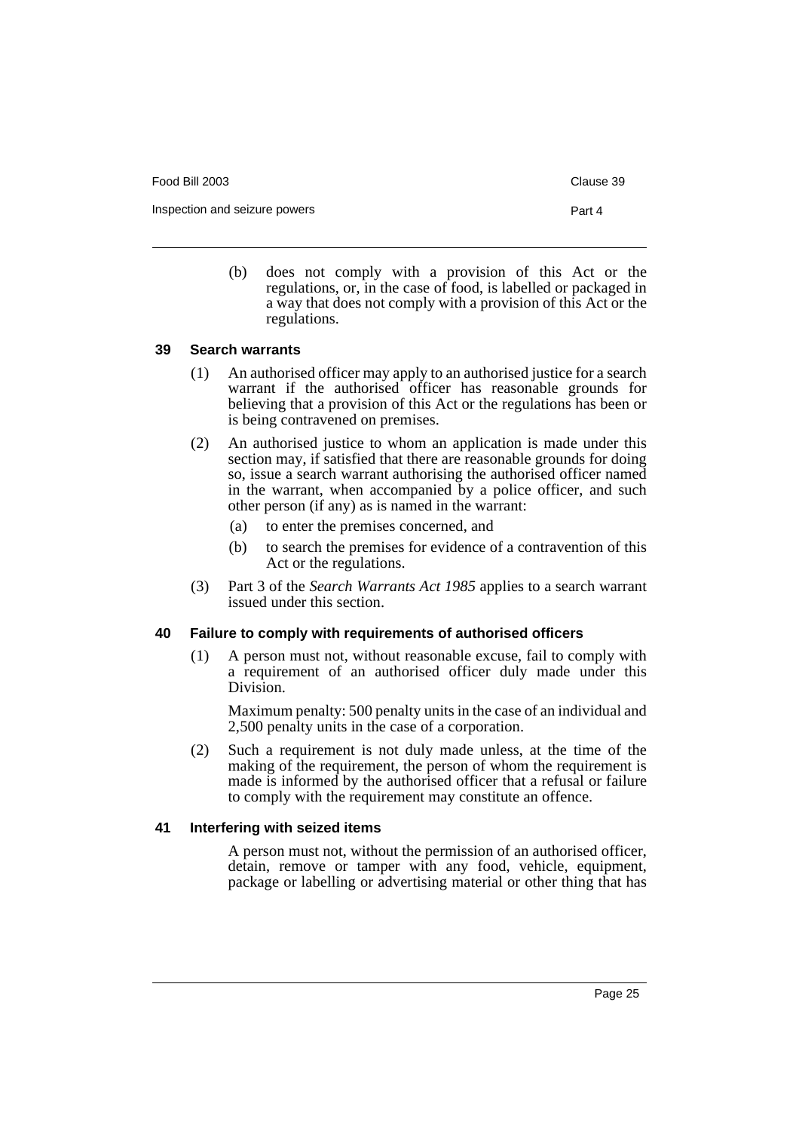Food Bill 2003 **Clause 39** 

Inspection and seizure powers **Part 4** 

(b) does not comply with a provision of this Act or the regulations, or, in the case of food, is labelled or packaged in a way that does not comply with a provision of this Act or the regulations.

#### <span id="page-30-0"></span>**39 Search warrants**

- (1) An authorised officer may apply to an authorised justice for a search warrant if the authorised officer has reasonable grounds for believing that a provision of this Act or the regulations has been or is being contravened on premises.
- (2) An authorised justice to whom an application is made under this section may, if satisfied that there are reasonable grounds for doing so, issue a search warrant authorising the authorised officer named in the warrant, when accompanied by a police officer, and such other person (if any) as is named in the warrant:
	- (a) to enter the premises concerned, and
	- (b) to search the premises for evidence of a contravention of this Act or the regulations.
- (3) Part 3 of the *Search Warrants Act 1985* applies to a search warrant issued under this section.

#### <span id="page-30-1"></span>**40 Failure to comply with requirements of authorised officers**

(1) A person must not, without reasonable excuse, fail to comply with a requirement of an authorised officer duly made under this Division.

Maximum penalty: 500 penalty units in the case of an individual and 2,500 penalty units in the case of a corporation.

(2) Such a requirement is not duly made unless, at the time of the making of the requirement, the person of whom the requirement is made is informed by the authorised officer that a refusal or failure to comply with the requirement may constitute an offence.

#### <span id="page-30-2"></span>**41 Interfering with seized items**

A person must not, without the permission of an authorised officer, detain, remove or tamper with any food, vehicle, equipment, package or labelling or advertising material or other thing that has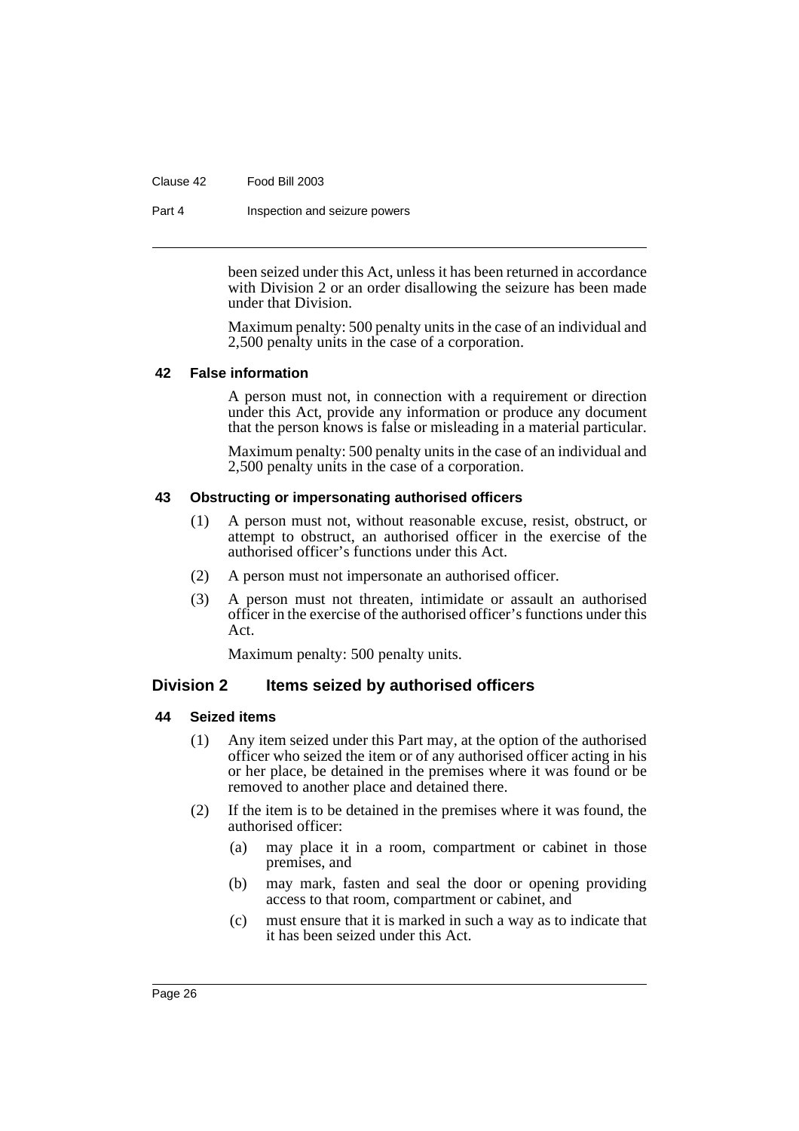Clause 42 Food Bill 2003

Part 4 **Inspection and seizure powers** 

been seized under this Act, unless it has been returned in accordance with Division 2 or an order disallowing the seizure has been made under that Division.

Maximum penalty: 500 penalty units in the case of an individual and 2,500 penalty units in the case of a corporation.

#### <span id="page-31-0"></span>**42 False information**

A person must not, in connection with a requirement or direction under this Act, provide any information or produce any document that the person knows is false or misleading in a material particular.

Maximum penalty: 500 penalty units in the case of an individual and 2,500 penalty units in the case of a corporation.

#### <span id="page-31-1"></span>**43 Obstructing or impersonating authorised officers**

- (1) A person must not, without reasonable excuse, resist, obstruct, or attempt to obstruct, an authorised officer in the exercise of the authorised officer's functions under this Act.
- (2) A person must not impersonate an authorised officer.
- (3) A person must not threaten, intimidate or assault an authorised officer in the exercise of the authorised officer's functions under this Act.

Maximum penalty: 500 penalty units.

# <span id="page-31-2"></span>**Division 2 Items seized by authorised officers**

#### <span id="page-31-3"></span>**44 Seized items**

- (1) Any item seized under this Part may, at the option of the authorised officer who seized the item or of any authorised officer acting in his or her place, be detained in the premises where it was found or be removed to another place and detained there.
- (2) If the item is to be detained in the premises where it was found, the authorised officer:
	- (a) may place it in a room, compartment or cabinet in those premises, and
	- (b) may mark, fasten and seal the door or opening providing access to that room, compartment or cabinet, and
	- (c) must ensure that it is marked in such a way as to indicate that it has been seized under this Act.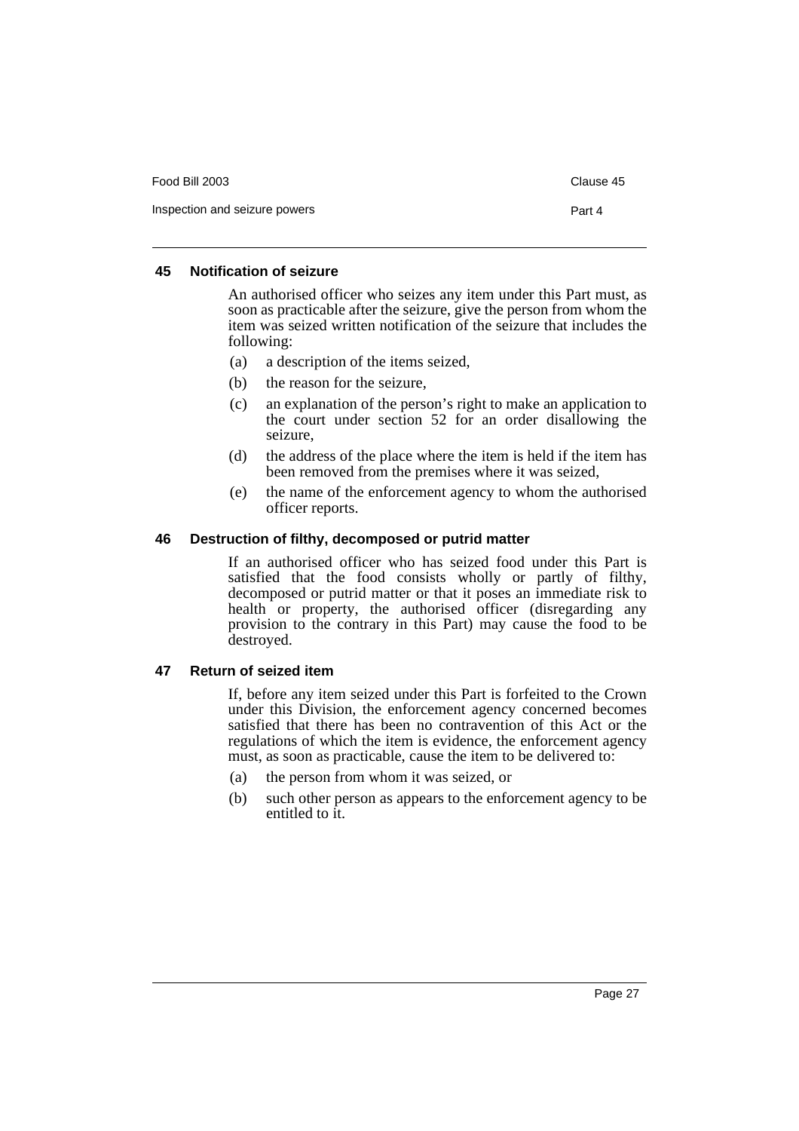| Food Bill 2003                | Clause 45 |
|-------------------------------|-----------|
| Inspection and seizure powers | Part 4    |

#### <span id="page-32-0"></span>**45 Notification of seizure**

An authorised officer who seizes any item under this Part must, as soon as practicable after the seizure, give the person from whom the item was seized written notification of the seizure that includes the following:

- (a) a description of the items seized,
- (b) the reason for the seizure,
- (c) an explanation of the person's right to make an application to the court under section 52 for an order disallowing the seizure,
- (d) the address of the place where the item is held if the item has been removed from the premises where it was seized,
- (e) the name of the enforcement agency to whom the authorised officer reports.

#### <span id="page-32-1"></span>**46 Destruction of filthy, decomposed or putrid matter**

If an authorised officer who has seized food under this Part is satisfied that the food consists wholly or partly of filthy, decomposed or putrid matter or that it poses an immediate risk to health or property, the authorised officer (disregarding any provision to the contrary in this Part) may cause the food to be destroyed.

#### <span id="page-32-2"></span>**47 Return of seized item**

If, before any item seized under this Part is forfeited to the Crown under this Division, the enforcement agency concerned becomes satisfied that there has been no contravention of this Act or the regulations of which the item is evidence, the enforcement agency must, as soon as practicable, cause the item to be delivered to:

- (a) the person from whom it was seized, or
- (b) such other person as appears to the enforcement agency to be entitled to it.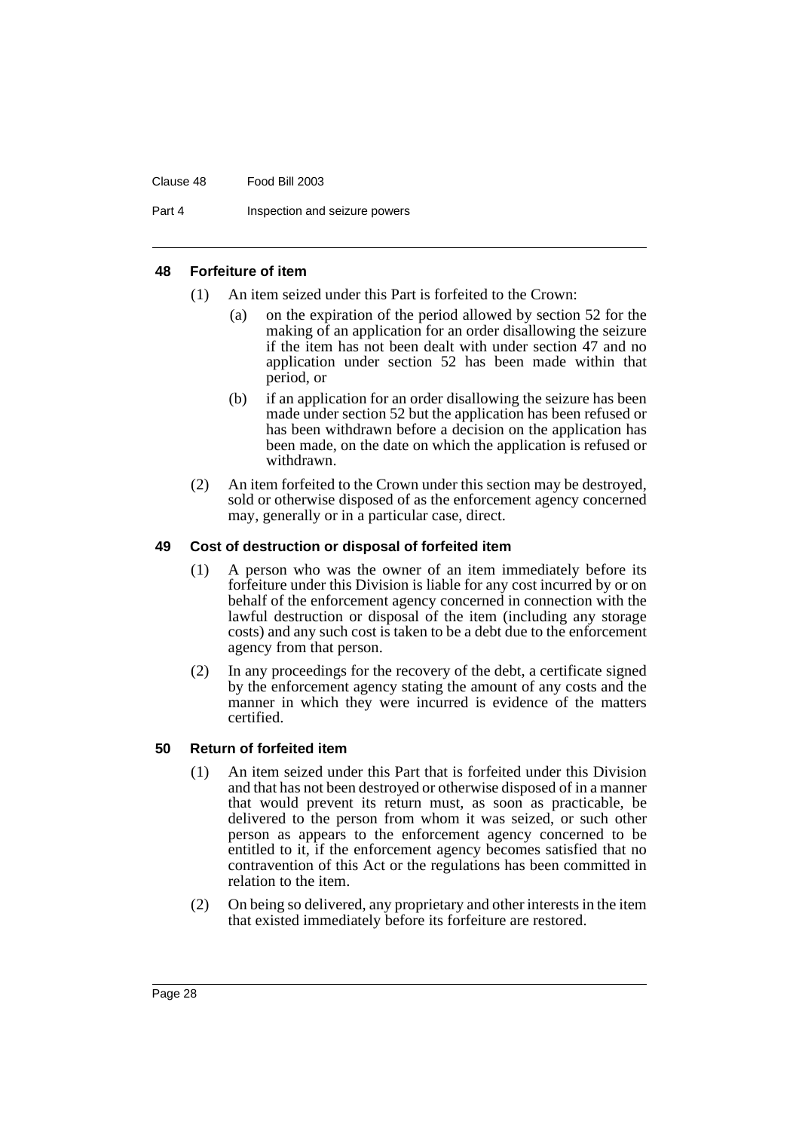#### Clause 48 Food Bill 2003

Part 4 **Inspection and seizure powers** 

#### <span id="page-33-0"></span>**48 Forfeiture of item**

- (1) An item seized under this Part is forfeited to the Crown:
	- (a) on the expiration of the period allowed by section 52 for the making of an application for an order disallowing the seizure if the item has not been dealt with under section 47 and no application under section 52 has been made within that period, or
	- (b) if an application for an order disallowing the seizure has been made under section 52 but the application has been refused or has been withdrawn before a decision on the application has been made, on the date on which the application is refused or withdrawn.
- (2) An item forfeited to the Crown under this section may be destroyed, sold or otherwise disposed of as the enforcement agency concerned may, generally or in a particular case, direct.

#### <span id="page-33-1"></span>**49 Cost of destruction or disposal of forfeited item**

- (1) A person who was the owner of an item immediately before its forfeiture under this Division is liable for any cost incurred by or on behalf of the enforcement agency concerned in connection with the lawful destruction or disposal of the item (including any storage costs) and any such cost is taken to be a debt due to the enforcement agency from that person.
- (2) In any proceedings for the recovery of the debt, a certificate signed by the enforcement agency stating the amount of any costs and the manner in which they were incurred is evidence of the matters certified.

#### <span id="page-33-2"></span>**50 Return of forfeited item**

- (1) An item seized under this Part that is forfeited under this Division and that has not been destroyed or otherwise disposed of in a manner that would prevent its return must, as soon as practicable, be delivered to the person from whom it was seized, or such other person as appears to the enforcement agency concerned to be entitled to it, if the enforcement agency becomes satisfied that no contravention of this Act or the regulations has been committed in relation to the item.
- (2) On being so delivered, any proprietary and other interests in the item that existed immediately before its forfeiture are restored.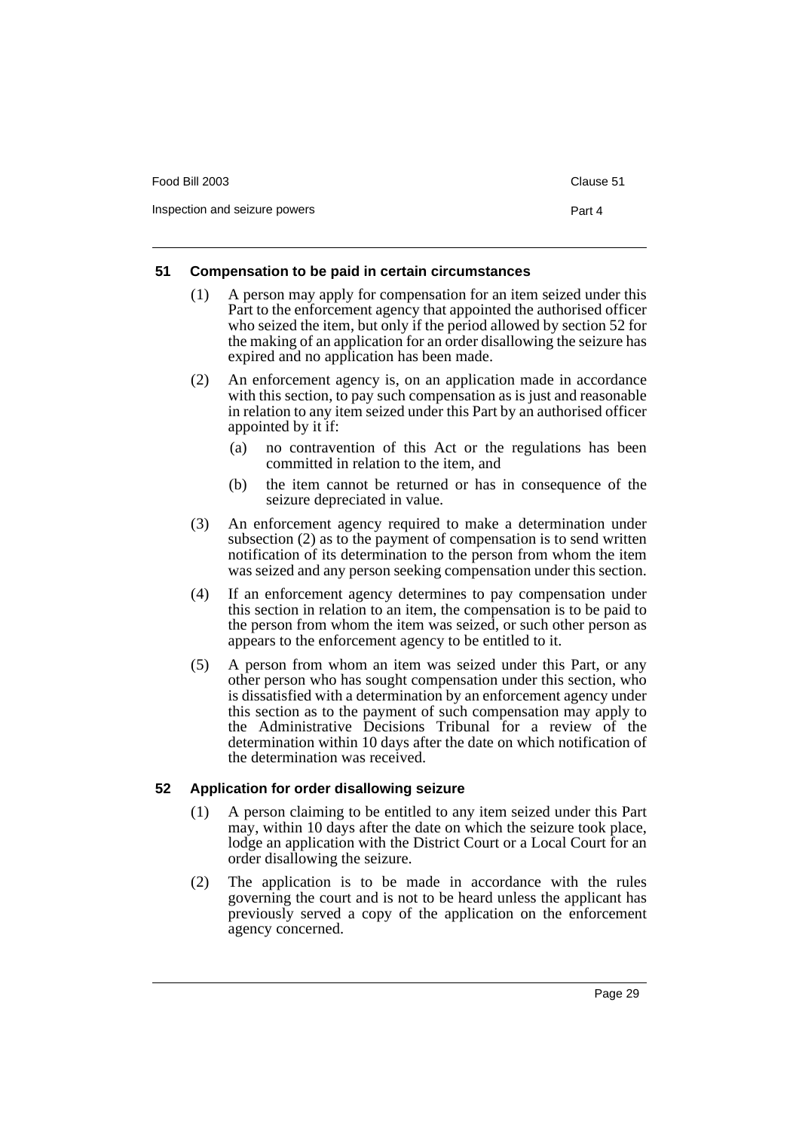| Food Bill 2003                | Clause 51 |
|-------------------------------|-----------|
| Inspection and seizure powers | Part 4    |

### <span id="page-34-0"></span>**51 Compensation to be paid in certain circumstances**

- (1) A person may apply for compensation for an item seized under this Part to the enforcement agency that appointed the authorised officer who seized the item, but only if the period allowed by section 52 for the making of an application for an order disallowing the seizure has expired and no application has been made.
- (2) An enforcement agency is, on an application made in accordance with this section, to pay such compensation as is just and reasonable in relation to any item seized under this Part by an authorised officer appointed by it if:
	- (a) no contravention of this Act or the regulations has been committed in relation to the item, and
	- (b) the item cannot be returned or has in consequence of the seizure depreciated in value.
- (3) An enforcement agency required to make a determination under subsection (2) as to the payment of compensation is to send written notification of its determination to the person from whom the item was seized and any person seeking compensation under this section.
- (4) If an enforcement agency determines to pay compensation under this section in relation to an item, the compensation is to be paid to the person from whom the item was seized, or such other person as appears to the enforcement agency to be entitled to it.
- (5) A person from whom an item was seized under this Part, or any other person who has sought compensation under this section, who is dissatisfied with a determination by an enforcement agency under this section as to the payment of such compensation may apply to the Administrative Decisions Tribunal for a review of the determination within 10 days after the date on which notification of the determination was received.

# <span id="page-34-1"></span>**52 Application for order disallowing seizure**

- (1) A person claiming to be entitled to any item seized under this Part may, within 10 days after the date on which the seizure took place, lodge an application with the District Court or a Local Court for an order disallowing the seizure.
- (2) The application is to be made in accordance with the rules governing the court and is not to be heard unless the applicant has previously served a copy of the application on the enforcement agency concerned.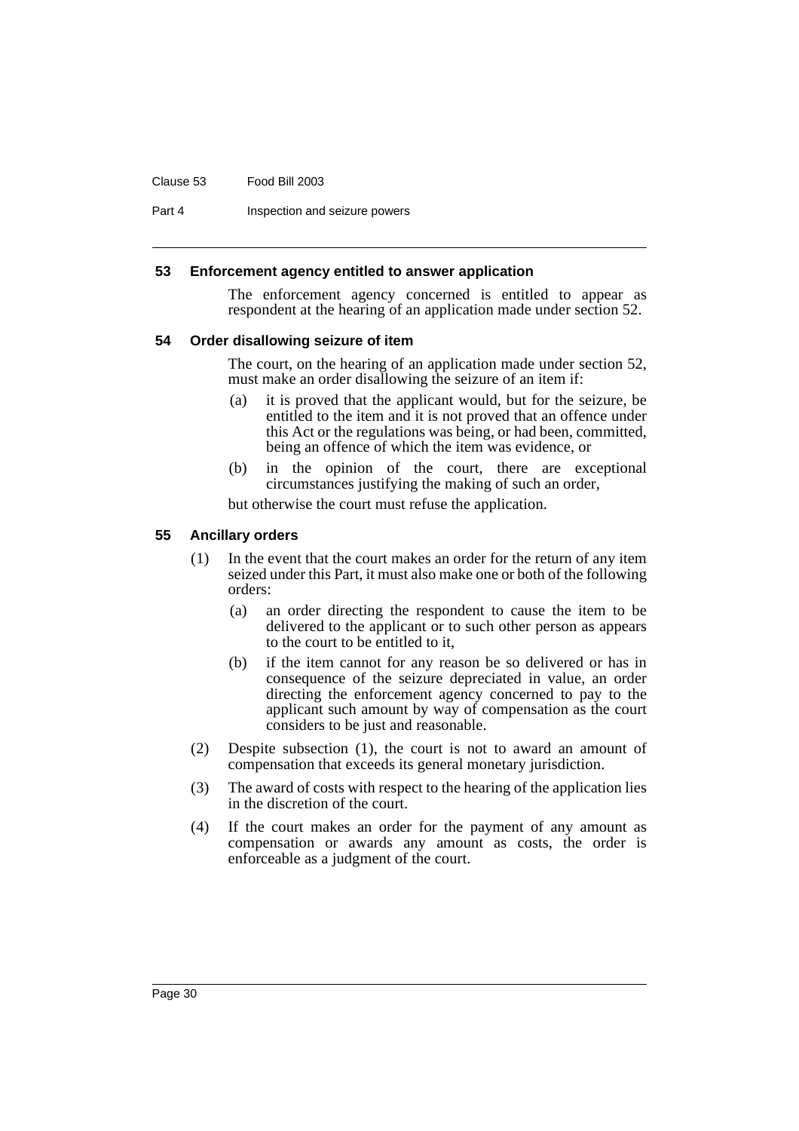#### Clause 53 Food Bill 2003

Part 4 **Inspection and seizure powers** 

#### <span id="page-35-0"></span>**53 Enforcement agency entitled to answer application**

The enforcement agency concerned is entitled to appear as respondent at the hearing of an application made under section 52.

#### <span id="page-35-1"></span>**54 Order disallowing seizure of item**

The court, on the hearing of an application made under section 52, must make an order disallowing the seizure of an item if:

- (a) it is proved that the applicant would, but for the seizure, be entitled to the item and it is not proved that an offence under this Act or the regulations was being, or had been, committed, being an offence of which the item was evidence, or
- (b) in the opinion of the court, there are exceptional circumstances justifying the making of such an order,

but otherwise the court must refuse the application.

#### <span id="page-35-2"></span>**55 Ancillary orders**

- (1) In the event that the court makes an order for the return of any item seized under this Part, it must also make one or both of the following orders:
	- (a) an order directing the respondent to cause the item to be delivered to the applicant or to such other person as appears to the court to be entitled to it,
	- (b) if the item cannot for any reason be so delivered or has in consequence of the seizure depreciated in value, an order directing the enforcement agency concerned to pay to the applicant such amount by way of compensation as the court considers to be just and reasonable.
- (2) Despite subsection (1), the court is not to award an amount of compensation that exceeds its general monetary jurisdiction.
- (3) The award of costs with respect to the hearing of the application lies in the discretion of the court.
- (4) If the court makes an order for the payment of any amount as compensation or awards any amount as costs, the order is enforceable as a judgment of the court.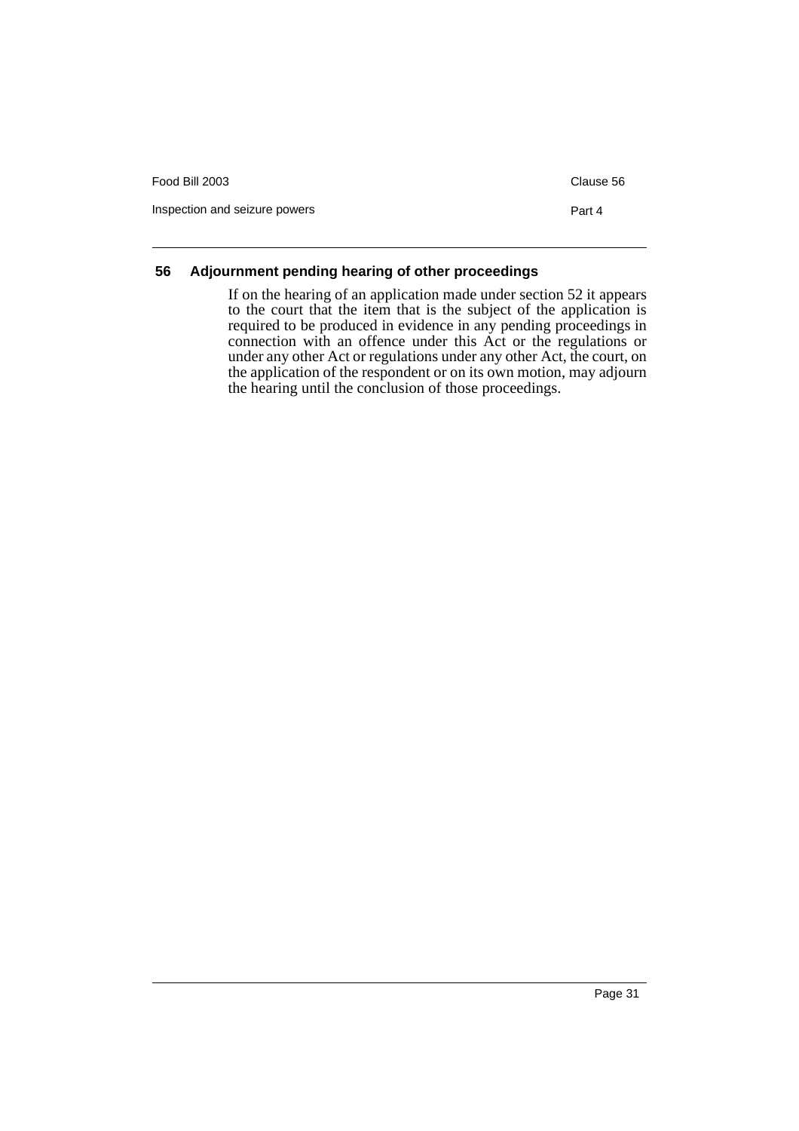| Food Bill 2003                | Clause 56 |
|-------------------------------|-----------|
| Inspection and seizure powers | Part 4    |

### **56 Adjournment pending hearing of other proceedings**

If on the hearing of an application made under section 52 it appears to the court that the item that is the subject of the application is required to be produced in evidence in any pending proceedings in connection with an offence under this Act or the regulations or under any other Act or regulations under any other Act, the court, on the application of the respondent or on its own motion, may adjourn the hearing until the conclusion of those proceedings.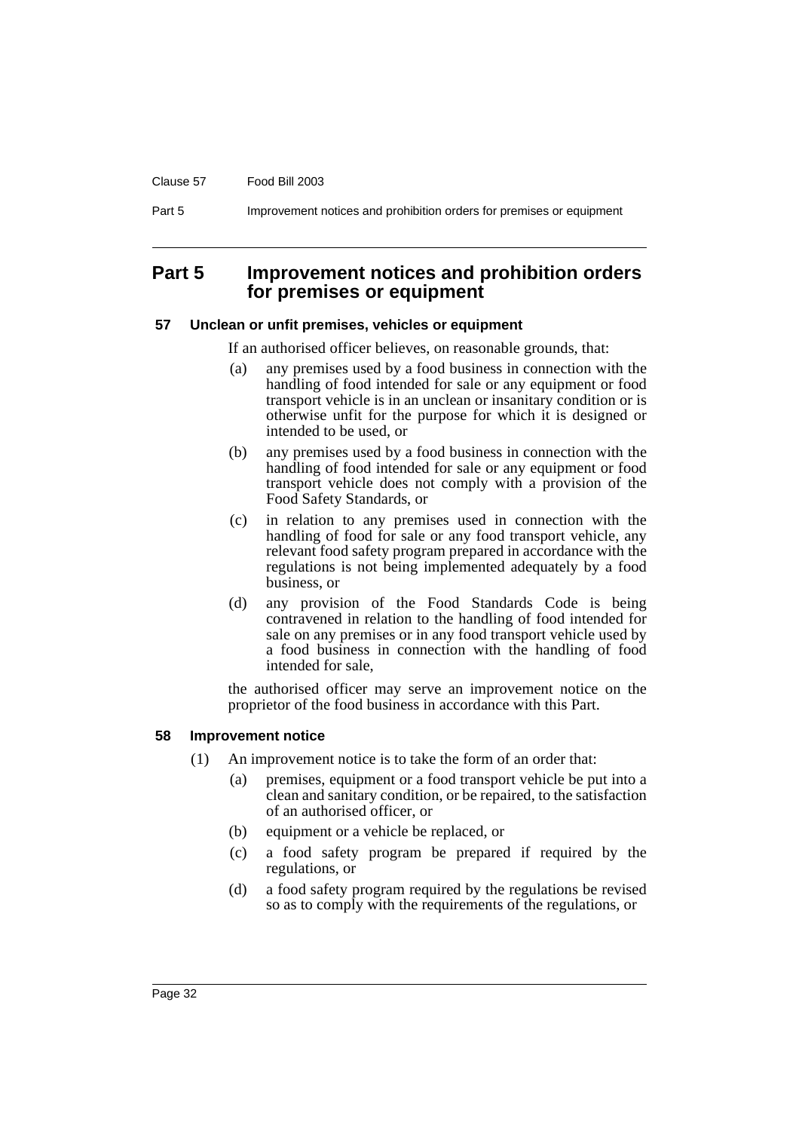#### Clause 57 Food Bill 2003

Part 5 **Improvement notices and prohibition orders for premises or equipment** 

## **Part 5 Improvement notices and prohibition orders for premises or equipment**

#### **57 Unclean or unfit premises, vehicles or equipment**

If an authorised officer believes, on reasonable grounds, that:

- (a) any premises used by a food business in connection with the handling of food intended for sale or any equipment or food transport vehicle is in an unclean or insanitary condition or is otherwise unfit for the purpose for which it is designed or intended to be used, or
- (b) any premises used by a food business in connection with the handling of food intended for sale or any equipment or food transport vehicle does not comply with a provision of the Food Safety Standards, or
- (c) in relation to any premises used in connection with the handling of food for sale or any food transport vehicle, any relevant food safety program prepared in accordance with the regulations is not being implemented adequately by a food business, or
- (d) any provision of the Food Standards Code is being contravened in relation to the handling of food intended for sale on any premises or in any food transport vehicle used by a food business in connection with the handling of food intended for sale,

the authorised officer may serve an improvement notice on the proprietor of the food business in accordance with this Part.

#### **58 Improvement notice**

- (1) An improvement notice is to take the form of an order that:
	- (a) premises, equipment or a food transport vehicle be put into a clean and sanitary condition, or be repaired, to the satisfaction of an authorised officer, or
	- (b) equipment or a vehicle be replaced, or
	- (c) a food safety program be prepared if required by the regulations, or
	- (d) a food safety program required by the regulations be revised so as to comply with the requirements of the regulations, or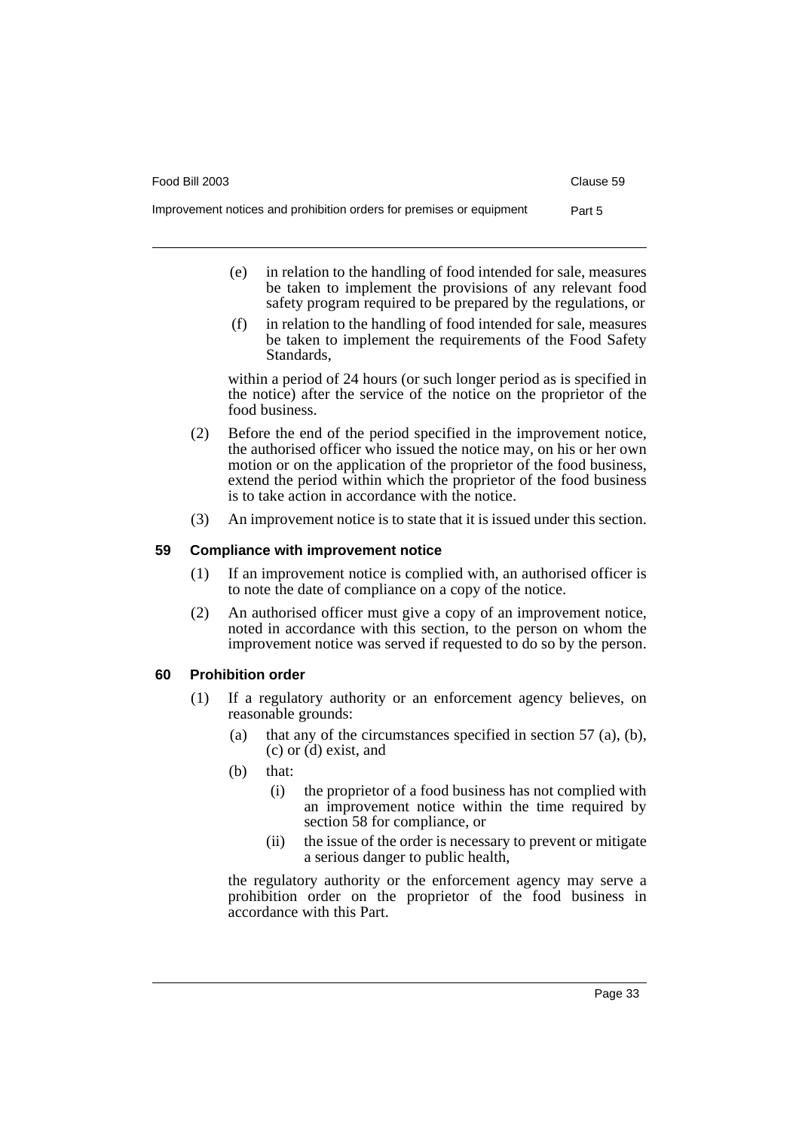Food Bill 2003 Clause 59

- (e) in relation to the handling of food intended for sale, measures be taken to implement the provisions of any relevant food safety program required to be prepared by the regulations, or
- (f) in relation to the handling of food intended for sale, measures be taken to implement the requirements of the Food Safety Standards,

within a period of 24 hours (or such longer period as is specified in the notice) after the service of the notice on the proprietor of the food business.

- (2) Before the end of the period specified in the improvement notice, the authorised officer who issued the notice may, on his or her own motion or on the application of the proprietor of the food business, extend the period within which the proprietor of the food business is to take action in accordance with the notice.
- (3) An improvement notice is to state that it is issued under this section.

### **59 Compliance with improvement notice**

- (1) If an improvement notice is complied with, an authorised officer is to note the date of compliance on a copy of the notice.
- (2) An authorised officer must give a copy of an improvement notice, noted in accordance with this section, to the person on whom the improvement notice was served if requested to do so by the person.

### **60 Prohibition order**

- (1) If a regulatory authority or an enforcement agency believes, on reasonable grounds:
	- (a) that any of the circumstances specified in section 57 (a), (b), (c) or (d) exist, and
	- (b) that:
		- (i) the proprietor of a food business has not complied with an improvement notice within the time required by section 58 for compliance, or
		- (ii) the issue of the order is necessary to prevent or mitigate a serious danger to public health,

the regulatory authority or the enforcement agency may serve a prohibition order on the proprietor of the food business in accordance with this Part.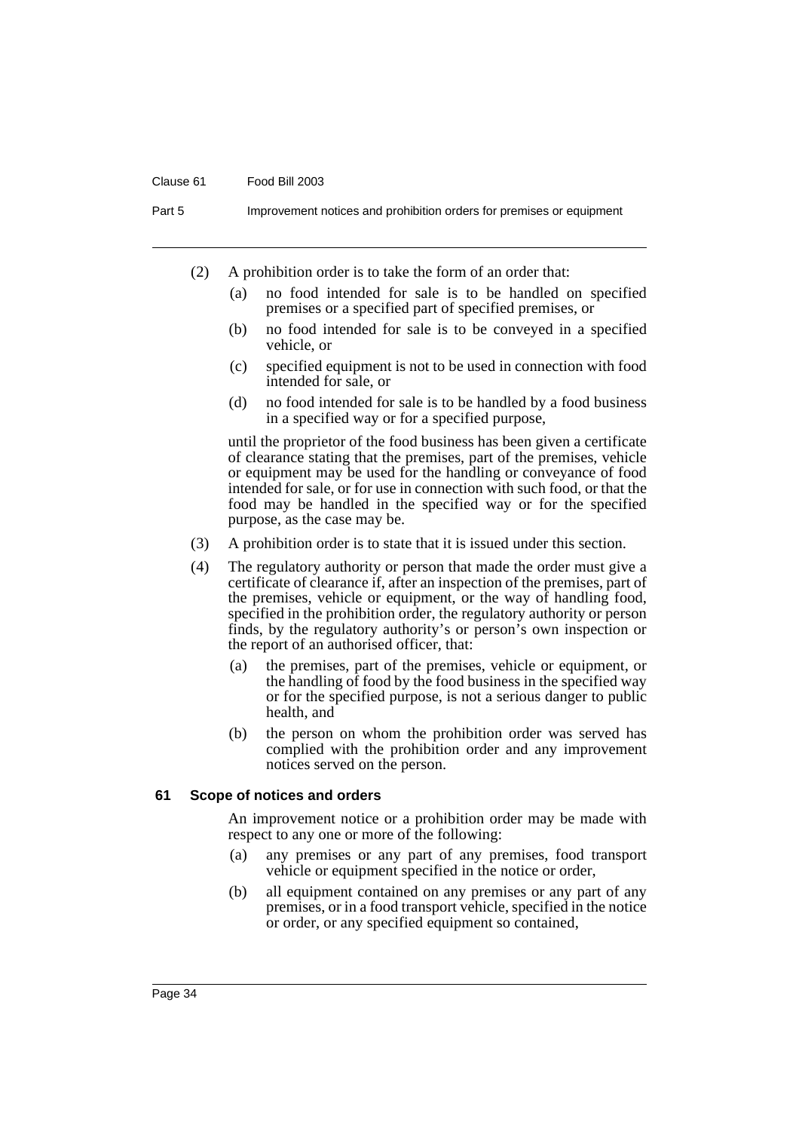#### Clause 61 Food Bill 2003

Part 5 **Improvement notices and prohibition orders for premises or equipment** 

- (2) A prohibition order is to take the form of an order that:
	- (a) no food intended for sale is to be handled on specified premises or a specified part of specified premises, or
	- (b) no food intended for sale is to be conveyed in a specified vehicle, or
	- (c) specified equipment is not to be used in connection with food intended for sale, or
	- (d) no food intended for sale is to be handled by a food business in a specified way or for a specified purpose,

until the proprietor of the food business has been given a certificate of clearance stating that the premises, part of the premises, vehicle or equipment may be used for the handling or conveyance of food intended for sale, or for use in connection with such food, or that the food may be handled in the specified way or for the specified purpose, as the case may be.

- (3) A prohibition order is to state that it is issued under this section.
- (4) The regulatory authority or person that made the order must give a certificate of clearance if, after an inspection of the premises, part of the premises, vehicle or equipment, or the way of handling food, specified in the prohibition order, the regulatory authority or person finds, by the regulatory authority's or person's own inspection or the report of an authorised officer, that:
	- (a) the premises, part of the premises, vehicle or equipment, or the handling of food by the food business in the specified way or for the specified purpose, is not a serious danger to public health, and
	- (b) the person on whom the prohibition order was served has complied with the prohibition order and any improvement notices served on the person.

#### **61 Scope of notices and orders**

An improvement notice or a prohibition order may be made with respect to any one or more of the following:

- (a) any premises or any part of any premises, food transport vehicle or equipment specified in the notice or order,
- (b) all equipment contained on any premises or any part of any premises, or in a food transport vehicle, specified in the notice or order, or any specified equipment so contained,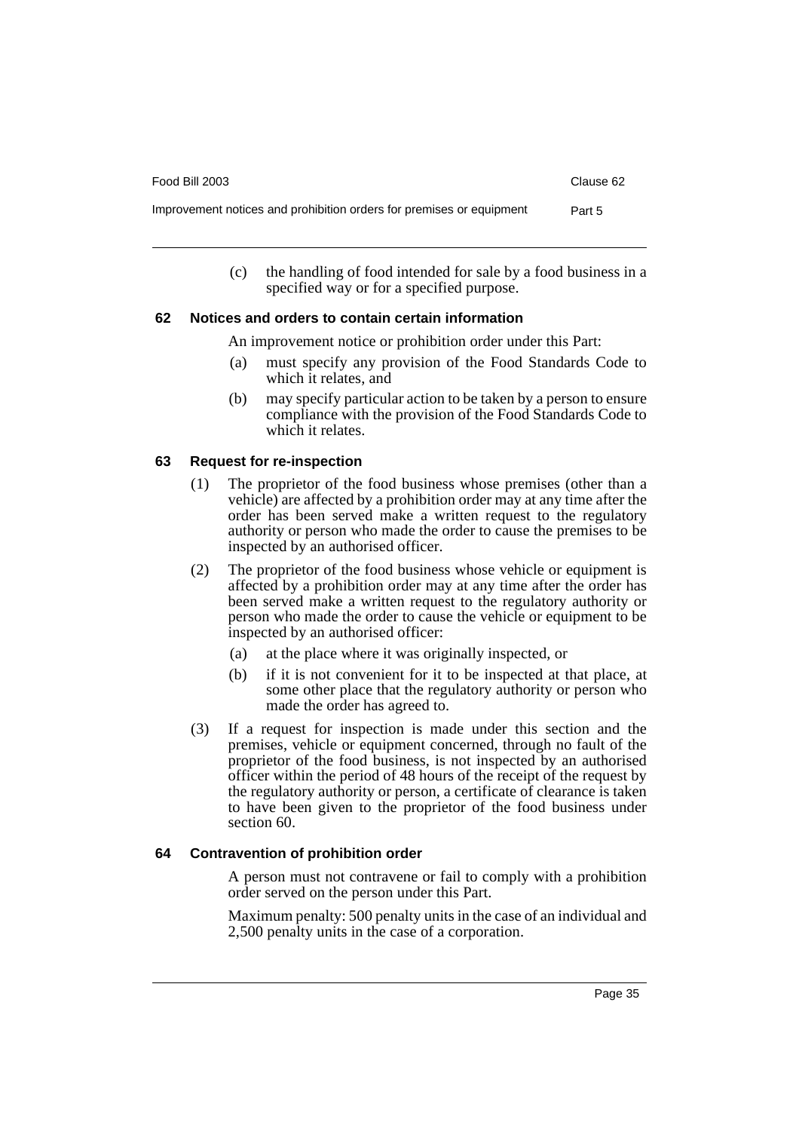| Food Bill 2003                                                       | Clause 62 |
|----------------------------------------------------------------------|-----------|
| Improvement notices and prohibition orders for premises or equipment | Part 5    |

(c) the handling of food intended for sale by a food business in a specified way or for a specified purpose.

### **62 Notices and orders to contain certain information**

An improvement notice or prohibition order under this Part:

- (a) must specify any provision of the Food Standards Code to which it relates, and
- (b) may specify particular action to be taken by a person to ensure compliance with the provision of the Food Standards Code to which it relates.

### **63 Request for re-inspection**

- (1) The proprietor of the food business whose premises (other than a vehicle) are affected by a prohibition order may at any time after the order has been served make a written request to the regulatory authority or person who made the order to cause the premises to be inspected by an authorised officer.
- (2) The proprietor of the food business whose vehicle or equipment is affected by a prohibition order may at any time after the order has been served make a written request to the regulatory authority or person who made the order to cause the vehicle or equipment to be inspected by an authorised officer:
	- (a) at the place where it was originally inspected, or
	- (b) if it is not convenient for it to be inspected at that place, at some other place that the regulatory authority or person who made the order has agreed to.
- (3) If a request for inspection is made under this section and the premises, vehicle or equipment concerned, through no fault of the proprietor of the food business, is not inspected by an authorised officer within the period of 48 hours of the receipt of the request by the regulatory authority or person, a certificate of clearance is taken to have been given to the proprietor of the food business under section 60.

### **64 Contravention of prohibition order**

A person must not contravene or fail to comply with a prohibition order served on the person under this Part.

Maximum penalty: 500 penalty units in the case of an individual and 2,500 penalty units in the case of a corporation.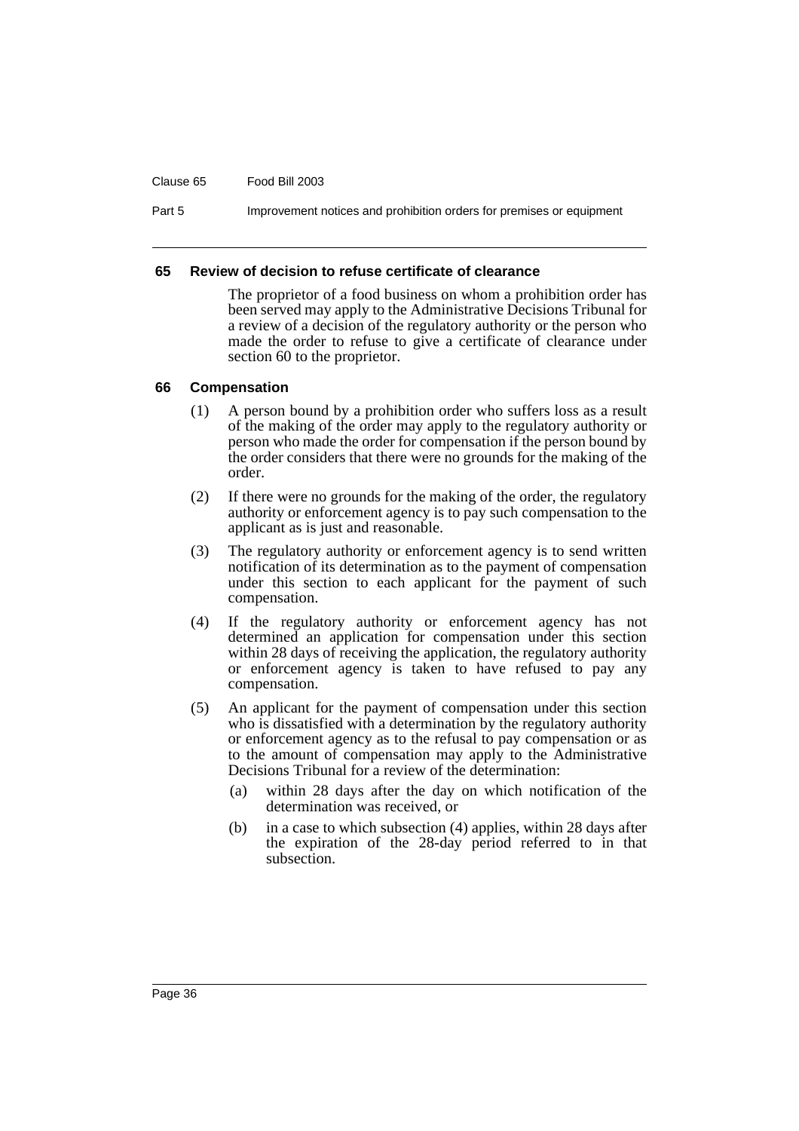#### Clause 65 Food Bill 2003

Part 5 **Improvement notices and prohibition orders for premises or equipment** 

#### **65 Review of decision to refuse certificate of clearance**

The proprietor of a food business on whom a prohibition order has been served may apply to the Administrative Decisions Tribunal for a review of a decision of the regulatory authority or the person who made the order to refuse to give a certificate of clearance under section 60 to the proprietor.

#### **66 Compensation**

- (1) A person bound by a prohibition order who suffers loss as a result of the making of the order may apply to the regulatory authority or person who made the order for compensation if the person bound by the order considers that there were no grounds for the making of the order.
- (2) If there were no grounds for the making of the order, the regulatory authority or enforcement agency is to pay such compensation to the applicant as is just and reasonable.
- (3) The regulatory authority or enforcement agency is to send written notification of its determination as to the payment of compensation under this section to each applicant for the payment of such compensation.
- (4) If the regulatory authority or enforcement agency has not determined an application for compensation under this section within 28 days of receiving the application, the regulatory authority or enforcement agency is taken to have refused to pay any compensation.
- (5) An applicant for the payment of compensation under this section who is dissatisfied with a determination by the regulatory authority or enforcement agency as to the refusal to pay compensation or as to the amount of compensation may apply to the Administrative Decisions Tribunal for a review of the determination:
	- (a) within 28 days after the day on which notification of the determination was received, or
	- (b) in a case to which subsection (4) applies, within 28 days after the expiration of the 28-day period referred to in that subsection.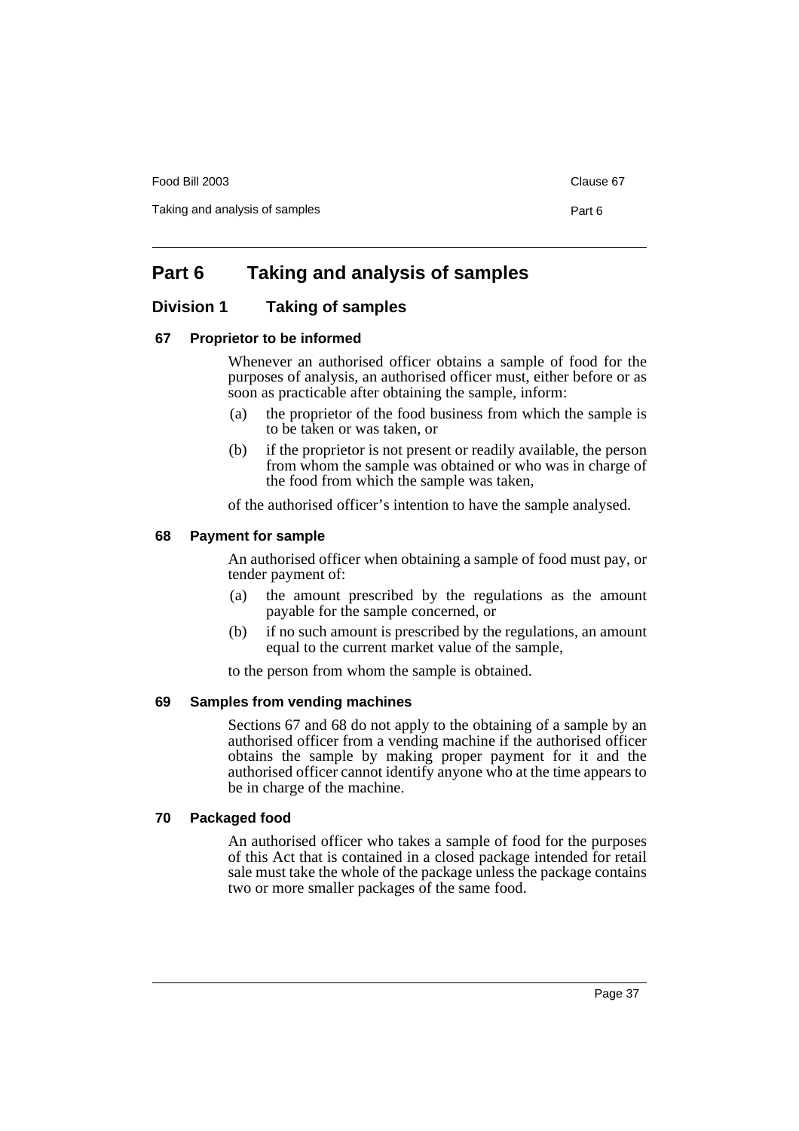Food Bill 2003 Clause 67

Taking and analysis of samples **Part 6** Part 6

# **Part 6 Taking and analysis of samples**

### **Division 1 Taking of samples**

### **67 Proprietor to be informed**

Whenever an authorised officer obtains a sample of food for the purposes of analysis, an authorised officer must, either before or as soon as practicable after obtaining the sample, inform:

- (a) the proprietor of the food business from which the sample is to be taken or was taken, or
- (b) if the proprietor is not present or readily available, the person from whom the sample was obtained or who was in charge of the food from which the sample was taken,

of the authorised officer's intention to have the sample analysed.

### **68 Payment for sample**

An authorised officer when obtaining a sample of food must pay, or tender payment of:

- (a) the amount prescribed by the regulations as the amount payable for the sample concerned, or
- (b) if no such amount is prescribed by the regulations, an amount equal to the current market value of the sample,

to the person from whom the sample is obtained.

### **69 Samples from vending machines**

Sections 67 and 68 do not apply to the obtaining of a sample by an authorised officer from a vending machine if the authorised officer obtains the sample by making proper payment for it and the authorised officer cannot identify anyone who at the time appears to be in charge of the machine.

### **70 Packaged food**

An authorised officer who takes a sample of food for the purposes of this Act that is contained in a closed package intended for retail sale must take the whole of the package unless the package contains two or more smaller packages of the same food.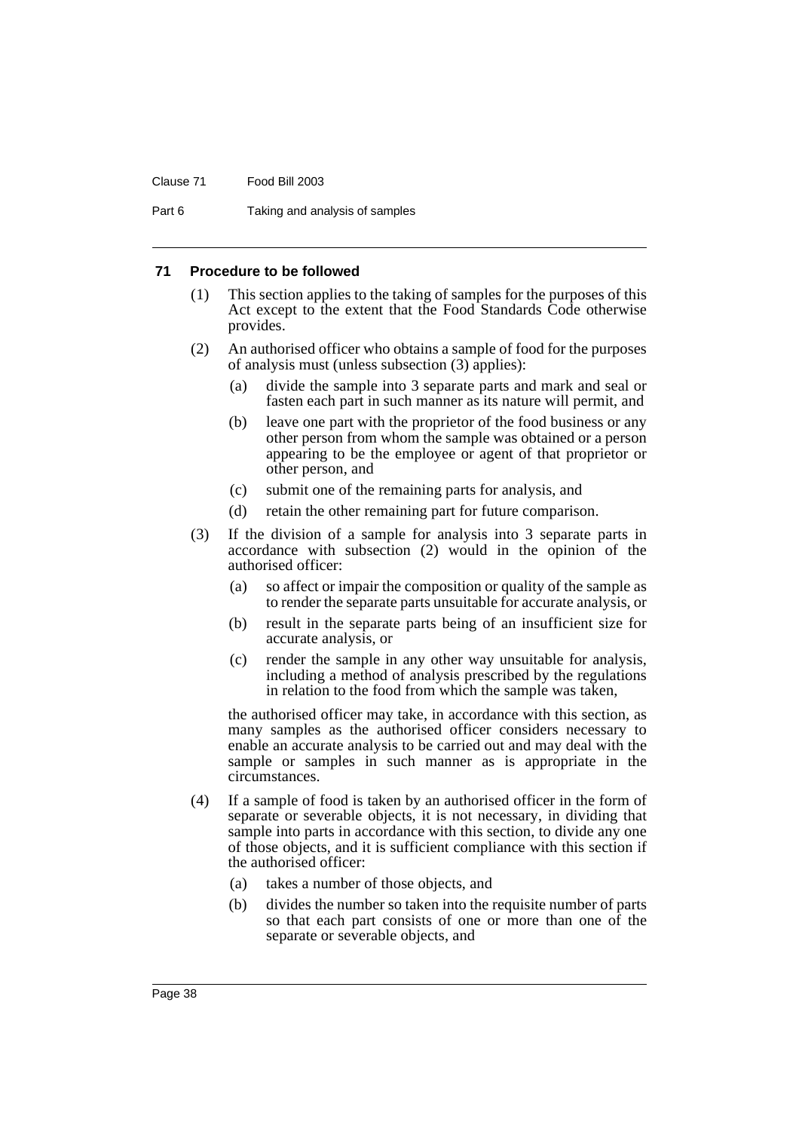#### Clause 71 Food Bill 2003

Part 6 Taking and analysis of samples

#### **71 Procedure to be followed**

- (1) This section applies to the taking of samples for the purposes of this Act except to the extent that the Food Standards Code otherwise provides.
- (2) An authorised officer who obtains a sample of food for the purposes of analysis must (unless subsection (3) applies):
	- (a) divide the sample into 3 separate parts and mark and seal or fasten each part in such manner as its nature will permit, and
	- (b) leave one part with the proprietor of the food business or any other person from whom the sample was obtained or a person appearing to be the employee or agent of that proprietor or other person, and
	- (c) submit one of the remaining parts for analysis, and
	- (d) retain the other remaining part for future comparison.
- (3) If the division of a sample for analysis into 3 separate parts in accordance with subsection (2) would in the opinion of the authorised officer:
	- (a) so affect or impair the composition or quality of the sample as to render the separate parts unsuitable for accurate analysis, or
	- (b) result in the separate parts being of an insufficient size for accurate analysis, or
	- (c) render the sample in any other way unsuitable for analysis, including a method of analysis prescribed by the regulations in relation to the food from which the sample was taken,

the authorised officer may take, in accordance with this section, as many samples as the authorised officer considers necessary to enable an accurate analysis to be carried out and may deal with the sample or samples in such manner as is appropriate in the circumstances.

- (4) If a sample of food is taken by an authorised officer in the form of separate or severable objects, it is not necessary, in dividing that sample into parts in accordance with this section, to divide any one of those objects, and it is sufficient compliance with this section if the authorised officer:
	- (a) takes a number of those objects, and
	- (b) divides the number so taken into the requisite number of parts so that each part consists of one or more than one of the separate or severable objects, and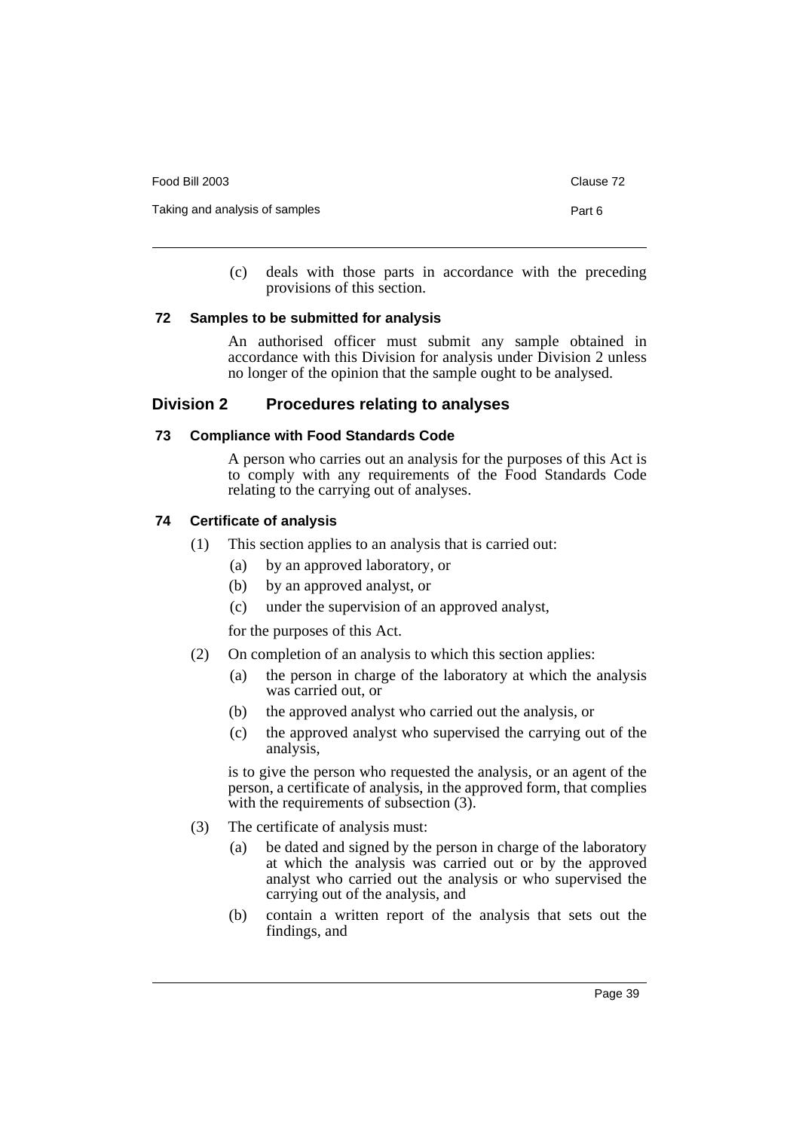| Food Bill 2003                 | Clause 72 |
|--------------------------------|-----------|
| Taking and analysis of samples | Part 6    |
|                                |           |

(c) deals with those parts in accordance with the preceding provisions of this section.

### **72 Samples to be submitted for analysis**

An authorised officer must submit any sample obtained in accordance with this Division for analysis under Division 2 unless no longer of the opinion that the sample ought to be analysed.

### **Division 2 Procedures relating to analyses**

### **73 Compliance with Food Standards Code**

A person who carries out an analysis for the purposes of this Act is to comply with any requirements of the Food Standards Code relating to the carrying out of analyses.

### **74 Certificate of analysis**

- (1) This section applies to an analysis that is carried out:
	- (a) by an approved laboratory, or
	- (b) by an approved analyst, or
	- (c) under the supervision of an approved analyst,

for the purposes of this Act.

- (2) On completion of an analysis to which this section applies:
	- (a) the person in charge of the laboratory at which the analysis was carried out, or
	- (b) the approved analyst who carried out the analysis, or
	- (c) the approved analyst who supervised the carrying out of the analysis,

is to give the person who requested the analysis, or an agent of the person, a certificate of analysis, in the approved form, that complies with the requirements of subsection  $(3)$ .

- (3) The certificate of analysis must:
	- (a) be dated and signed by the person in charge of the laboratory at which the analysis was carried out or by the approved analyst who carried out the analysis or who supervised the carrying out of the analysis, and
	- (b) contain a written report of the analysis that sets out the findings, and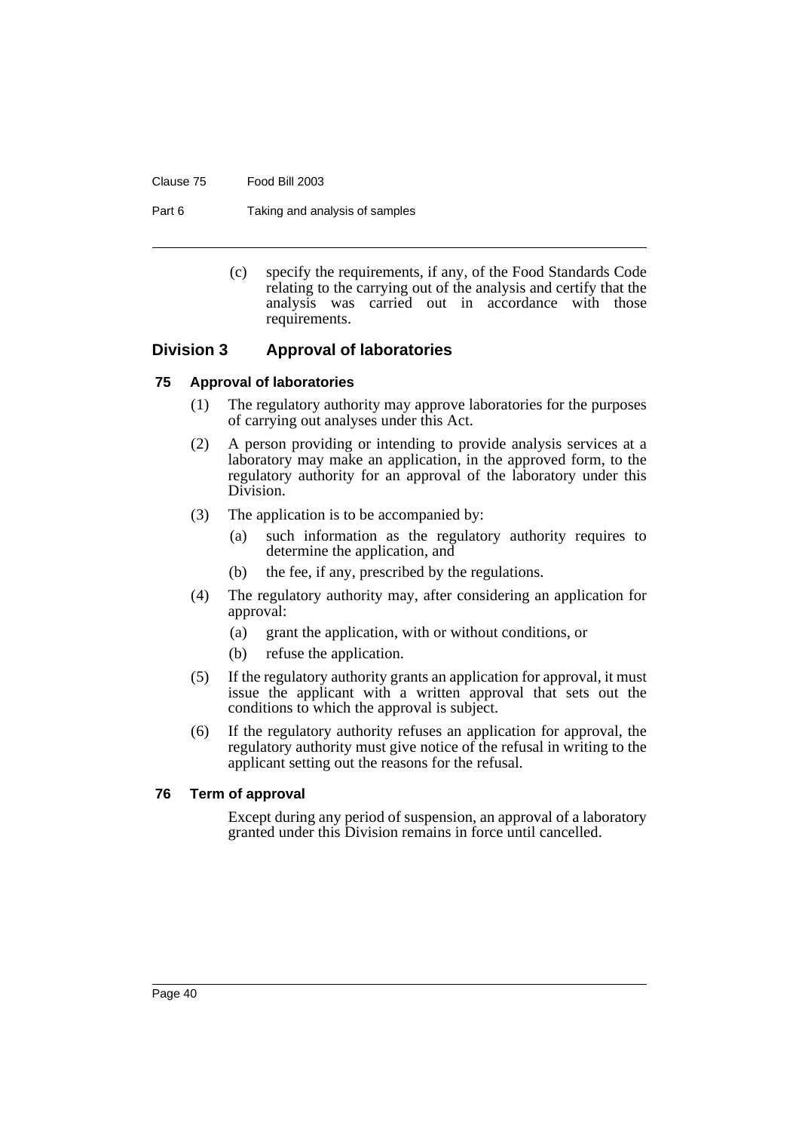#### Clause 75 Food Bill 2003

Part 6 Taking and analysis of samples

(c) specify the requirements, if any, of the Food Standards Code relating to the carrying out of the analysis and certify that the analysis was carried out in accordance with those requirements.

### **Division 3 Approval of laboratories**

### **75 Approval of laboratories**

- (1) The regulatory authority may approve laboratories for the purposes of carrying out analyses under this Act.
- (2) A person providing or intending to provide analysis services at a laboratory may make an application, in the approved form, to the regulatory authority for an approval of the laboratory under this Division.
- (3) The application is to be accompanied by:
	- (a) such information as the regulatory authority requires to determine the application, and
	- (b) the fee, if any, prescribed by the regulations.
- (4) The regulatory authority may, after considering an application for approval:
	- (a) grant the application, with or without conditions, or
	- (b) refuse the application.
- (5) If the regulatory authority grants an application for approval, it must issue the applicant with a written approval that sets out the conditions to which the approval is subject.
- (6) If the regulatory authority refuses an application for approval, the regulatory authority must give notice of the refusal in writing to the applicant setting out the reasons for the refusal.

#### **76 Term of approval**

Except during any period of suspension, an approval of a laboratory granted under this Division remains in force until cancelled.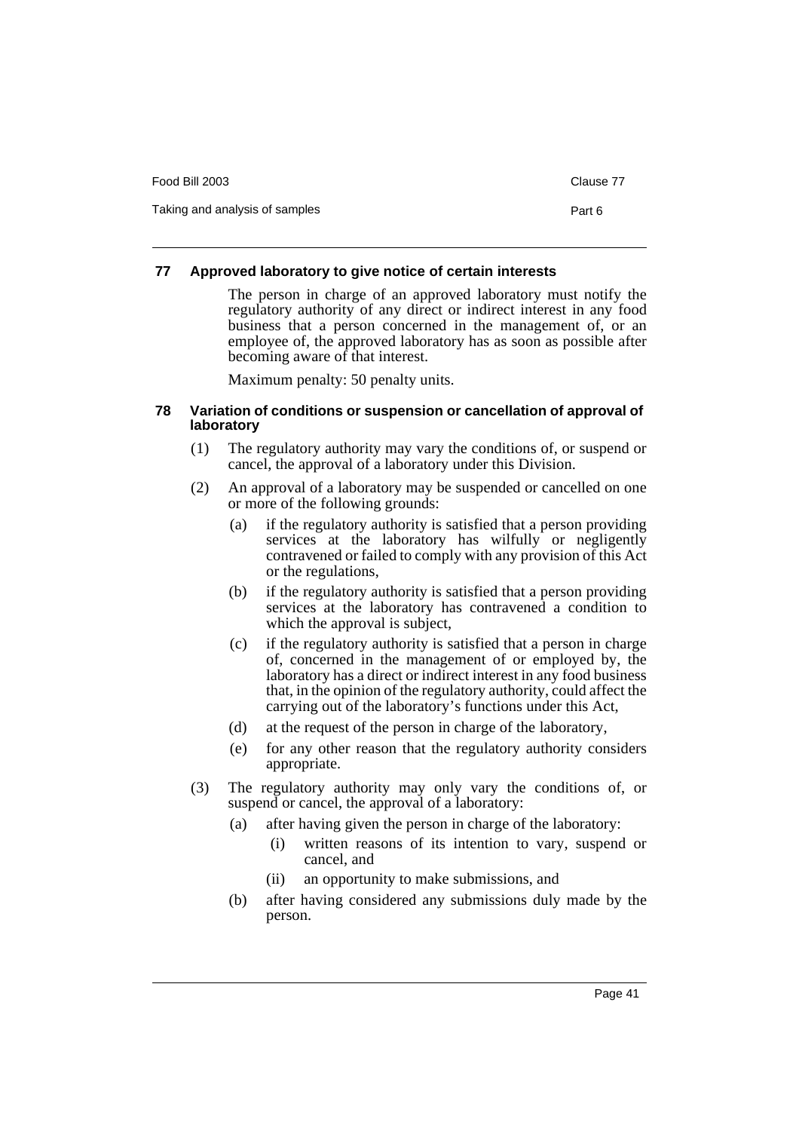| Food Bill 2003                 | Clause 77 |
|--------------------------------|-----------|
| Taking and analysis of samples | Part 6    |

### **77 Approved laboratory to give notice of certain interests**

The person in charge of an approved laboratory must notify the regulatory authority of any direct or indirect interest in any food business that a person concerned in the management of, or an employee of, the approved laboratory has as soon as possible after becoming aware of that interest.

Maximum penalty: 50 penalty units.

#### **78 Variation of conditions or suspension or cancellation of approval of laboratory**

- (1) The regulatory authority may vary the conditions of, or suspend or cancel, the approval of a laboratory under this Division.
- (2) An approval of a laboratory may be suspended or cancelled on one or more of the following grounds:
	- (a) if the regulatory authority is satisfied that a person providing services at the laboratory has wilfully or negligently contravened or failed to comply with any provision of this Act or the regulations,
	- (b) if the regulatory authority is satisfied that a person providing services at the laboratory has contravened a condition to which the approval is subject,
	- (c) if the regulatory authority is satisfied that a person in charge of, concerned in the management of or employed by, the laboratory has a direct or indirect interest in any food business that, in the opinion of the regulatory authority, could affect the carrying out of the laboratory's functions under this Act,
	- (d) at the request of the person in charge of the laboratory,
	- (e) for any other reason that the regulatory authority considers appropriate.
- (3) The regulatory authority may only vary the conditions of, or suspend or cancel, the approval of a laboratory:
	- (a) after having given the person in charge of the laboratory:
		- (i) written reasons of its intention to vary, suspend or cancel, and
		- (ii) an opportunity to make submissions, and
	- (b) after having considered any submissions duly made by the person.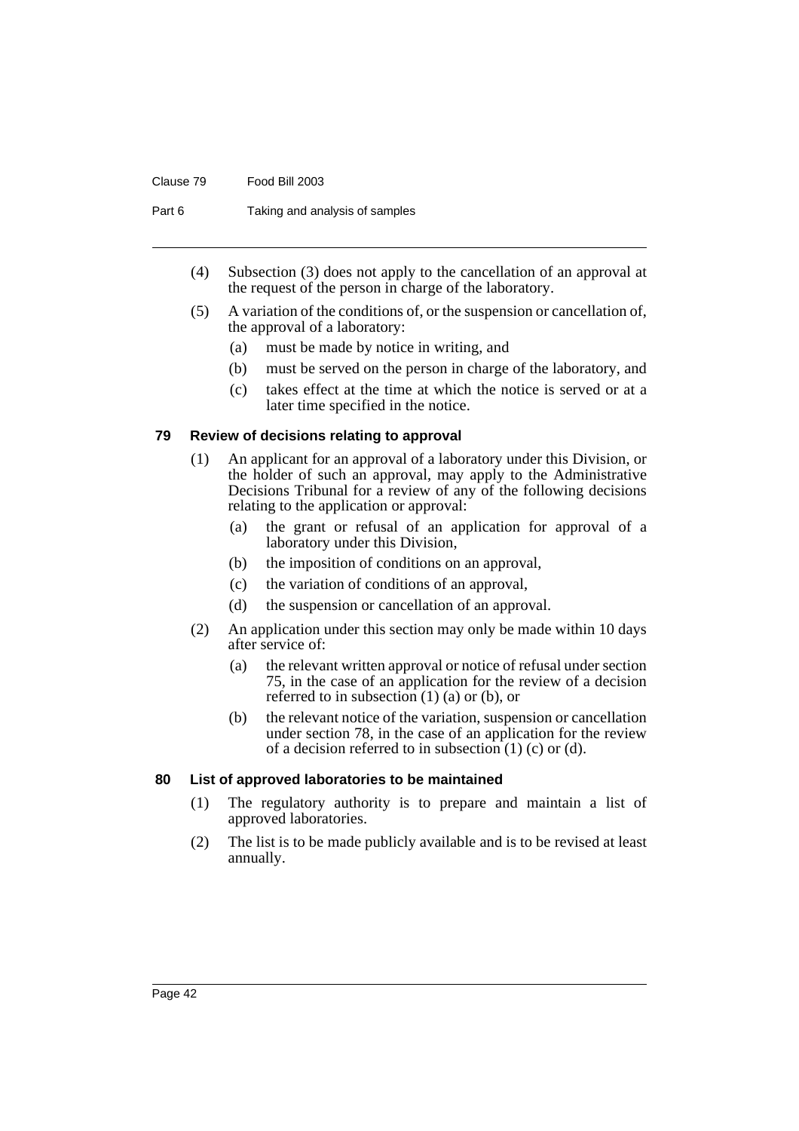#### Clause 79 Food Bill 2003

Part 6 Taking and analysis of samples

- (4) Subsection (3) does not apply to the cancellation of an approval at the request of the person in charge of the laboratory.
- (5) A variation of the conditions of, or the suspension or cancellation of, the approval of a laboratory:
	- (a) must be made by notice in writing, and
	- (b) must be served on the person in charge of the laboratory, and
	- (c) takes effect at the time at which the notice is served or at a later time specified in the notice.

#### **79 Review of decisions relating to approval**

- (1) An applicant for an approval of a laboratory under this Division, or the holder of such an approval, may apply to the Administrative Decisions Tribunal for a review of any of the following decisions relating to the application or approval:
	- (a) the grant or refusal of an application for approval of a laboratory under this Division,
	- (b) the imposition of conditions on an approval,
	- (c) the variation of conditions of an approval,
	- (d) the suspension or cancellation of an approval.
- (2) An application under this section may only be made within 10 days after service of:
	- (a) the relevant written approval or notice of refusal under section 75, in the case of an application for the review of a decision referred to in subsection  $(1)$   $(a)$  or  $(b)$ , or
	- (b) the relevant notice of the variation, suspension or cancellation under section 78, in the case of an application for the review of a decision referred to in subsection  $(1)$   $(c)$  or  $(d)$ .

### **80 List of approved laboratories to be maintained**

- (1) The regulatory authority is to prepare and maintain a list of approved laboratories.
- (2) The list is to be made publicly available and is to be revised at least annually.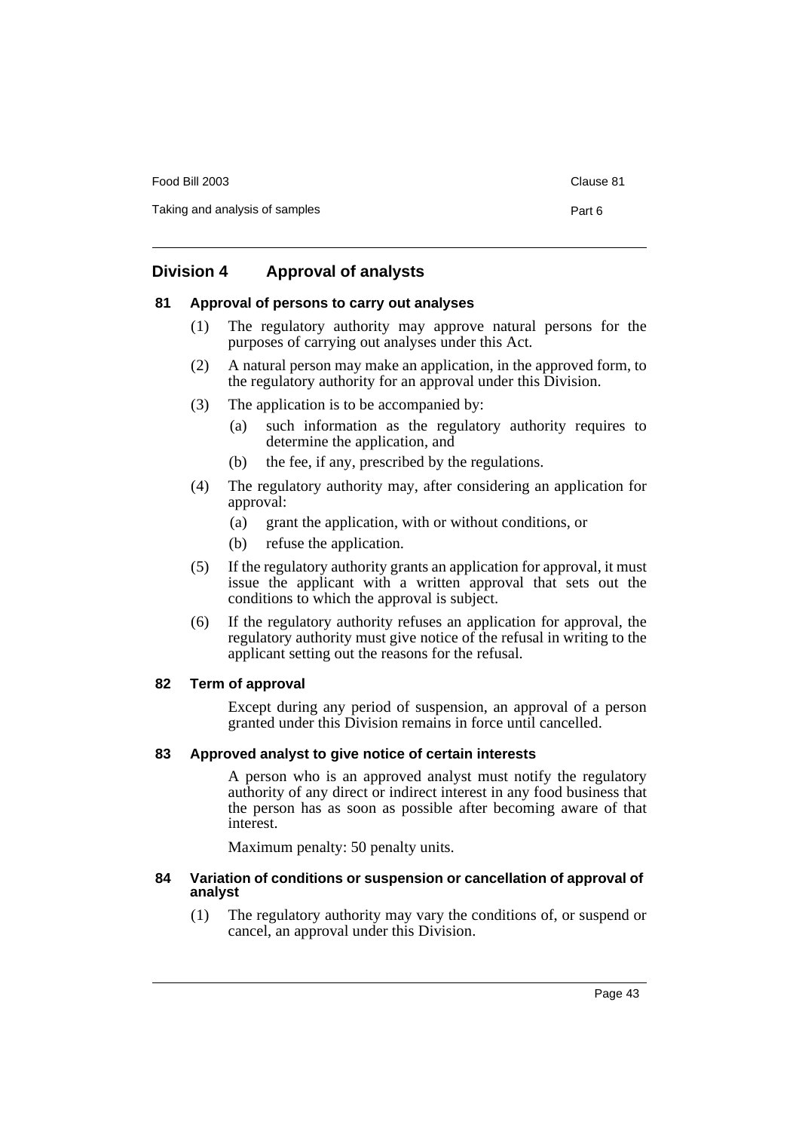Food Bill 2003 Clause 81 Taking and analysis of samples **Part 6** Part 6

# **Division 4 Approval of analysts**

### **81 Approval of persons to carry out analyses**

- (1) The regulatory authority may approve natural persons for the purposes of carrying out analyses under this Act.
- (2) A natural person may make an application, in the approved form, to the regulatory authority for an approval under this Division.
- (3) The application is to be accompanied by:
	- (a) such information as the regulatory authority requires to determine the application, and
	- (b) the fee, if any, prescribed by the regulations.
- (4) The regulatory authority may, after considering an application for approval:
	- (a) grant the application, with or without conditions, or
	- (b) refuse the application.
- (5) If the regulatory authority grants an application for approval, it must issue the applicant with a written approval that sets out the conditions to which the approval is subject.
- (6) If the regulatory authority refuses an application for approval, the regulatory authority must give notice of the refusal in writing to the applicant setting out the reasons for the refusal.

### **82 Term of approval**

Except during any period of suspension, an approval of a person granted under this Division remains in force until cancelled.

### **83 Approved analyst to give notice of certain interests**

A person who is an approved analyst must notify the regulatory authority of any direct or indirect interest in any food business that the person has as soon as possible after becoming aware of that interest.

Maximum penalty: 50 penalty units.

#### **84 Variation of conditions or suspension or cancellation of approval of analyst**

(1) The regulatory authority may vary the conditions of, or suspend or cancel, an approval under this Division.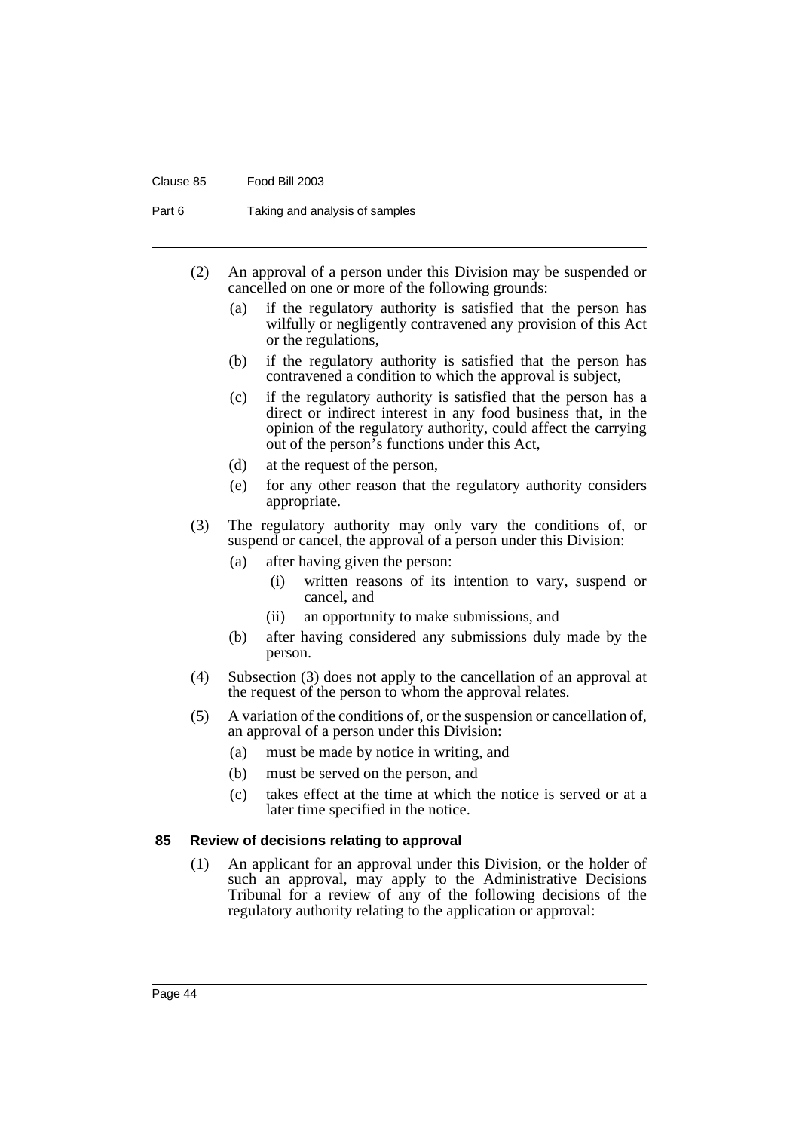#### Clause 85 Food Bill 2003

Part 6 Taking and analysis of samples

- (2) An approval of a person under this Division may be suspended or cancelled on one or more of the following grounds:
	- (a) if the regulatory authority is satisfied that the person has wilfully or negligently contravened any provision of this Act or the regulations,
	- (b) if the regulatory authority is satisfied that the person has contravened a condition to which the approval is subject,
	- (c) if the regulatory authority is satisfied that the person has a direct or indirect interest in any food business that, in the opinion of the regulatory authority, could affect the carrying out of the person's functions under this Act,
	- (d) at the request of the person,
	- (e) for any other reason that the regulatory authority considers appropriate.
- (3) The regulatory authority may only vary the conditions of, or suspend or cancel, the approval of a person under this Division:
	- (a) after having given the person:
		- (i) written reasons of its intention to vary, suspend or cancel, and
		- (ii) an opportunity to make submissions, and
	- (b) after having considered any submissions duly made by the person.
- (4) Subsection (3) does not apply to the cancellation of an approval at the request of the person to whom the approval relates.
- (5) A variation of the conditions of, or the suspension or cancellation of, an approval of a person under this Division:
	- (a) must be made by notice in writing, and
	- (b) must be served on the person, and
	- (c) takes effect at the time at which the notice is served or at a later time specified in the notice.

#### **85 Review of decisions relating to approval**

(1) An applicant for an approval under this Division, or the holder of such an approval, may apply to the Administrative Decisions Tribunal for a review of any of the following decisions of the regulatory authority relating to the application or approval: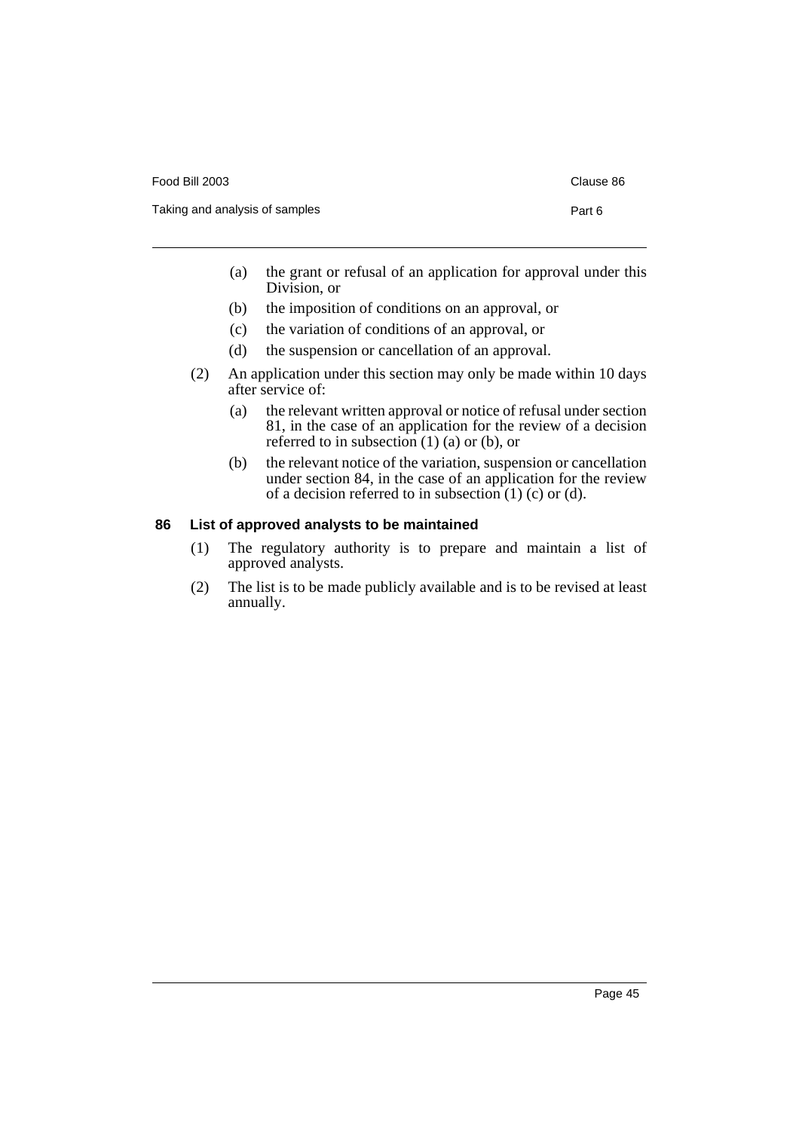| Food Bill 2003                 | Clause 86 |
|--------------------------------|-----------|
| Taking and analysis of samples | Part 6    |

- (a) the grant or refusal of an application for approval under this Division, or
- (b) the imposition of conditions on an approval, or
- (c) the variation of conditions of an approval, or
- (d) the suspension or cancellation of an approval.
- (2) An application under this section may only be made within 10 days after service of:
	- (a) the relevant written approval or notice of refusal under section 81, in the case of an application for the review of a decision referred to in subsection  $(1)$   $(a)$  or  $(b)$ , or
	- (b) the relevant notice of the variation, suspension or cancellation under section 84, in the case of an application for the review of a decision referred to in subsection  $(1)$  (c) or  $(d)$ .

### **86 List of approved analysts to be maintained**

- (1) The regulatory authority is to prepare and maintain a list of approved analysts.
- (2) The list is to be made publicly available and is to be revised at least annually.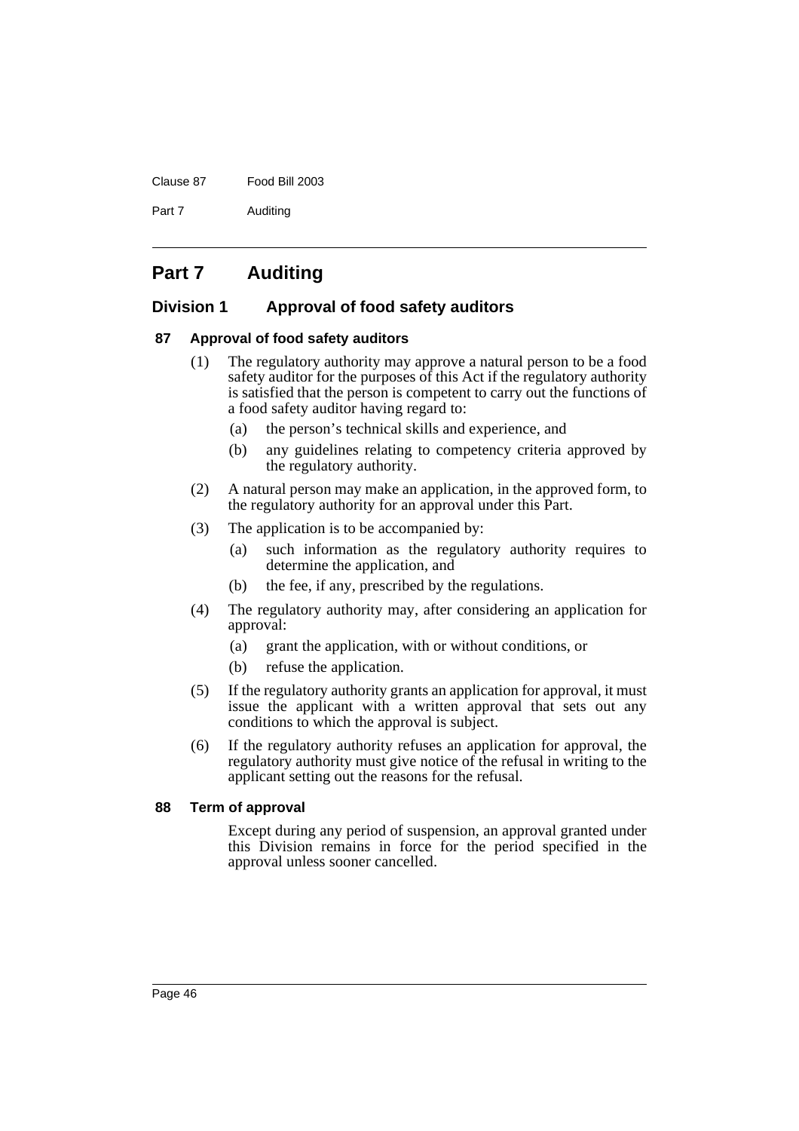#### Clause 87 Food Bill 2003

Part 7 Auditing

# **Part 7 Auditing**

### **Division 1 Approval of food safety auditors**

### **87 Approval of food safety auditors**

- (1) The regulatory authority may approve a natural person to be a food safety auditor for the purposes of this Act if the regulatory authority is satisfied that the person is competent to carry out the functions of a food safety auditor having regard to:
	- (a) the person's technical skills and experience, and
	- (b) any guidelines relating to competency criteria approved by the regulatory authority.
- (2) A natural person may make an application, in the approved form, to the regulatory authority for an approval under this Part.
- (3) The application is to be accompanied by:
	- (a) such information as the regulatory authority requires to determine the application, and
	- (b) the fee, if any, prescribed by the regulations.
- (4) The regulatory authority may, after considering an application for approval:
	- (a) grant the application, with or without conditions, or
	- (b) refuse the application.
- (5) If the regulatory authority grants an application for approval, it must issue the applicant with a written approval that sets out any conditions to which the approval is subject.
- (6) If the regulatory authority refuses an application for approval, the regulatory authority must give notice of the refusal in writing to the applicant setting out the reasons for the refusal.

### **88 Term of approval**

Except during any period of suspension, an approval granted under this Division remains in force for the period specified in the approval unless sooner cancelled.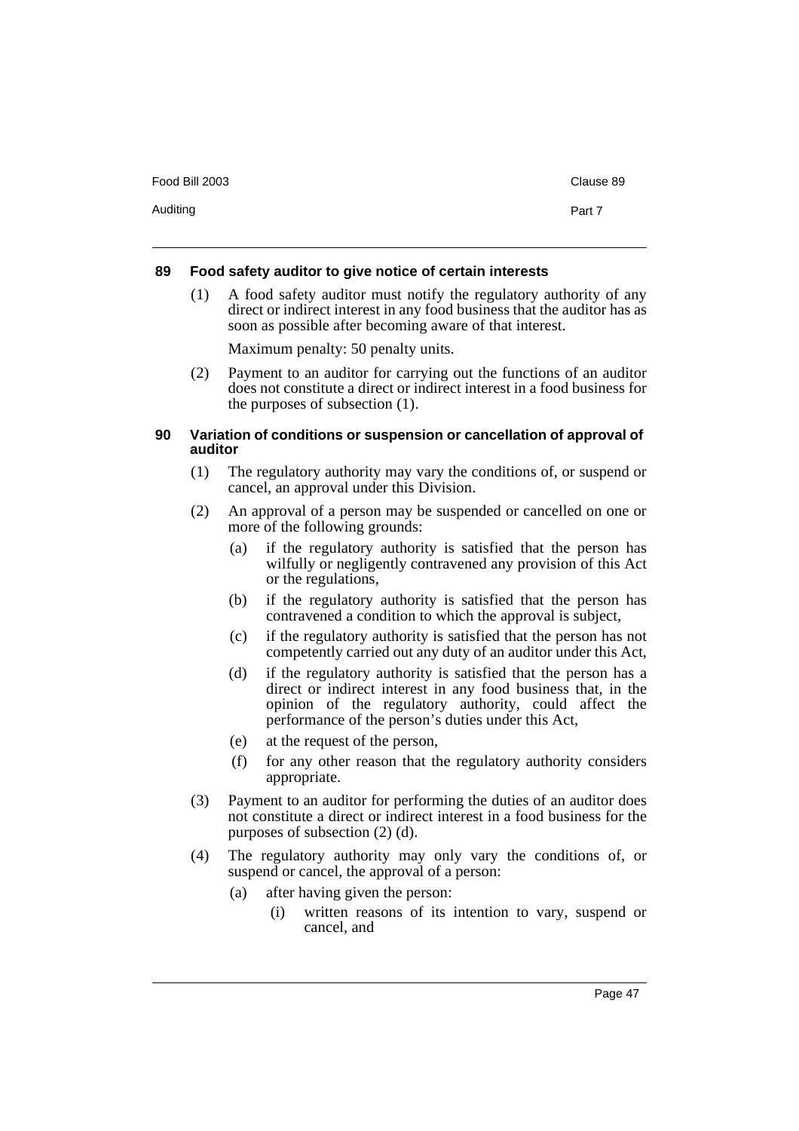Auditing **Part 7** 

### **89 Food safety auditor to give notice of certain interests**

(1) A food safety auditor must notify the regulatory authority of any direct or indirect interest in any food business that the auditor has as soon as possible after becoming aware of that interest.

Maximum penalty: 50 penalty units.

(2) Payment to an auditor for carrying out the functions of an auditor does not constitute a direct or indirect interest in a food business for the purposes of subsection (1).

### **90 Variation of conditions or suspension or cancellation of approval of auditor**

- (1) The regulatory authority may vary the conditions of, or suspend or cancel, an approval under this Division.
- (2) An approval of a person may be suspended or cancelled on one or more of the following grounds:
	- (a) if the regulatory authority is satisfied that the person has wilfully or negligently contravened any provision of this Act or the regulations,
	- (b) if the regulatory authority is satisfied that the person has contravened a condition to which the approval is subject,
	- (c) if the regulatory authority is satisfied that the person has not competently carried out any duty of an auditor under this Act,
	- (d) if the regulatory authority is satisfied that the person has a direct or indirect interest in any food business that, in the opinion of the regulatory authority, could affect the performance of the person's duties under this Act,
	- (e) at the request of the person,
	- (f) for any other reason that the regulatory authority considers appropriate.
- (3) Payment to an auditor for performing the duties of an auditor does not constitute a direct or indirect interest in a food business for the purposes of subsection (2) (d).
- (4) The regulatory authority may only vary the conditions of, or suspend or cancel, the approval of a person:
	- (a) after having given the person:
		- (i) written reasons of its intention to vary, suspend or cancel, and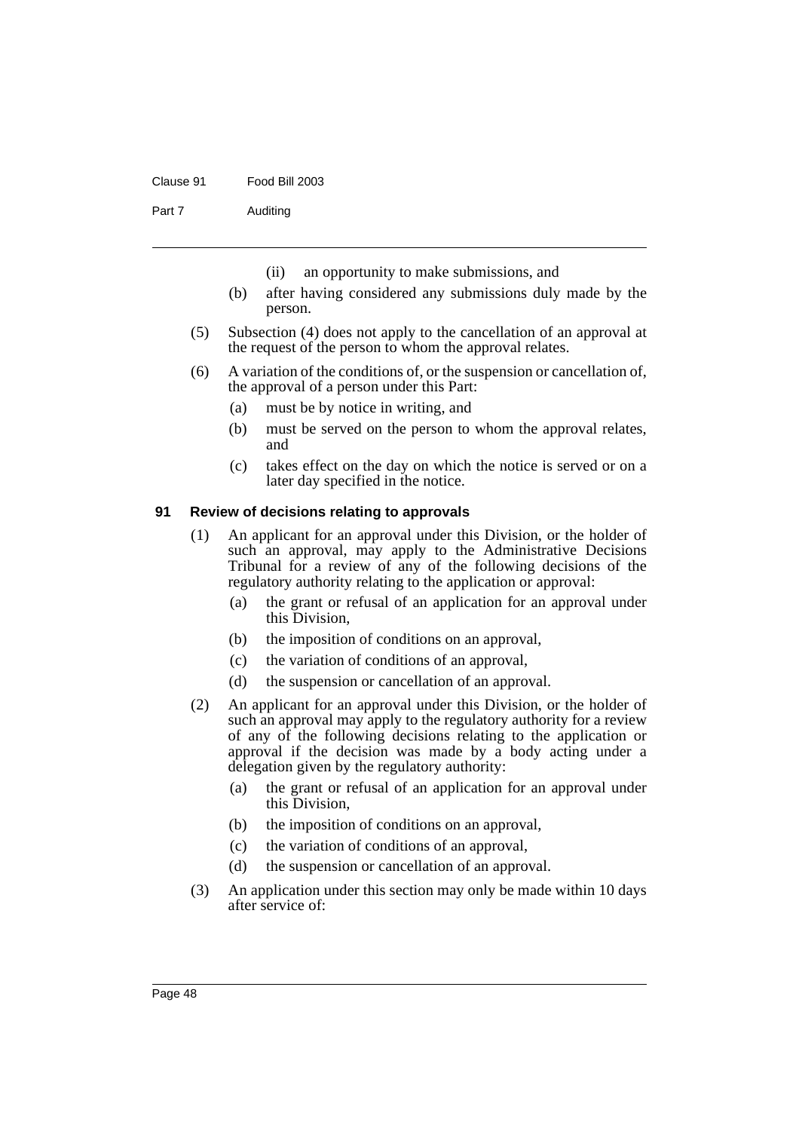#### Clause 91 Food Bill 2003

Part 7 Auditing

- (ii) an opportunity to make submissions, and
- (b) after having considered any submissions duly made by the person.
- (5) Subsection (4) does not apply to the cancellation of an approval at the request of the person to whom the approval relates.
- (6) A variation of the conditions of, or the suspension or cancellation of, the approval of a person under this Part:
	- (a) must be by notice in writing, and
	- (b) must be served on the person to whom the approval relates, and
	- (c) takes effect on the day on which the notice is served or on a later day specified in the notice.

#### **91 Review of decisions relating to approvals**

- (1) An applicant for an approval under this Division, or the holder of such an approval, may apply to the Administrative Decisions Tribunal for a review of any of the following decisions of the regulatory authority relating to the application or approval:
	- (a) the grant or refusal of an application for an approval under this Division,
	- (b) the imposition of conditions on an approval,
	- (c) the variation of conditions of an approval,
	- (d) the suspension or cancellation of an approval.
- (2) An applicant for an approval under this Division, or the holder of such an approval may apply to the regulatory authority for a review of any of the following decisions relating to the application or approval if the decision was made by a body acting under a delegation given by the regulatory authority:
	- (a) the grant or refusal of an application for an approval under this Division,
	- (b) the imposition of conditions on an approval,
	- (c) the variation of conditions of an approval,
	- (d) the suspension or cancellation of an approval.
- (3) An application under this section may only be made within 10 days after service of: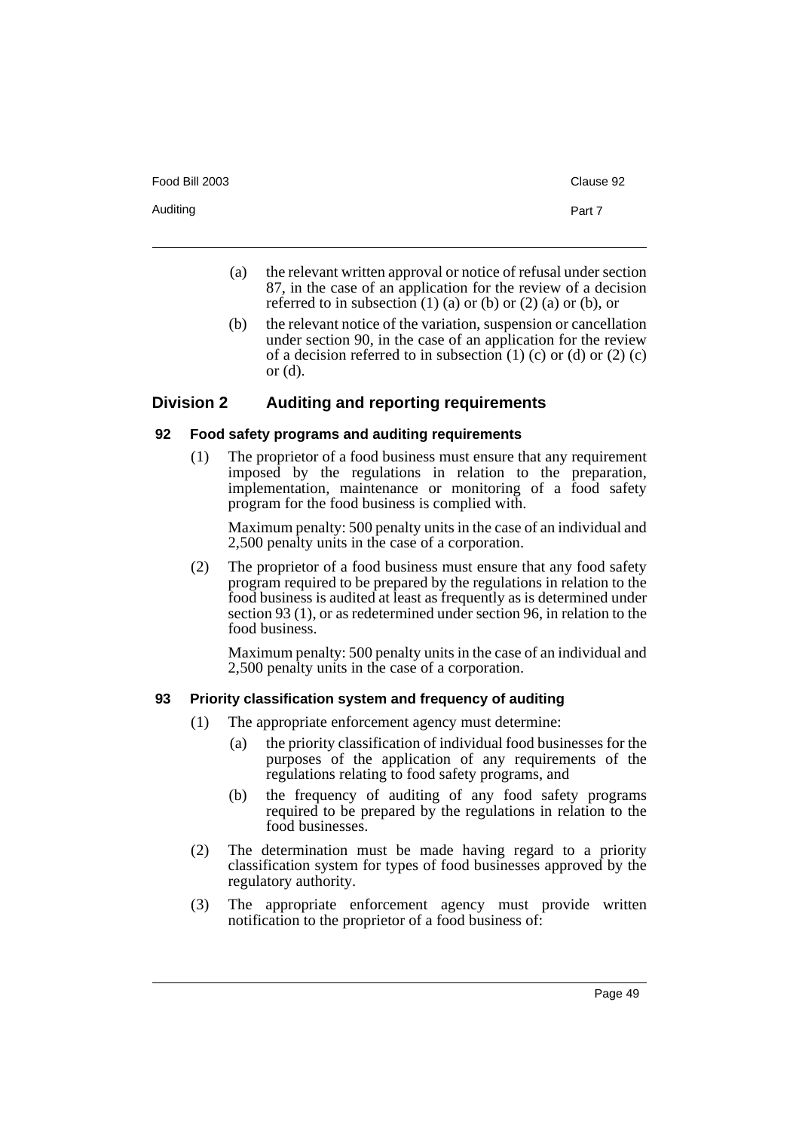- (a) the relevant written approval or notice of refusal under section 87, in the case of an application for the review of a decision referred to in subsection  $(1)$  (a) or  $(b)$  or  $(2)$  (a) or  $(b)$ , or
- (b) the relevant notice of the variation, suspension or cancellation under section 90, in the case of an application for the review of a decision referred to in subsection  $(1)$  (c) or  $(d)$  or  $(2)$  (c) or (d).

### **Division 2 Auditing and reporting requirements**

#### **92 Food safety programs and auditing requirements**

(1) The proprietor of a food business must ensure that any requirement imposed by the regulations in relation to the preparation, implementation, maintenance or monitoring of a food safety program for the food business is complied with.

Maximum penalty: 500 penalty units in the case of an individual and 2,500 penalty units in the case of a corporation.

(2) The proprietor of a food business must ensure that any food safety program required to be prepared by the regulations in relation to the food business is audited at least as frequently as is determined under section 93 (1), or as redetermined under section 96, in relation to the food business.

Maximum penalty: 500 penalty units in the case of an individual and 2,500 penalty units in the case of a corporation.

#### **93 Priority classification system and frequency of auditing**

- (1) The appropriate enforcement agency must determine:
	- (a) the priority classification of individual food businesses for the purposes of the application of any requirements of the regulations relating to food safety programs, and
	- (b) the frequency of auditing of any food safety programs required to be prepared by the regulations in relation to the food businesses.
- (2) The determination must be made having regard to a priority classification system for types of food businesses approved by the regulatory authority.
- (3) The appropriate enforcement agency must provide written notification to the proprietor of a food business of: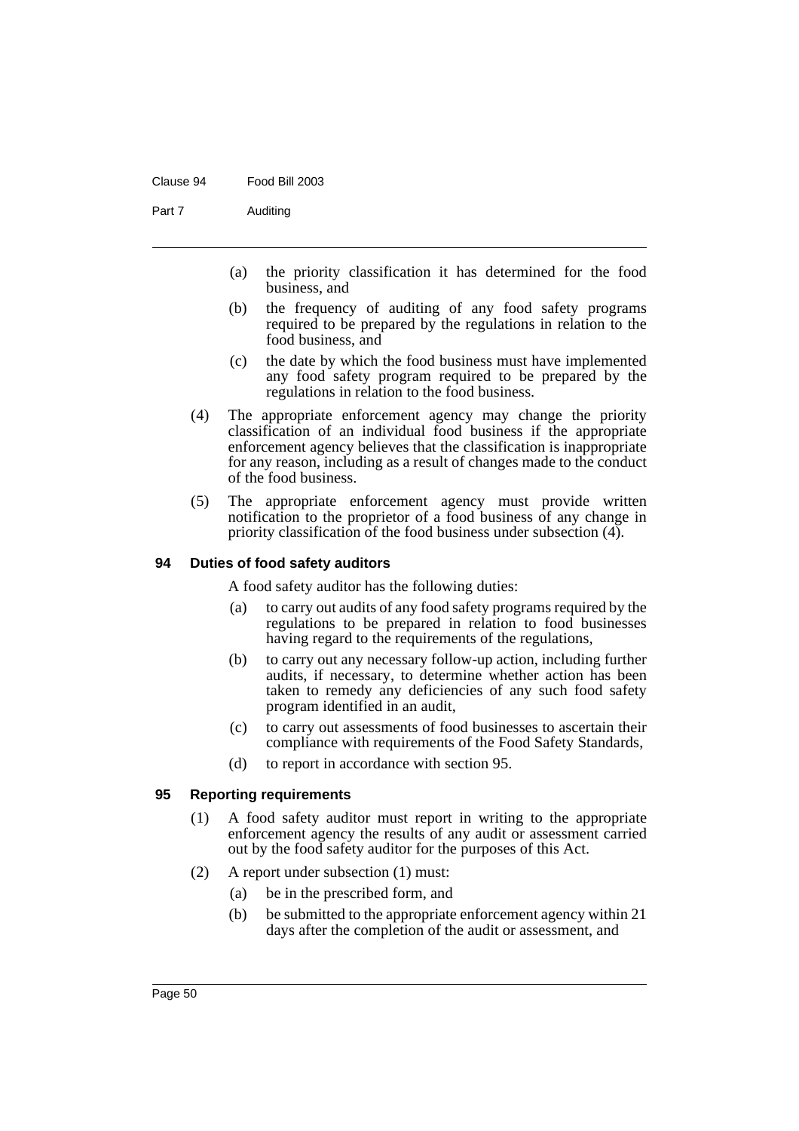#### Clause 94 Food Bill 2003

Part 7 Auditing

- (a) the priority classification it has determined for the food business, and
- (b) the frequency of auditing of any food safety programs required to be prepared by the regulations in relation to the food business, and
- (c) the date by which the food business must have implemented any food safety program required to be prepared by the regulations in relation to the food business.
- (4) The appropriate enforcement agency may change the priority classification of an individual food business if the appropriate enforcement agency believes that the classification is inappropriate for any reason, including as a result of changes made to the conduct of the food business.
- (5) The appropriate enforcement agency must provide written notification to the proprietor of a food business of any change in priority classification of the food business under subsection (4).

### **94 Duties of food safety auditors**

A food safety auditor has the following duties:

- (a) to carry out audits of any food safety programs required by the regulations to be prepared in relation to food businesses having regard to the requirements of the regulations,
- (b) to carry out any necessary follow-up action, including further audits, if necessary, to determine whether action has been taken to remedy any deficiencies of any such food safety program identified in an audit,
- (c) to carry out assessments of food businesses to ascertain their compliance with requirements of the Food Safety Standards,
- (d) to report in accordance with section 95.

### **95 Reporting requirements**

- (1) A food safety auditor must report in writing to the appropriate enforcement agency the results of any audit or assessment carried out by the food safety auditor for the purposes of this Act.
- (2) A report under subsection (1) must:
	- (a) be in the prescribed form, and
	- (b) be submitted to the appropriate enforcement agency within 21 days after the completion of the audit or assessment, and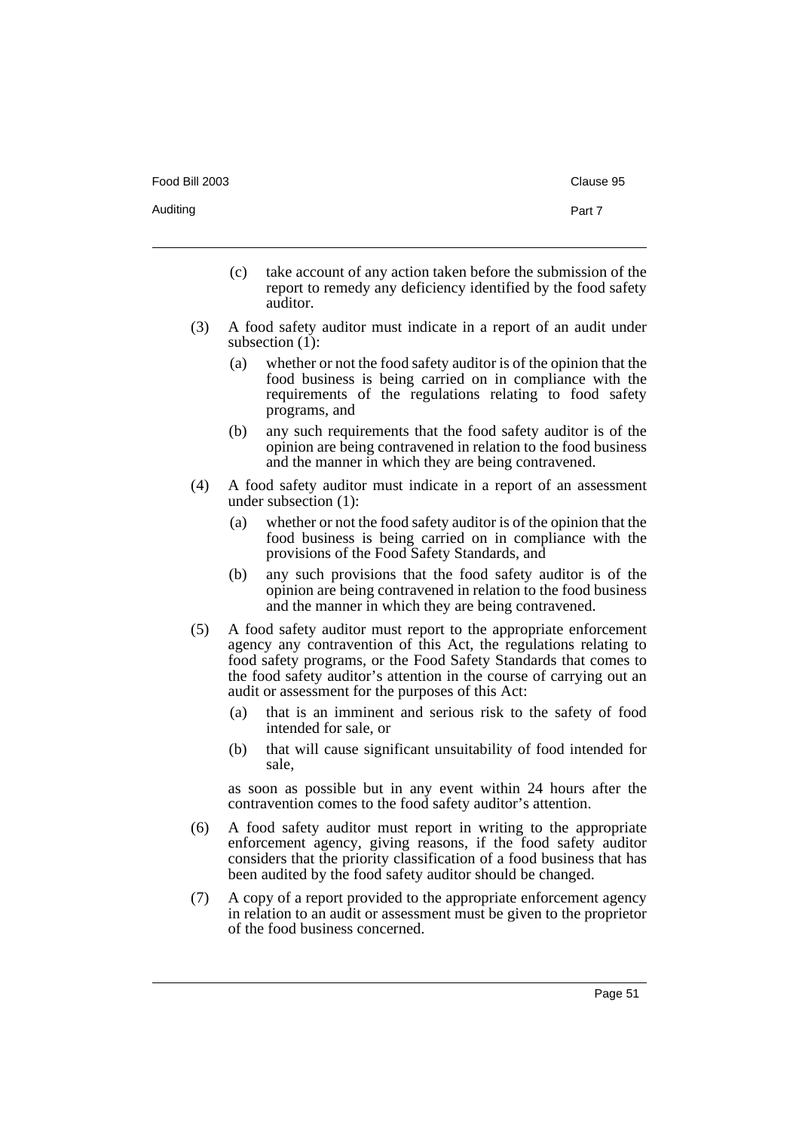- (c) take account of any action taken before the submission of the report to remedy any deficiency identified by the food safety auditor.
- (3) A food safety auditor must indicate in a report of an audit under subsection  $(1)$ :
	- (a) whether or not the food safety auditor is of the opinion that the food business is being carried on in compliance with the requirements of the regulations relating to food safety programs, and
	- (b) any such requirements that the food safety auditor is of the opinion are being contravened in relation to the food business and the manner in which they are being contravened.
- (4) A food safety auditor must indicate in a report of an assessment under subsection (1):
	- (a) whether or not the food safety auditor is of the opinion that the food business is being carried on in compliance with the provisions of the Food Safety Standards, and
	- (b) any such provisions that the food safety auditor is of the opinion are being contravened in relation to the food business and the manner in which they are being contravened.
- (5) A food safety auditor must report to the appropriate enforcement agency any contravention of this Act, the regulations relating to food safety programs, or the Food Safety Standards that comes to the food safety auditor's attention in the course of carrying out an audit or assessment for the purposes of this Act:
	- (a) that is an imminent and serious risk to the safety of food intended for sale, or
	- (b) that will cause significant unsuitability of food intended for sale,

as soon as possible but in any event within 24 hours after the contravention comes to the food safety auditor's attention.

- (6) A food safety auditor must report in writing to the appropriate enforcement agency, giving reasons, if the food safety auditor considers that the priority classification of a food business that has been audited by the food safety auditor should be changed.
- (7) A copy of a report provided to the appropriate enforcement agency in relation to an audit or assessment must be given to the proprietor of the food business concerned.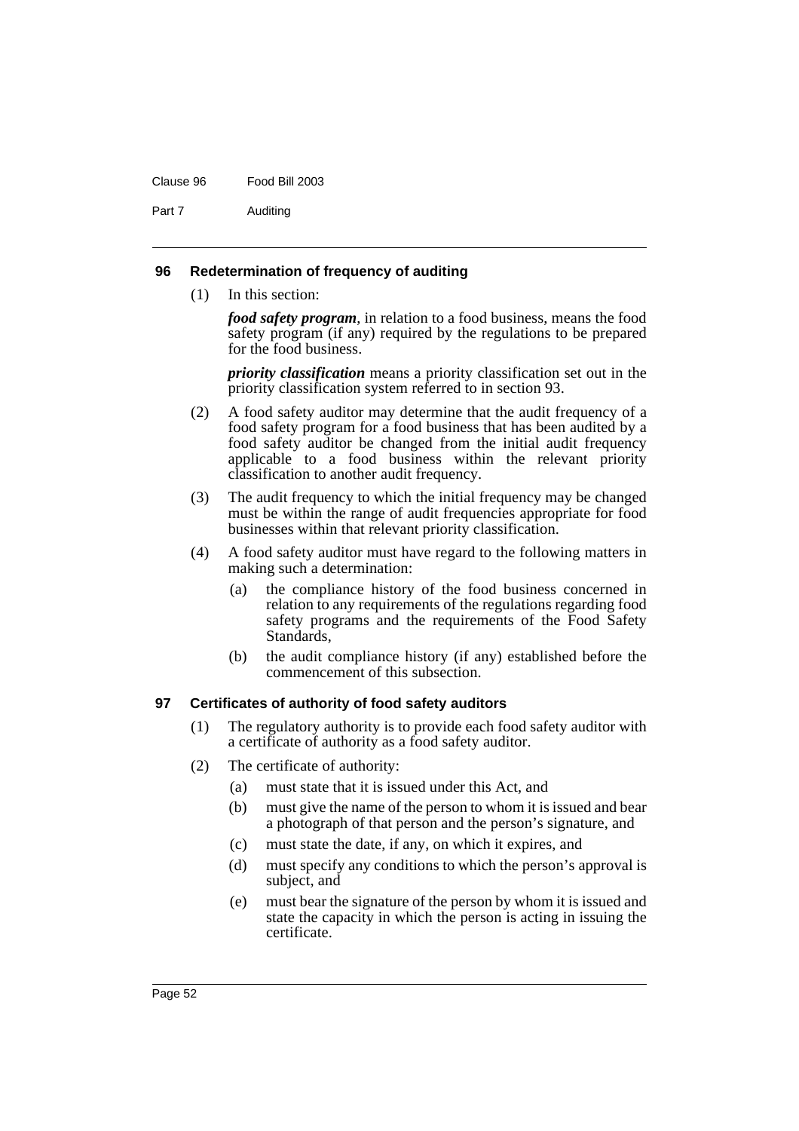#### Clause 96 Food Bill 2003

Part 7 Auditing

### **96 Redetermination of frequency of auditing**

(1) In this section:

*food safety program*, in relation to a food business, means the food safety program (if any) required by the regulations to be prepared for the food business.

*priority classification* means a priority classification set out in the priority classification system referred to in section 93.

- (2) A food safety auditor may determine that the audit frequency of a food safety program for a food business that has been audited by a food safety auditor be changed from the initial audit frequency applicable to a food business within the relevant priority classification to another audit frequency.
- (3) The audit frequency to which the initial frequency may be changed must be within the range of audit frequencies appropriate for food businesses within that relevant priority classification.
- (4) A food safety auditor must have regard to the following matters in making such a determination:
	- (a) the compliance history of the food business concerned in relation to any requirements of the regulations regarding food safety programs and the requirements of the Food Safety Standards,
	- (b) the audit compliance history (if any) established before the commencement of this subsection.

### **97 Certificates of authority of food safety auditors**

- (1) The regulatory authority is to provide each food safety auditor with a certificate of authority as a food safety auditor.
- (2) The certificate of authority:
	- (a) must state that it is issued under this Act, and
	- (b) must give the name of the person to whom it is issued and bear a photograph of that person and the person's signature, and
	- (c) must state the date, if any, on which it expires, and
	- (d) must specify any conditions to which the person's approval is subject, and
	- (e) must bear the signature of the person by whom it is issued and state the capacity in which the person is acting in issuing the certificate.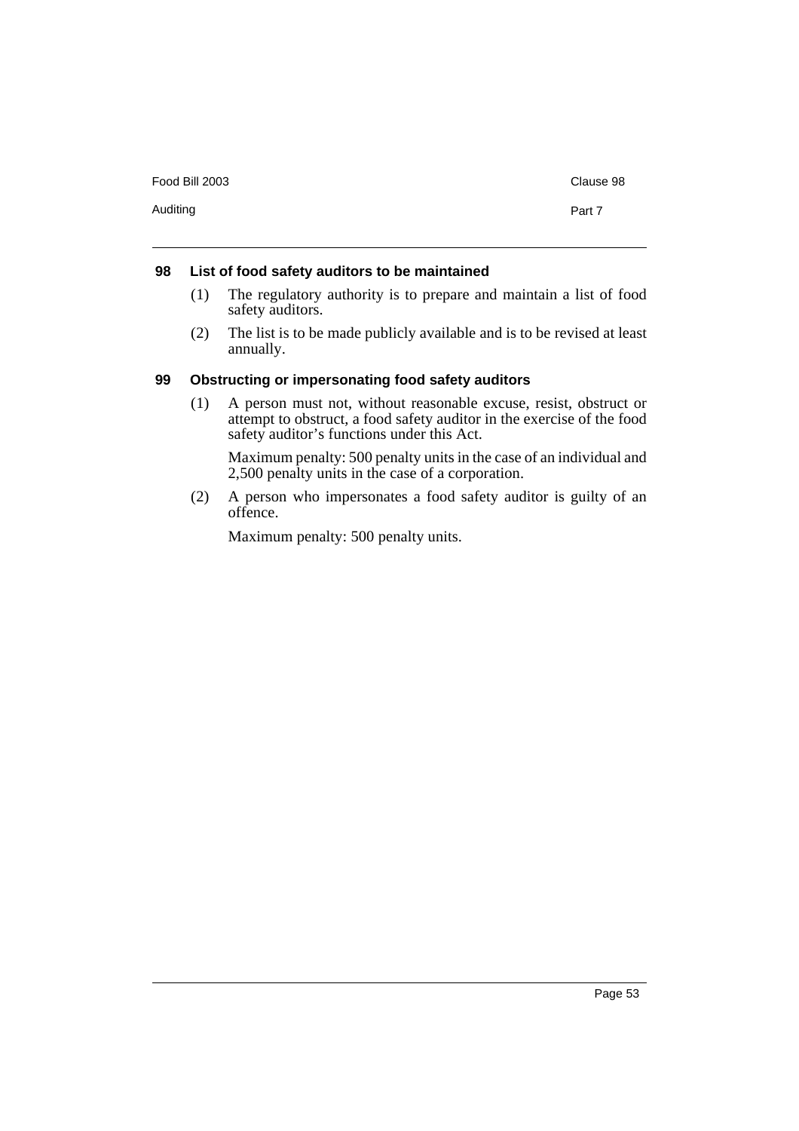| Food Bill 2003 | Clause 98 |
|----------------|-----------|
| Auditing       | Part 7    |

### **98 List of food safety auditors to be maintained**

- (1) The regulatory authority is to prepare and maintain a list of food safety auditors.
- (2) The list is to be made publicly available and is to be revised at least annually.

### **99 Obstructing or impersonating food safety auditors**

(1) A person must not, without reasonable excuse, resist, obstruct or attempt to obstruct, a food safety auditor in the exercise of the food safety auditor's functions under this Act.

Maximum penalty: 500 penalty units in the case of an individual and 2,500 penalty units in the case of a corporation.

(2) A person who impersonates a food safety auditor is guilty of an offence.

Maximum penalty: 500 penalty units.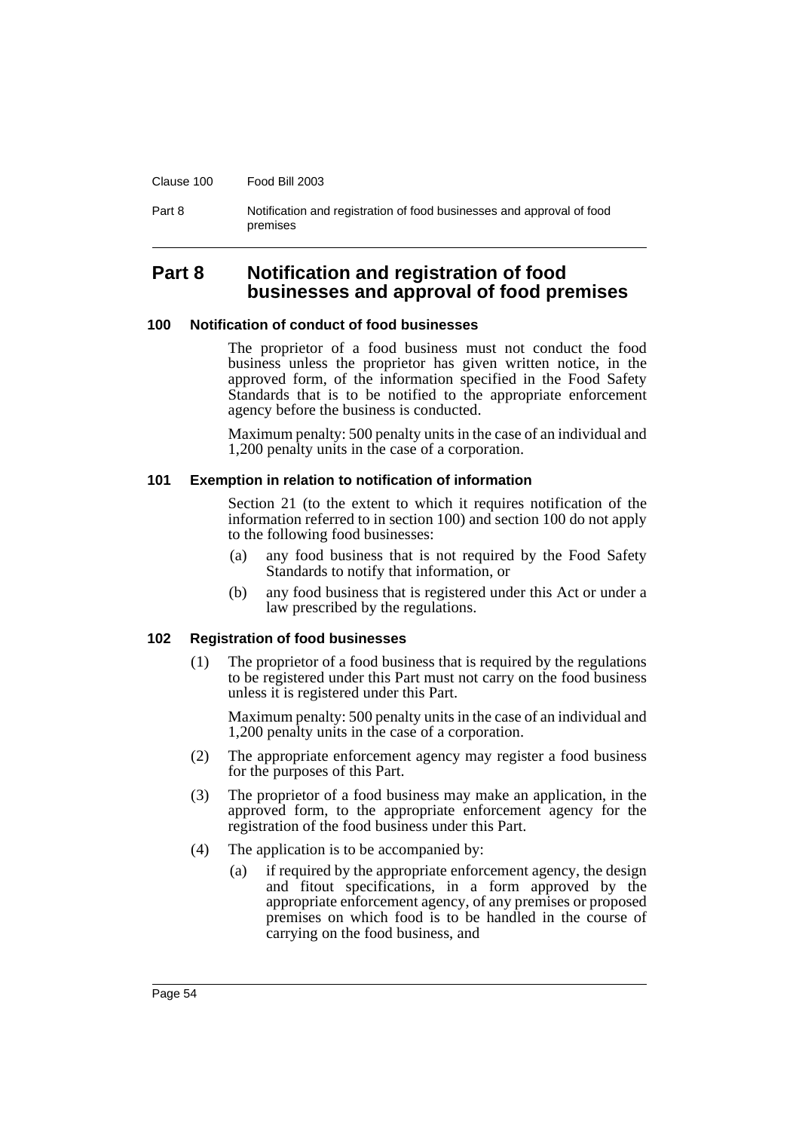Clause 100 Food Bill 2003

Part 8 Notification and registration of food businesses and approval of food premises

# **Part 8 Notification and registration of food businesses and approval of food premises**

#### **100 Notification of conduct of food businesses**

The proprietor of a food business must not conduct the food business unless the proprietor has given written notice, in the approved form, of the information specified in the Food Safety Standards that is to be notified to the appropriate enforcement agency before the business is conducted.

Maximum penalty: 500 penalty units in the case of an individual and 1,200 penalty units in the case of a corporation.

#### **101 Exemption in relation to notification of information**

Section 21 (to the extent to which it requires notification of the information referred to in section 100) and section 100 do not apply to the following food businesses:

- (a) any food business that is not required by the Food Safety Standards to notify that information, or
- (b) any food business that is registered under this Act or under a law prescribed by the regulations.

#### **102 Registration of food businesses**

(1) The proprietor of a food business that is required by the regulations to be registered under this Part must not carry on the food business unless it is registered under this Part.

Maximum penalty: 500 penalty units in the case of an individual and 1,200 penalty units in the case of a corporation.

- (2) The appropriate enforcement agency may register a food business for the purposes of this Part.
- (3) The proprietor of a food business may make an application, in the approved form, to the appropriate enforcement agency for the registration of the food business under this Part.
- (4) The application is to be accompanied by:
	- (a) if required by the appropriate enforcement agency, the design and fitout specifications, in a form approved by the appropriate enforcement agency, of any premises or proposed premises on which food is to be handled in the course of carrying on the food business, and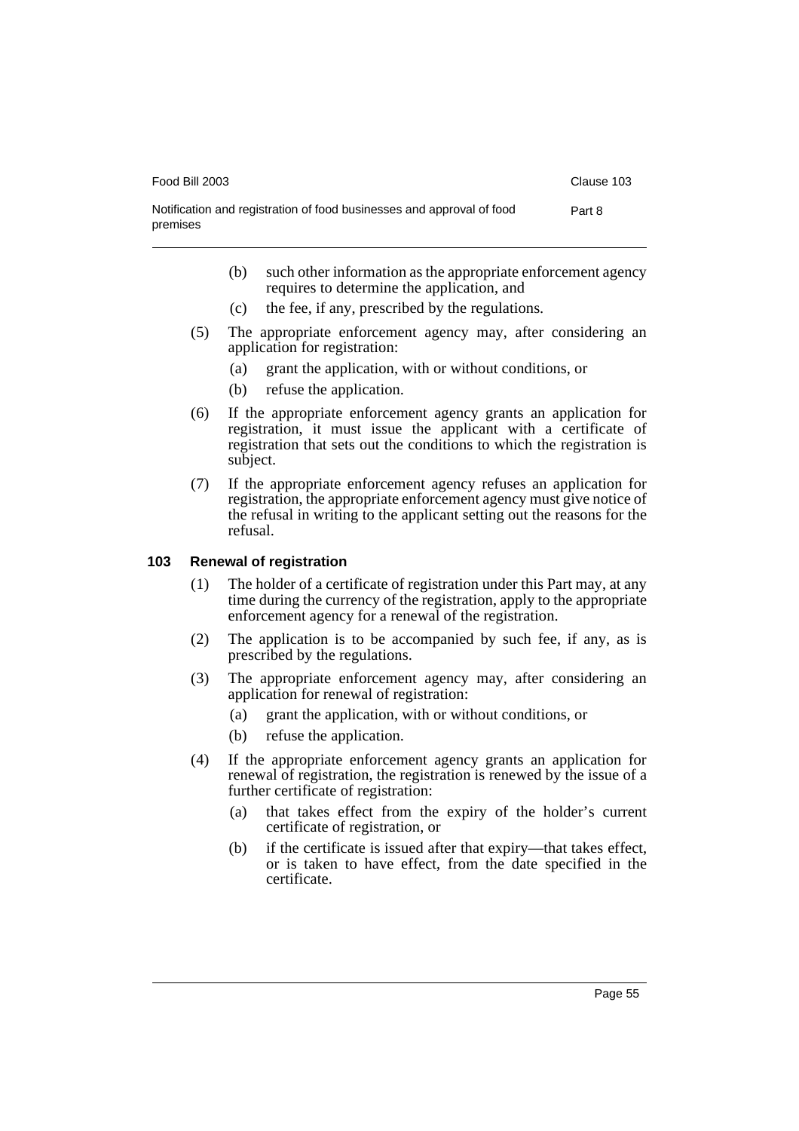| Food Bill 2003                                                                    | Clause 103 |
|-----------------------------------------------------------------------------------|------------|
| Notification and registration of food businesses and approval of food<br>premises | Part 8     |

- (b) such other information as the appropriate enforcement agency requires to determine the application, and
- (c) the fee, if any, prescribed by the regulations.
- (5) The appropriate enforcement agency may, after considering an application for registration:
	- (a) grant the application, with or without conditions, or
	- (b) refuse the application.
- (6) If the appropriate enforcement agency grants an application for registration, it must issue the applicant with a certificate of registration that sets out the conditions to which the registration is subject.
- (7) If the appropriate enforcement agency refuses an application for registration, the appropriate enforcement agency must give notice of the refusal in writing to the applicant setting out the reasons for the refusal.

### **103 Renewal of registration**

- (1) The holder of a certificate of registration under this Part may, at any time during the currency of the registration, apply to the appropriate enforcement agency for a renewal of the registration.
- (2) The application is to be accompanied by such fee, if any, as is prescribed by the regulations.
- (3) The appropriate enforcement agency may, after considering an application for renewal of registration:
	- (a) grant the application, with or without conditions, or
	- (b) refuse the application.
- (4) If the appropriate enforcement agency grants an application for renewal of registration, the registration is renewed by the issue of a further certificate of registration:
	- (a) that takes effect from the expiry of the holder's current certificate of registration, or
	- (b) if the certificate is issued after that expiry—that takes effect, or is taken to have effect, from the date specified in the certificate.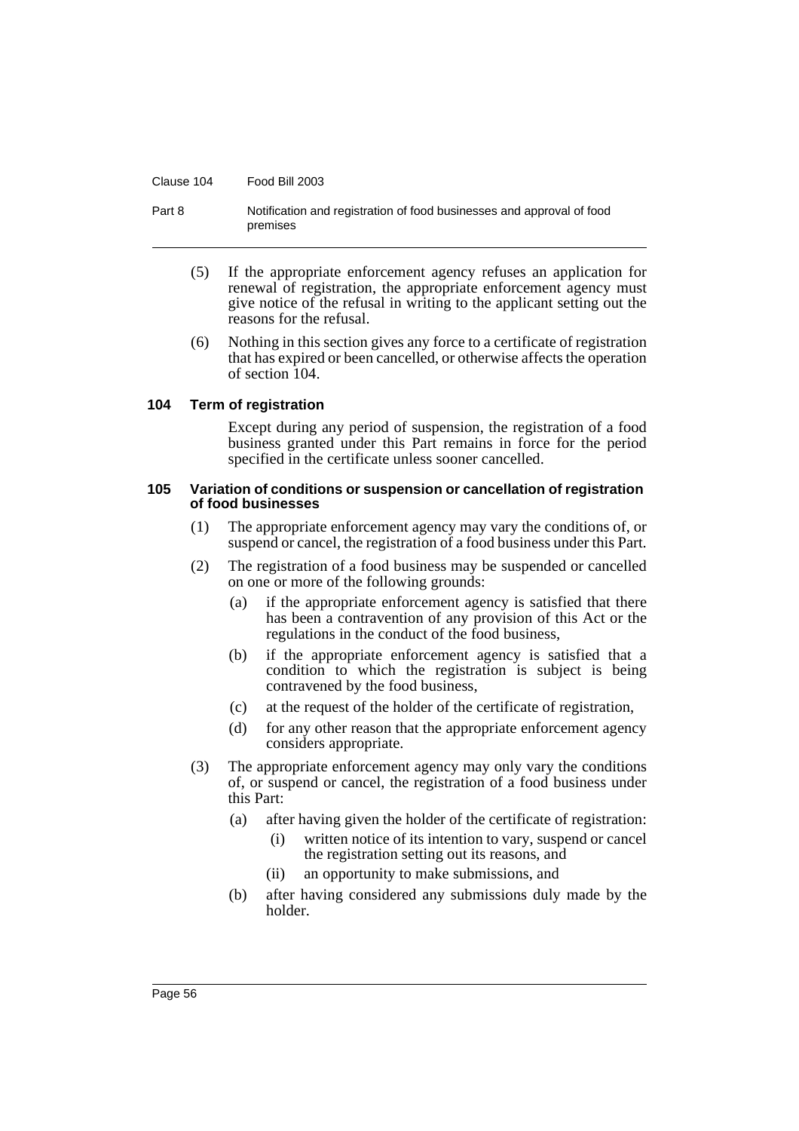#### Clause 104 Food Bill 2003

#### Part 8 Notification and registration of food businesses and approval of food premises

- (5) If the appropriate enforcement agency refuses an application for renewal of registration, the appropriate enforcement agency must give notice of the refusal in writing to the applicant setting out the reasons for the refusal.
- (6) Nothing in this section gives any force to a certificate of registration that has expired or been cancelled, or otherwise affects the operation of section 104.

#### **104 Term of registration**

Except during any period of suspension, the registration of a food business granted under this Part remains in force for the period specified in the certificate unless sooner cancelled.

#### **105 Variation of conditions or suspension or cancellation of registration of food businesses**

- (1) The appropriate enforcement agency may vary the conditions of, or suspend or cancel, the registration of a food business under this Part.
- (2) The registration of a food business may be suspended or cancelled on one or more of the following grounds:
	- (a) if the appropriate enforcement agency is satisfied that there has been a contravention of any provision of this Act or the regulations in the conduct of the food business,
	- (b) if the appropriate enforcement agency is satisfied that a condition to which the registration is subject is being contravened by the food business,
	- (c) at the request of the holder of the certificate of registration,
	- (d) for any other reason that the appropriate enforcement agency considers appropriate.
- (3) The appropriate enforcement agency may only vary the conditions of, or suspend or cancel, the registration of a food business under this Part:
	- (a) after having given the holder of the certificate of registration:
		- (i) written notice of its intention to vary, suspend or cancel the registration setting out its reasons, and
		- (ii) an opportunity to make submissions, and
	- (b) after having considered any submissions duly made by the holder.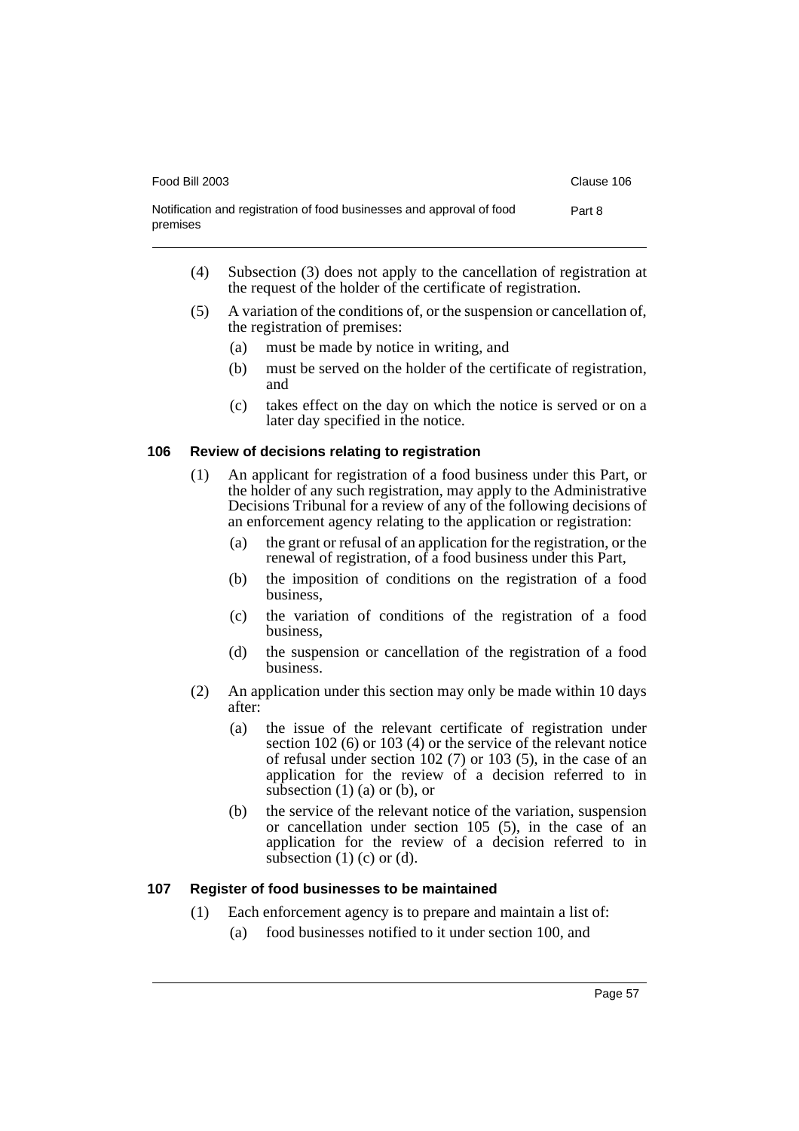| Food Bill 2003                                                                    | Clause 106 |
|-----------------------------------------------------------------------------------|------------|
| Notification and registration of food businesses and approval of food<br>premises | Part 8     |

- (4) Subsection (3) does not apply to the cancellation of registration at the request of the holder of the certificate of registration.
- (5) A variation of the conditions of, or the suspension or cancellation of, the registration of premises:
	- (a) must be made by notice in writing, and
	- (b) must be served on the holder of the certificate of registration, and
	- (c) takes effect on the day on which the notice is served or on a later day specified in the notice.

### **106 Review of decisions relating to registration**

- (1) An applicant for registration of a food business under this Part, or the holder of any such registration, may apply to the Administrative Decisions Tribunal for a review of any of the following decisions of an enforcement agency relating to the application or registration:
	- (a) the grant or refusal of an application for the registration, or the renewal of registration, of a food business under this Part,
	- (b) the imposition of conditions on the registration of a food business,
	- (c) the variation of conditions of the registration of a food business,
	- (d) the suspension or cancellation of the registration of a food business.
- (2) An application under this section may only be made within 10 days after:
	- (a) the issue of the relevant certificate of registration under section 102 (6) or 103 (4) or the service of the relevant notice of refusal under section 102 (7) or 103 (5), in the case of an application for the review of a decision referred to in subsection  $(1)$   $(a)$  or  $(b)$ , or
	- (b) the service of the relevant notice of the variation, suspension or cancellation under section 105 (5), in the case of an application for the review of a decision referred to in subsection  $(1)$  (c) or  $(d)$ .

### **107 Register of food businesses to be maintained**

- (1) Each enforcement agency is to prepare and maintain a list of:
	- (a) food businesses notified to it under section 100, and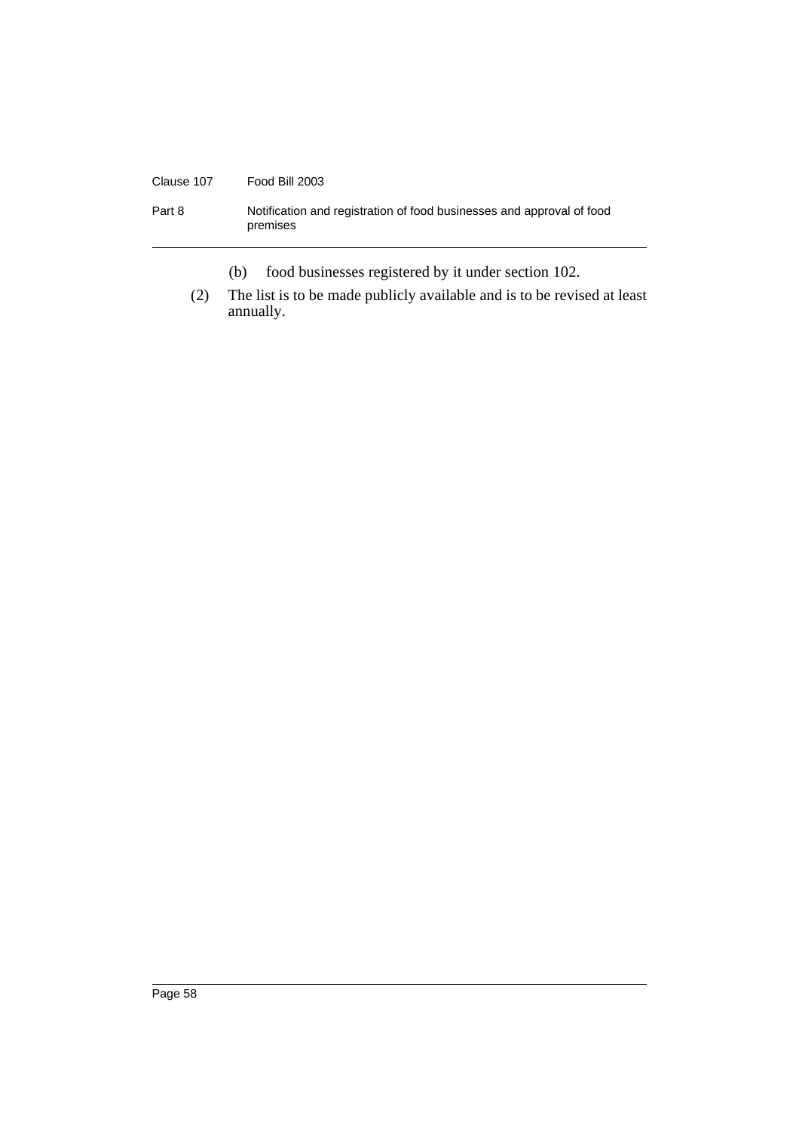# Clause 107 Food Bill 2003 Part 8 Notification and registration of food businesses and approval of food premises

(b) food businesses registered by it under section 102.

(2) The list is to be made publicly available and is to be revised at least annually.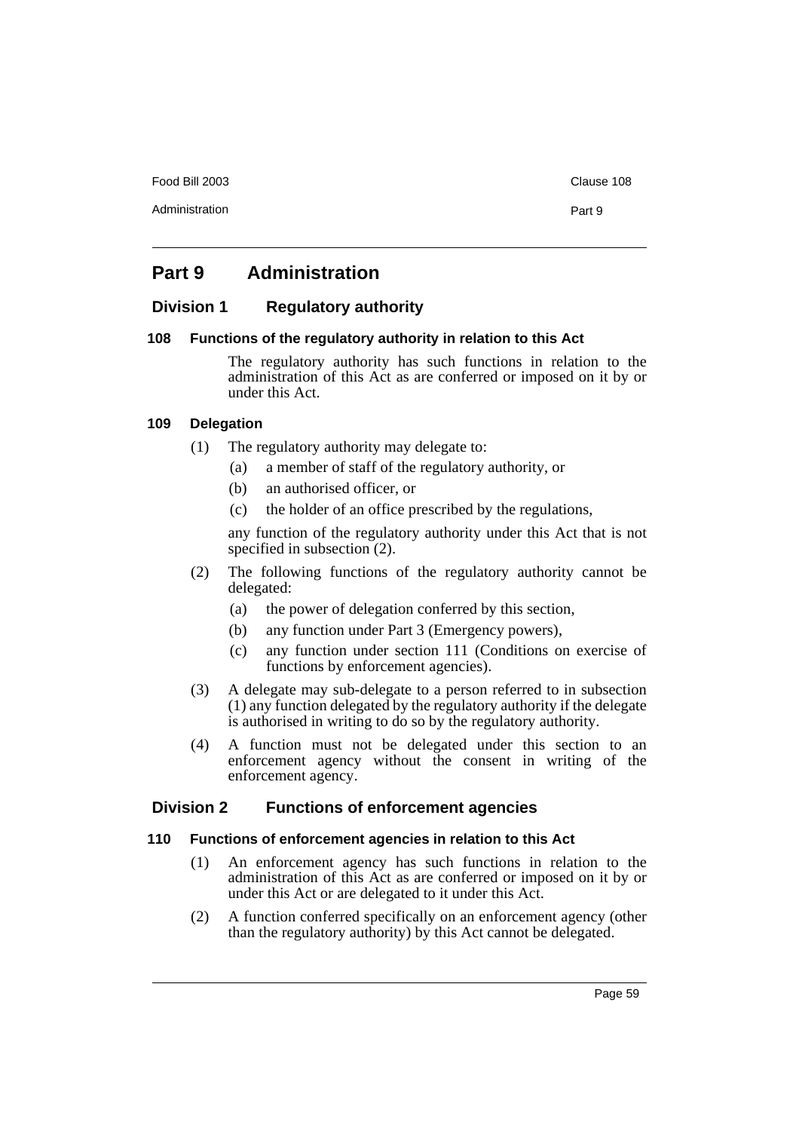Food Bill 2003 Clause 108

# **Part 9 Administration**

### **Division 1 Regulatory authority**

### **108 Functions of the regulatory authority in relation to this Act**

The regulatory authority has such functions in relation to the administration of this Act as are conferred or imposed on it by or under this Act.

### **109 Delegation**

- (1) The regulatory authority may delegate to:
	- (a) a member of staff of the regulatory authority, or
	- (b) an authorised officer, or
	- (c) the holder of an office prescribed by the regulations,

any function of the regulatory authority under this Act that is not specified in subsection (2).

- (2) The following functions of the regulatory authority cannot be delegated:
	- (a) the power of delegation conferred by this section,
	- (b) any function under Part 3 (Emergency powers),
	- (c) any function under section 111 (Conditions on exercise of functions by enforcement agencies).
- (3) A delegate may sub-delegate to a person referred to in subsection (1) any function delegated by the regulatory authority if the delegate is authorised in writing to do so by the regulatory authority.
- (4) A function must not be delegated under this section to an enforcement agency without the consent in writing of the enforcement agency.

### **Division 2 Functions of enforcement agencies**

### **110 Functions of enforcement agencies in relation to this Act**

- (1) An enforcement agency has such functions in relation to the administration of this Act as are conferred or imposed on it by or under this Act or are delegated to it under this Act.
- (2) A function conferred specifically on an enforcement agency (other than the regulatory authority) by this Act cannot be delegated.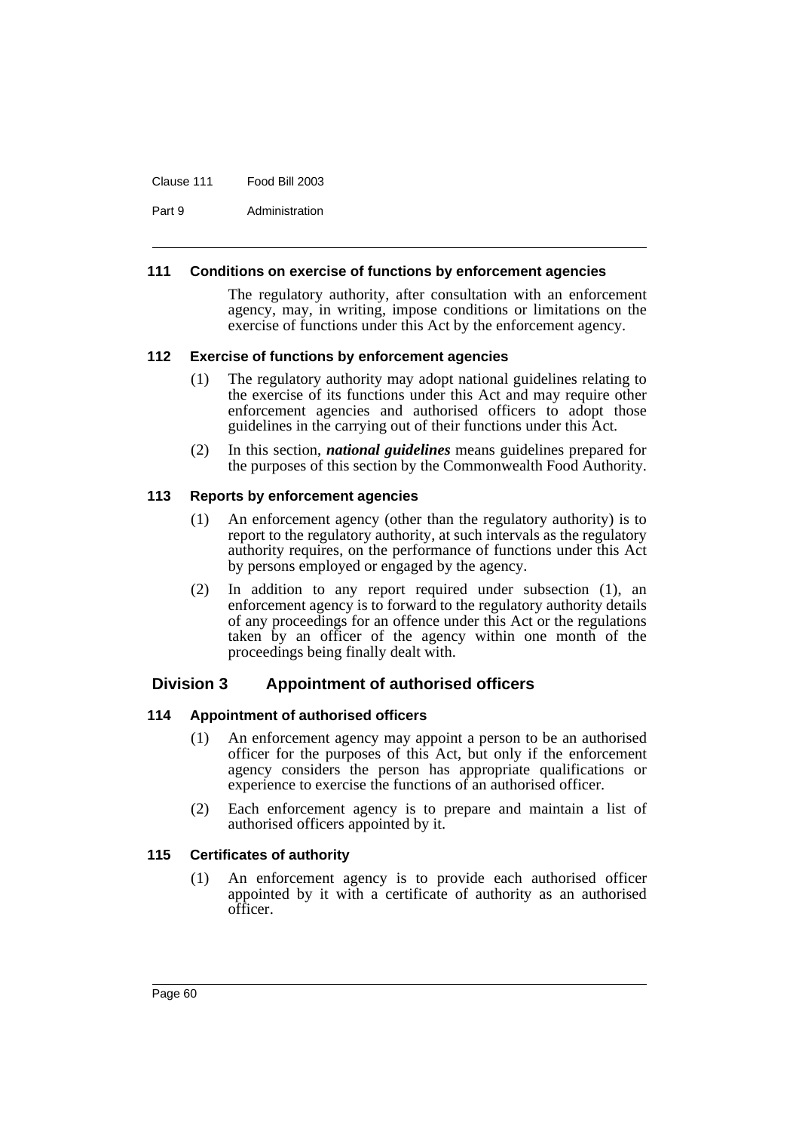#### Clause 111 Food Bill 2003

Part 9 Administration

#### **111 Conditions on exercise of functions by enforcement agencies**

The regulatory authority, after consultation with an enforcement agency, may, in writing, impose conditions or limitations on the exercise of functions under this Act by the enforcement agency.

#### **112 Exercise of functions by enforcement agencies**

- (1) The regulatory authority may adopt national guidelines relating to the exercise of its functions under this Act and may require other enforcement agencies and authorised officers to adopt those guidelines in the carrying out of their functions under this Act.
- (2) In this section, *national guidelines* means guidelines prepared for the purposes of this section by the Commonwealth Food Authority.

#### **113 Reports by enforcement agencies**

- (1) An enforcement agency (other than the regulatory authority) is to report to the regulatory authority, at such intervals as the regulatory authority requires, on the performance of functions under this Act by persons employed or engaged by the agency.
- (2) In addition to any report required under subsection (1), an enforcement agency is to forward to the regulatory authority details of any proceedings for an offence under this Act or the regulations taken by an officer of the agency within one month of the proceedings being finally dealt with.

### **Division 3 Appointment of authorised officers**

### **114 Appointment of authorised officers**

- (1) An enforcement agency may appoint a person to be an authorised officer for the purposes of this Act, but only if the enforcement agency considers the person has appropriate qualifications or experience to exercise the functions of an authorised officer.
- (2) Each enforcement agency is to prepare and maintain a list of authorised officers appointed by it.

### **115 Certificates of authority**

(1) An enforcement agency is to provide each authorised officer appointed by it with a certificate of authority as an authorised officer.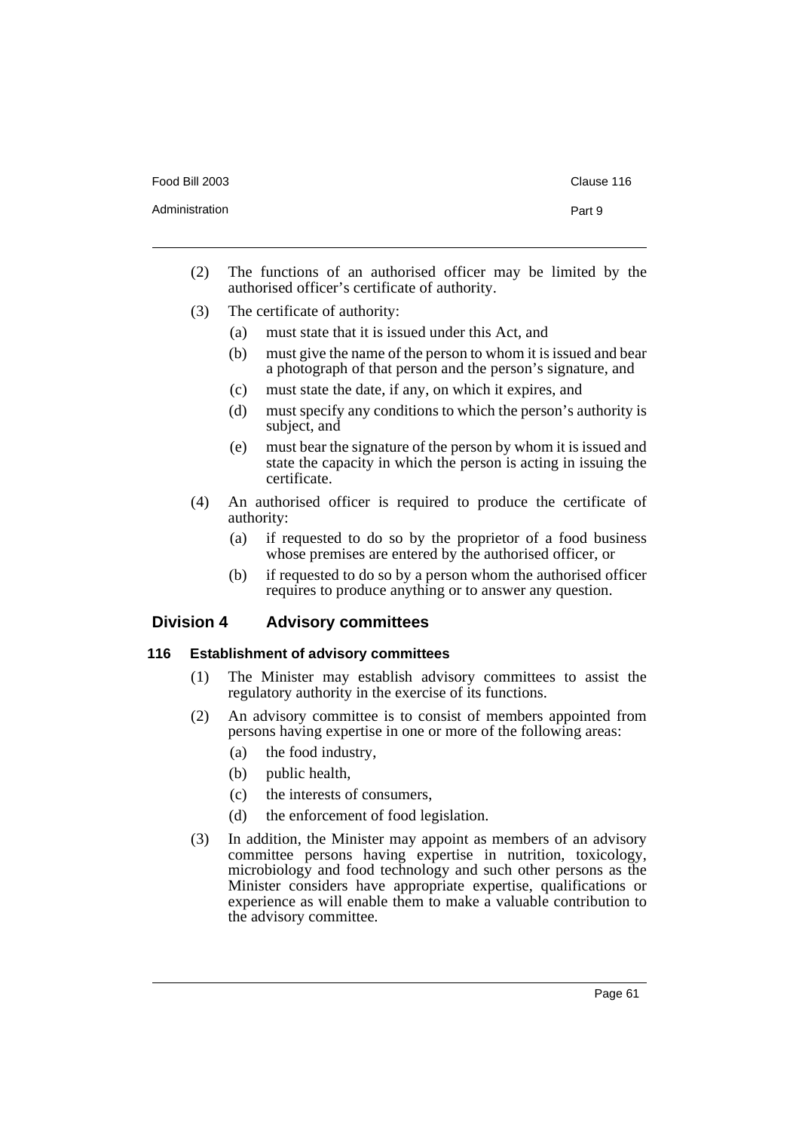| Food Bill 2003 |  |
|----------------|--|
|----------------|--|

- (2) The functions of an authorised officer may be limited by the authorised officer's certificate of authority.
- (3) The certificate of authority:
	- (a) must state that it is issued under this Act, and
	- (b) must give the name of the person to whom it is issued and bear a photograph of that person and the person's signature, and
	- (c) must state the date, if any, on which it expires, and
	- (d) must specify any conditions to which the person's authority is subject, and
	- (e) must bear the signature of the person by whom it is issued and state the capacity in which the person is acting in issuing the certificate.
- (4) An authorised officer is required to produce the certificate of authority:
	- (a) if requested to do so by the proprietor of a food business whose premises are entered by the authorised officer, or
	- (b) if requested to do so by a person whom the authorised officer requires to produce anything or to answer any question.

### **Division 4 Advisory committees**

#### **116 Establishment of advisory committees**

- (1) The Minister may establish advisory committees to assist the regulatory authority in the exercise of its functions.
- (2) An advisory committee is to consist of members appointed from persons having expertise in one or more of the following areas:
	- (a) the food industry,
	- (b) public health,
	- (c) the interests of consumers,
	- (d) the enforcement of food legislation.
- (3) In addition, the Minister may appoint as members of an advisory committee persons having expertise in nutrition, toxicology, microbiology and food technology and such other persons as the Minister considers have appropriate expertise, qualifications or experience as will enable them to make a valuable contribution to the advisory committee.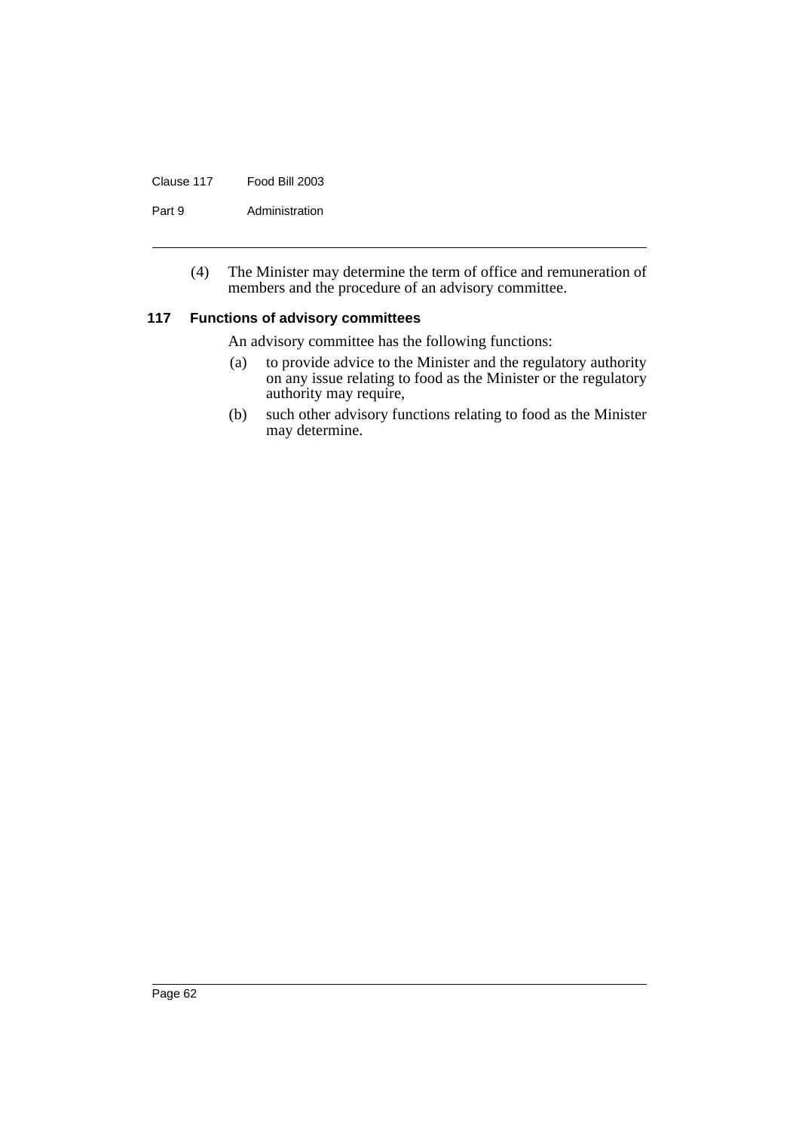#### Clause 117 Food Bill 2003

Part 9 Administration

(4) The Minister may determine the term of office and remuneration of members and the procedure of an advisory committee.

#### **117 Functions of advisory committees**

An advisory committee has the following functions:

- (a) to provide advice to the Minister and the regulatory authority on any issue relating to food as the Minister or the regulatory authority may require,
- (b) such other advisory functions relating to food as the Minister may determine.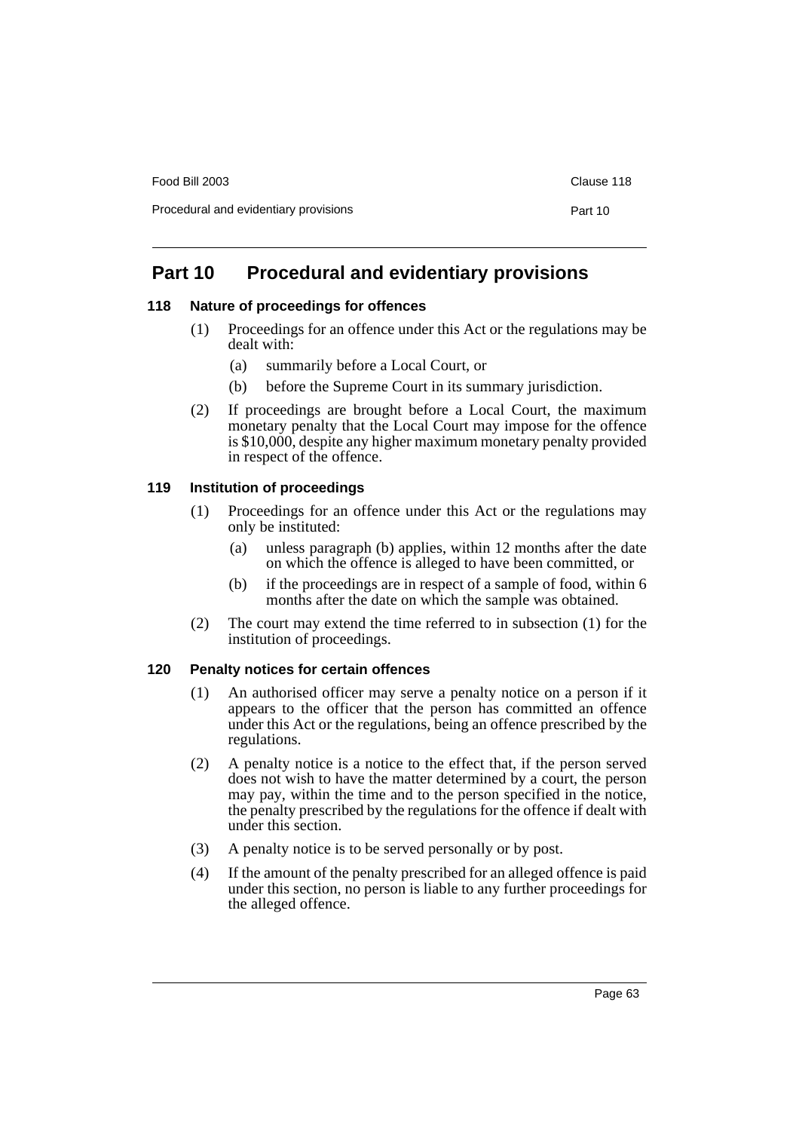Food Bill 2003 Clause 118

# **Part 10 Procedural and evidentiary provisions**

### **118 Nature of proceedings for offences**

- (1) Proceedings for an offence under this Act or the regulations may be dealt with:
	- (a) summarily before a Local Court, or
	- (b) before the Supreme Court in its summary jurisdiction.
- (2) If proceedings are brought before a Local Court, the maximum monetary penalty that the Local Court may impose for the offence is \$10,000, despite any higher maximum monetary penalty provided in respect of the offence.

### **119 Institution of proceedings**

- (1) Proceedings for an offence under this Act or the regulations may only be instituted:
	- (a) unless paragraph (b) applies, within 12 months after the date on which the offence is alleged to have been committed, or
	- (b) if the proceedings are in respect of a sample of food, within 6 months after the date on which the sample was obtained.
- (2) The court may extend the time referred to in subsection (1) for the institution of proceedings.

### **120 Penalty notices for certain offences**

- (1) An authorised officer may serve a penalty notice on a person if it appears to the officer that the person has committed an offence under this Act or the regulations, being an offence prescribed by the regulations.
- (2) A penalty notice is a notice to the effect that, if the person served does not wish to have the matter determined by a court, the person may pay, within the time and to the person specified in the notice, the penalty prescribed by the regulations for the offence if dealt with under this section.
- (3) A penalty notice is to be served personally or by post.
- (4) If the amount of the penalty prescribed for an alleged offence is paid under this section, no person is liable to any further proceedings for the alleged offence.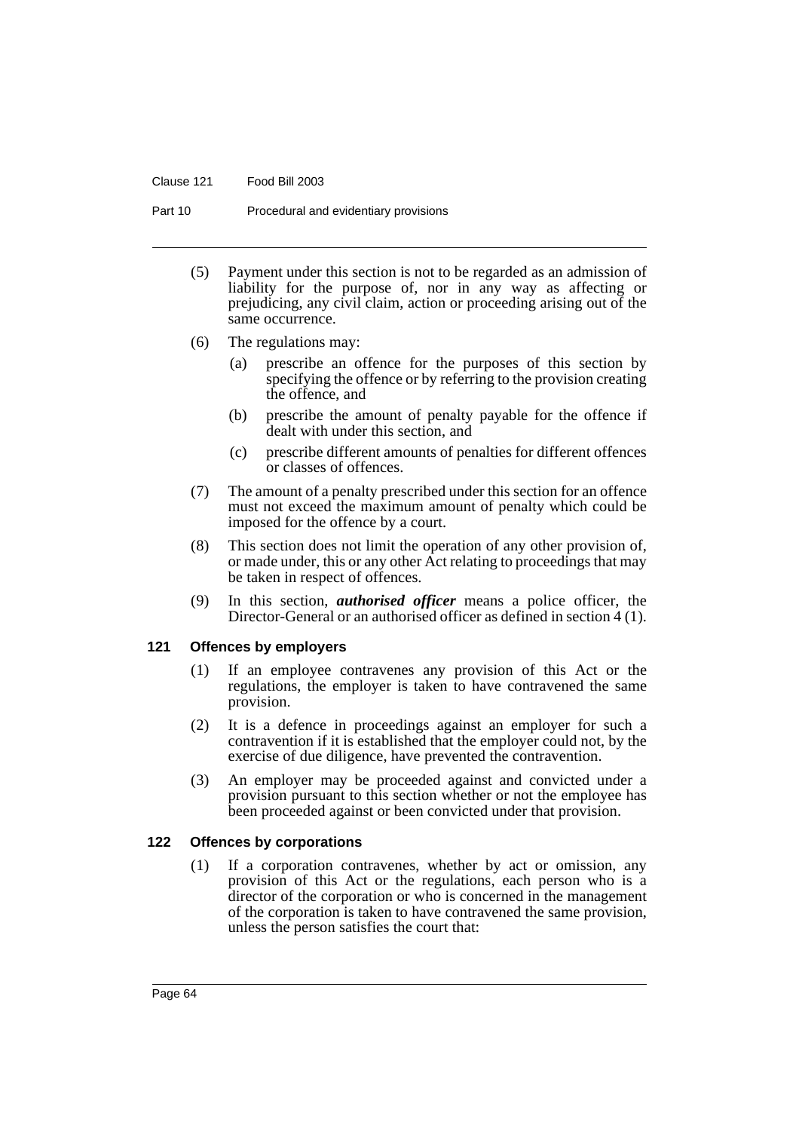#### Clause 121 Food Bill 2003

Part 10 Procedural and evidentiary provisions

- (5) Payment under this section is not to be regarded as an admission of liability for the purpose of, nor in any way as affecting or prejudicing, any civil claim, action or proceeding arising out of the same occurrence.
- (6) The regulations may:
	- (a) prescribe an offence for the purposes of this section by specifying the offence or by referring to the provision creating the offence, and
	- (b) prescribe the amount of penalty payable for the offence if dealt with under this section, and
	- (c) prescribe different amounts of penalties for different offences or classes of offences.
- (7) The amount of a penalty prescribed under this section for an offence must not exceed the maximum amount of penalty which could be imposed for the offence by a court.
- (8) This section does not limit the operation of any other provision of, or made under, this or any other Act relating to proceedings that may be taken in respect of offences.
- (9) In this section, *authorised officer* means a police officer, the Director-General or an authorised officer as defined in section 4 (1).

### **121 Offences by employers**

- (1) If an employee contravenes any provision of this Act or the regulations, the employer is taken to have contravened the same provision.
- (2) It is a defence in proceedings against an employer for such a contravention if it is established that the employer could not, by the exercise of due diligence, have prevented the contravention.
- (3) An employer may be proceeded against and convicted under a provision pursuant to this section whether or not the employee has been proceeded against or been convicted under that provision.

### **122 Offences by corporations**

(1) If a corporation contravenes, whether by act or omission, any provision of this Act or the regulations, each person who is a director of the corporation or who is concerned in the management of the corporation is taken to have contravened the same provision, unless the person satisfies the court that: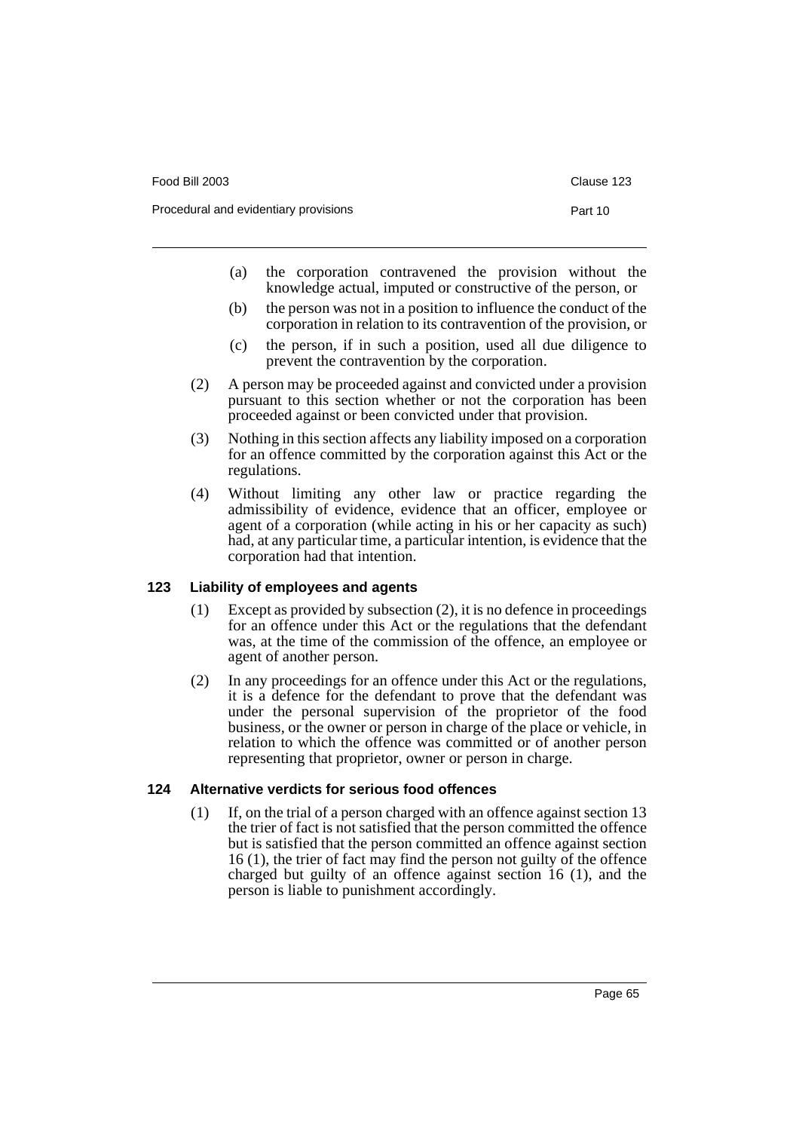| Food Bill 2003                        | Clause 123 |  |
|---------------------------------------|------------|--|
| Procedural and evidentiary provisions | Part 10    |  |
|                                       |            |  |

- (a) the corporation contravened the provision without the knowledge actual, imputed or constructive of the person, or
- (b) the person was not in a position to influence the conduct of the corporation in relation to its contravention of the provision, or
- (c) the person, if in such a position, used all due diligence to prevent the contravention by the corporation.
- (2) A person may be proceeded against and convicted under a provision pursuant to this section whether or not the corporation has been proceeded against or been convicted under that provision.
- (3) Nothing in this section affects any liability imposed on a corporation for an offence committed by the corporation against this Act or the regulations.
- (4) Without limiting any other law or practice regarding the admissibility of evidence, evidence that an officer, employee or agent of a corporation (while acting in his or her capacity as such) had, at any particular time, a particular intention, is evidence that the corporation had that intention.

### **123 Liability of employees and agents**

- (1) Except as provided by subsection (2), it is no defence in proceedings for an offence under this Act or the regulations that the defendant was, at the time of the commission of the offence, an employee or agent of another person.
- (2) In any proceedings for an offence under this Act or the regulations, it is a defence for the defendant to prove that the defendant was under the personal supervision of the proprietor of the food business, or the owner or person in charge of the place or vehicle, in relation to which the offence was committed or of another person representing that proprietor, owner or person in charge.

### **124 Alternative verdicts for serious food offences**

(1) If, on the trial of a person charged with an offence against section 13 the trier of fact is not satisfied that the person committed the offence but is satisfied that the person committed an offence against section 16 (1), the trier of fact may find the person not guilty of the offence charged but guilty of an offence against section 16 (1), and the person is liable to punishment accordingly.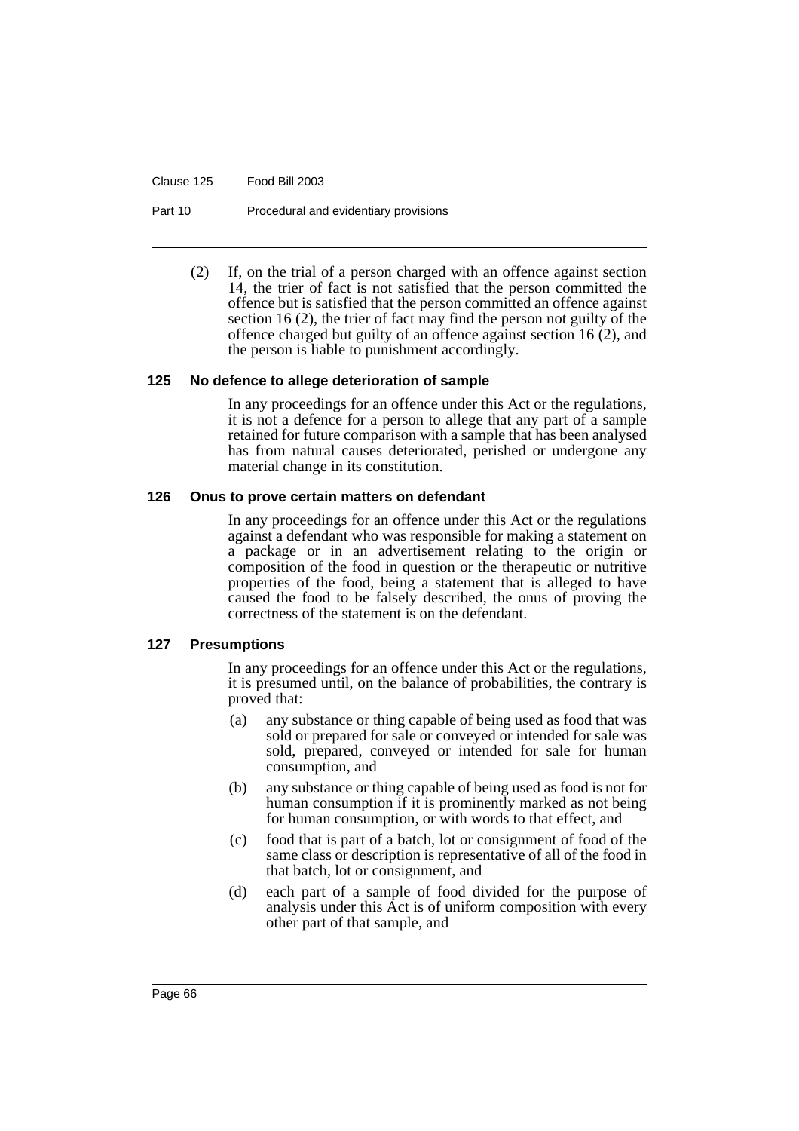Clause 125 Food Bill 2003

Part 10 Procedural and evidentiary provisions

(2) If, on the trial of a person charged with an offence against section 14, the trier of fact is not satisfied that the person committed the offence but is satisfied that the person committed an offence against section 16 (2), the trier of fact may find the person not guilty of the offence charged but guilty of an offence against section 16 (2), and the person is liable to punishment accordingly.

#### **125 No defence to allege deterioration of sample**

In any proceedings for an offence under this Act or the regulations, it is not a defence for a person to allege that any part of a sample retained for future comparison with a sample that has been analysed has from natural causes deteriorated, perished or undergone any material change in its constitution.

#### **126 Onus to prove certain matters on defendant**

In any proceedings for an offence under this Act or the regulations against a defendant who was responsible for making a statement on a package or in an advertisement relating to the origin or composition of the food in question or the therapeutic or nutritive properties of the food, being a statement that is alleged to have caused the food to be falsely described, the onus of proving the correctness of the statement is on the defendant.

### **127 Presumptions**

In any proceedings for an offence under this Act or the regulations, it is presumed until, on the balance of probabilities, the contrary is proved that:

- (a) any substance or thing capable of being used as food that was sold or prepared for sale or conveyed or intended for sale was sold, prepared, conveyed or intended for sale for human consumption, and
- (b) any substance or thing capable of being used as food is not for human consumption if it is prominently marked as not being for human consumption, or with words to that effect, and
- (c) food that is part of a batch, lot or consignment of food of the same class or description is representative of all of the food in that batch, lot or consignment, and
- (d) each part of a sample of food divided for the purpose of analysis under this Act is of uniform composition with every other part of that sample, and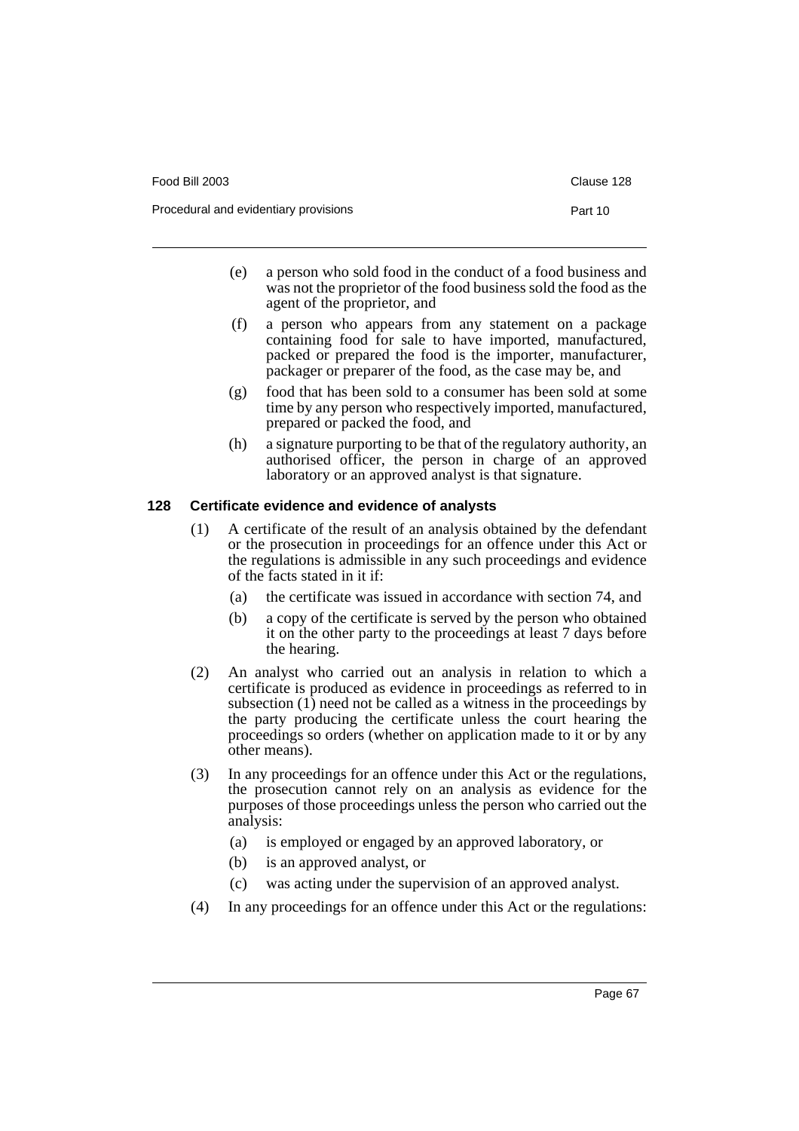Food Bill 2003 Clause 128

- (e) a person who sold food in the conduct of a food business and was not the proprietor of the food business sold the food as the agent of the proprietor, and
- (f) a person who appears from any statement on a package containing food for sale to have imported, manufactured, packed or prepared the food is the importer, manufacturer, packager or preparer of the food, as the case may be, and
- (g) food that has been sold to a consumer has been sold at some time by any person who respectively imported, manufactured, prepared or packed the food, and
- (h) a signature purporting to be that of the regulatory authority, an authorised officer, the person in charge of an approved laboratory or an approved analyst is that signature.

#### **128 Certificate evidence and evidence of analysts**

- (1) A certificate of the result of an analysis obtained by the defendant or the prosecution in proceedings for an offence under this Act or the regulations is admissible in any such proceedings and evidence of the facts stated in it if:
	- (a) the certificate was issued in accordance with section 74, and
	- (b) a copy of the certificate is served by the person who obtained it on the other party to the proceedings at least 7 days before the hearing.
- (2) An analyst who carried out an analysis in relation to which a certificate is produced as evidence in proceedings as referred to in subsection  $(1)$  need not be called as a witness in the proceedings by the party producing the certificate unless the court hearing the proceedings so orders (whether on application made to it or by any other means).
- (3) In any proceedings for an offence under this Act or the regulations, the prosecution cannot rely on an analysis as evidence for the purposes of those proceedings unless the person who carried out the analysis:
	- (a) is employed or engaged by an approved laboratory, or
	- (b) is an approved analyst, or
	- (c) was acting under the supervision of an approved analyst.
- (4) In any proceedings for an offence under this Act or the regulations: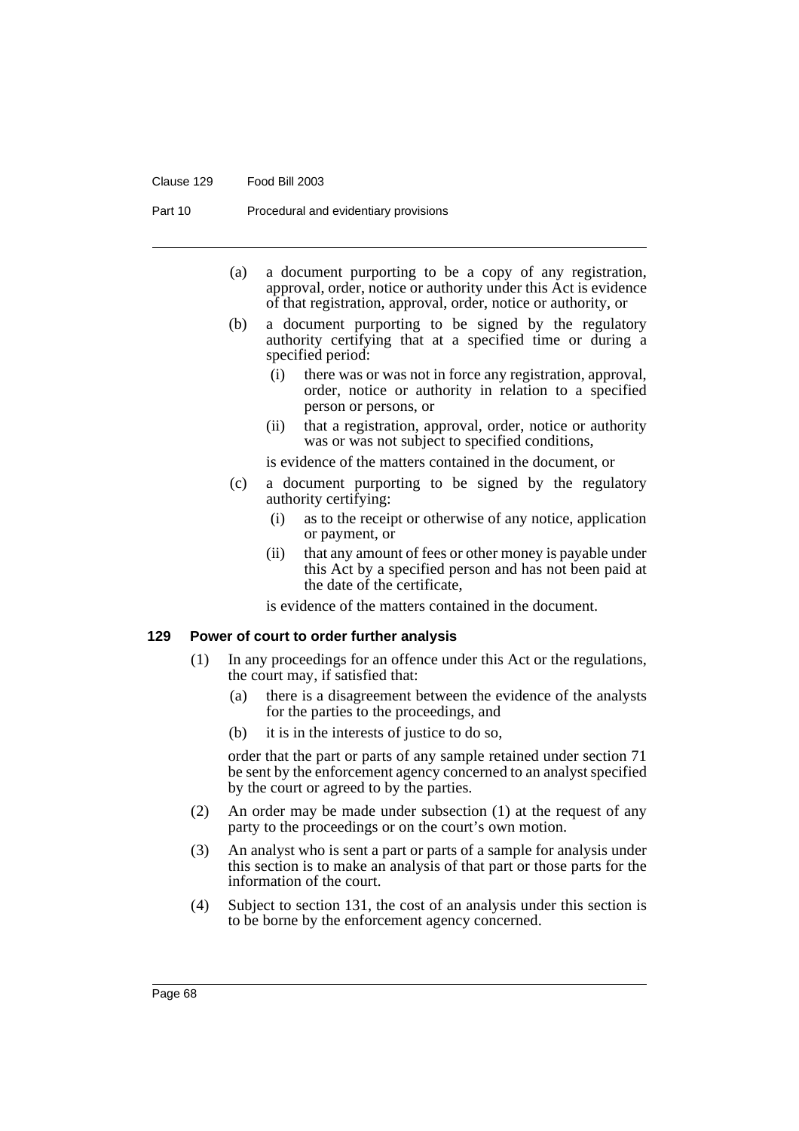#### Clause 129 Food Bill 2003

Part 10 Procedural and evidentiary provisions

- (a) a document purporting to be a copy of any registration, approval, order, notice or authority under this Act is evidence of that registration, approval, order, notice or authority, or
- (b) a document purporting to be signed by the regulatory authority certifying that at a specified time or during a specified period:
	- (i) there was or was not in force any registration, approval, order, notice or authority in relation to a specified person or persons, or
	- (ii) that a registration, approval, order, notice or authority was or was not subject to specified conditions,

is evidence of the matters contained in the document, or

- (c) a document purporting to be signed by the regulatory authority certifying:
	- (i) as to the receipt or otherwise of any notice, application or payment, or
	- (ii) that any amount of fees or other money is payable under this Act by a specified person and has not been paid at the date of the certificate,

is evidence of the matters contained in the document.

#### **129 Power of court to order further analysis**

- (1) In any proceedings for an offence under this Act or the regulations, the court may, if satisfied that:
	- (a) there is a disagreement between the evidence of the analysts for the parties to the proceedings, and
	- (b) it is in the interests of justice to do so,

order that the part or parts of any sample retained under section 71 be sent by the enforcement agency concerned to an analyst specified by the court or agreed to by the parties.

- (2) An order may be made under subsection (1) at the request of any party to the proceedings or on the court's own motion.
- (3) An analyst who is sent a part or parts of a sample for analysis under this section is to make an analysis of that part or those parts for the information of the court.
- (4) Subject to section 131, the cost of an analysis under this section is to be borne by the enforcement agency concerned.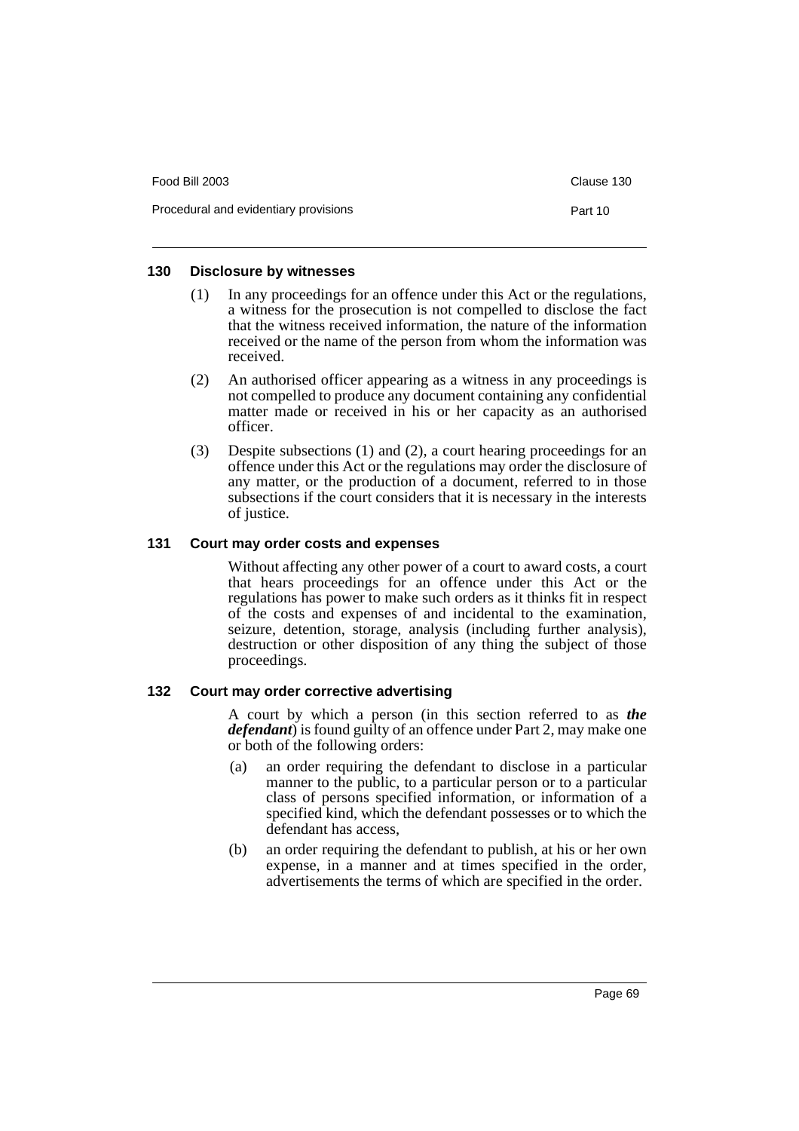| Food Bill 2003                        | Clause 130 |
|---------------------------------------|------------|
| Procedural and evidentiary provisions | Part 10    |

#### **130 Disclosure by witnesses**

- (1) In any proceedings for an offence under this Act or the regulations, a witness for the prosecution is not compelled to disclose the fact that the witness received information, the nature of the information received or the name of the person from whom the information was received.
- (2) An authorised officer appearing as a witness in any proceedings is not compelled to produce any document containing any confidential matter made or received in his or her capacity as an authorised officer.
- (3) Despite subsections (1) and (2), a court hearing proceedings for an offence under this Act or the regulations may order the disclosure of any matter, or the production of a document, referred to in those subsections if the court considers that it is necessary in the interests of justice.

#### **131 Court may order costs and expenses**

Without affecting any other power of a court to award costs, a court that hears proceedings for an offence under this Act or the regulations has power to make such orders as it thinks fit in respect of the costs and expenses of and incidental to the examination, seizure, detention, storage, analysis (including further analysis), destruction or other disposition of any thing the subject of those proceedings.

### **132 Court may order corrective advertising**

A court by which a person (in this section referred to as *the defendant*) is found guilty of an offence under Part 2, may make one or both of the following orders:

- (a) an order requiring the defendant to disclose in a particular manner to the public, to a particular person or to a particular class of persons specified information, or information of a specified kind, which the defendant possesses or to which the defendant has access,
- (b) an order requiring the defendant to publish, at his or her own expense, in a manner and at times specified in the order, advertisements the terms of which are specified in the order.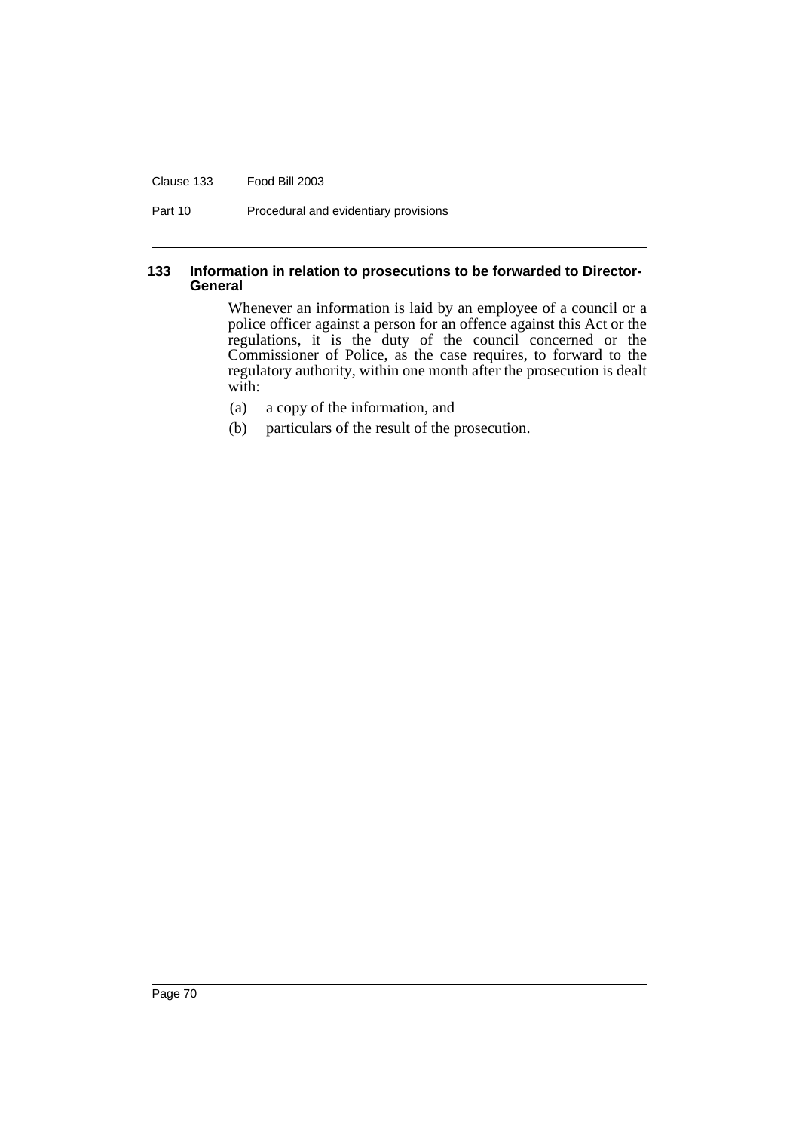#### Clause 133 Food Bill 2003

Part 10 Procedural and evidentiary provisions

#### **133 Information in relation to prosecutions to be forwarded to Director-General**

Whenever an information is laid by an employee of a council or a police officer against a person for an offence against this Act or the regulations, it is the duty of the council concerned or the Commissioner of Police, as the case requires, to forward to the regulatory authority, within one month after the prosecution is dealt with:

- (a) a copy of the information, and
- (b) particulars of the result of the prosecution.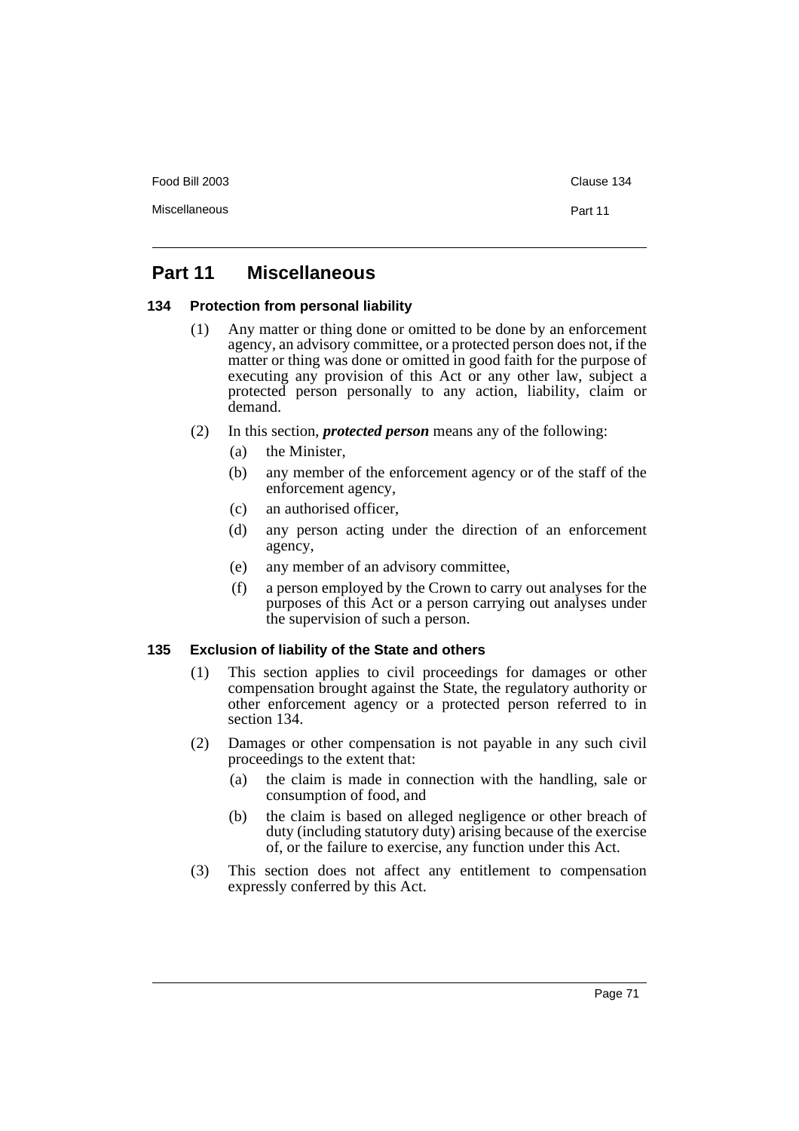Food Bill 2003 Clause 134

# **Part 11 Miscellaneous**

#### **134 Protection from personal liability**

- (1) Any matter or thing done or omitted to be done by an enforcement agency, an advisory committee, or a protected person does not, if the matter or thing was done or omitted in good faith for the purpose of executing any provision of this Act or any other law, subject a protected person personally to any action, liability, claim or demand.
- (2) In this section, *protected person* means any of the following:
	- (a) the Minister,
	- (b) any member of the enforcement agency or of the staff of the enforcement agency,
	- (c) an authorised officer,
	- (d) any person acting under the direction of an enforcement agency,
	- (e) any member of an advisory committee,
	- (f) a person employed by the Crown to carry out analyses for the purposes of this Act or a person carrying out analyses under the supervision of such a person.

### **135 Exclusion of liability of the State and others**

- (1) This section applies to civil proceedings for damages or other compensation brought against the State, the regulatory authority or other enforcement agency or a protected person referred to in section 134.
- (2) Damages or other compensation is not payable in any such civil proceedings to the extent that:
	- (a) the claim is made in connection with the handling, sale or consumption of food, and
	- (b) the claim is based on alleged negligence or other breach of duty (including statutory duty) arising because of the exercise of, or the failure to exercise, any function under this Act.
- (3) This section does not affect any entitlement to compensation expressly conferred by this Act.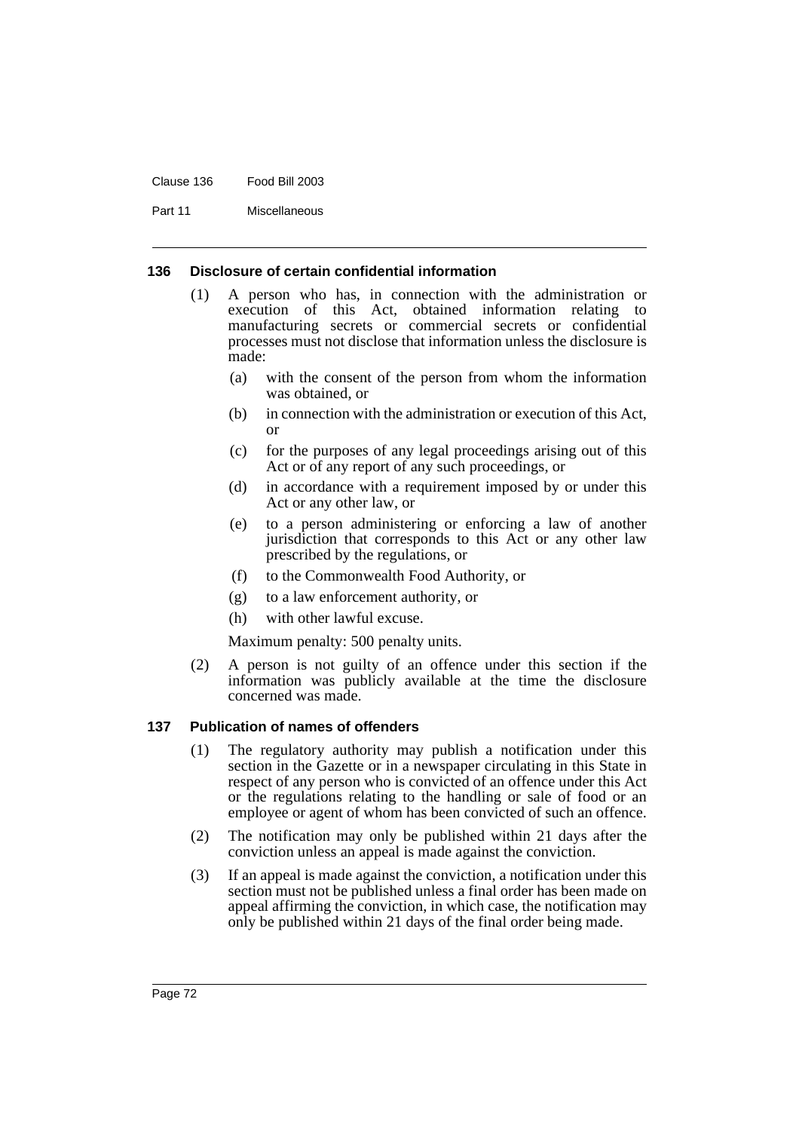Clause 136 Food Bill 2003

Part 11 Miscellaneous

### **136 Disclosure of certain confidential information**

- (1) A person who has, in connection with the administration or execution of this Act, obtained information relating to manufacturing secrets or commercial secrets or confidential processes must not disclose that information unless the disclosure is made:
	- (a) with the consent of the person from whom the information was obtained, or
	- (b) in connection with the administration or execution of this Act, or
	- (c) for the purposes of any legal proceedings arising out of this Act or of any report of any such proceedings, or
	- (d) in accordance with a requirement imposed by or under this Act or any other law, or
	- (e) to a person administering or enforcing a law of another jurisdiction that corresponds to this Act or any other law prescribed by the regulations, or
	- (f) to the Commonwealth Food Authority, or
	- (g) to a law enforcement authority, or
	- (h) with other lawful excuse.

Maximum penalty: 500 penalty units.

(2) A person is not guilty of an offence under this section if the information was publicly available at the time the disclosure concerned was made.

### **137 Publication of names of offenders**

- (1) The regulatory authority may publish a notification under this section in the Gazette or in a newspaper circulating in this State in respect of any person who is convicted of an offence under this Act or the regulations relating to the handling or sale of food or an employee or agent of whom has been convicted of such an offence.
- (2) The notification may only be published within 21 days after the conviction unless an appeal is made against the conviction.
- (3) If an appeal is made against the conviction, a notification under this section must not be published unless a final order has been made on appeal affirming the conviction, in which case, the notification may only be published within 21 days of the final order being made.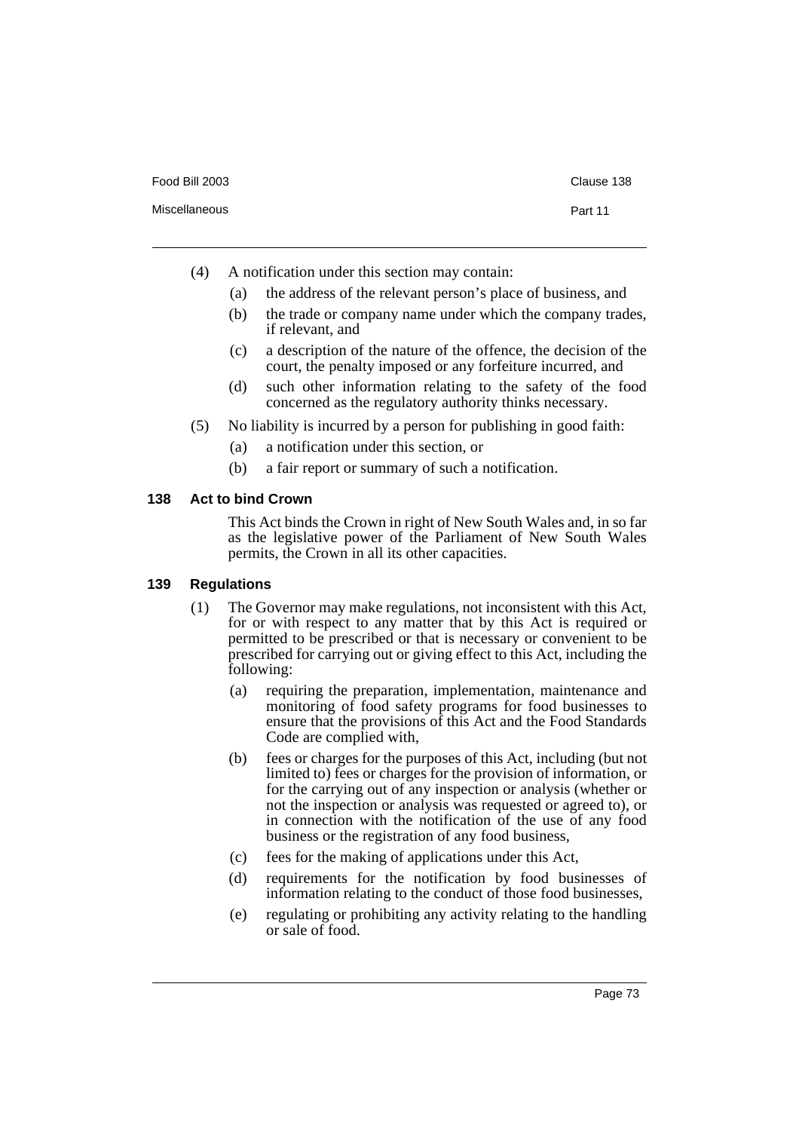- (4) A notification under this section may contain:
	- (a) the address of the relevant person's place of business, and
	- (b) the trade or company name under which the company trades, if relevant, and
	- (c) a description of the nature of the offence, the decision of the court, the penalty imposed or any forfeiture incurred, and
	- (d) such other information relating to the safety of the food concerned as the regulatory authority thinks necessary.
- (5) No liability is incurred by a person for publishing in good faith:
	- (a) a notification under this section, or
	- (b) a fair report or summary of such a notification.

### **138 Act to bind Crown**

This Act binds the Crown in right of New South Wales and, in so far as the legislative power of the Parliament of New South Wales permits, the Crown in all its other capacities.

### **139 Regulations**

- (1) The Governor may make regulations, not inconsistent with this Act, for or with respect to any matter that by this Act is required or permitted to be prescribed or that is necessary or convenient to be prescribed for carrying out or giving effect to this Act, including the following:
	- (a) requiring the preparation, implementation, maintenance and monitoring of food safety programs for food businesses to ensure that the provisions of this Act and the Food Standards Code are complied with,
	- (b) fees or charges for the purposes of this Act, including (but not limited to) fees or charges for the provision of information, or for the carrying out of any inspection or analysis (whether or not the inspection or analysis was requested or agreed to), or in connection with the notification of the use of any food business or the registration of any food business,
	- (c) fees for the making of applications under this Act,
	- (d) requirements for the notification by food businesses of information relating to the conduct of those food businesses,
	- (e) regulating or prohibiting any activity relating to the handling or sale of food.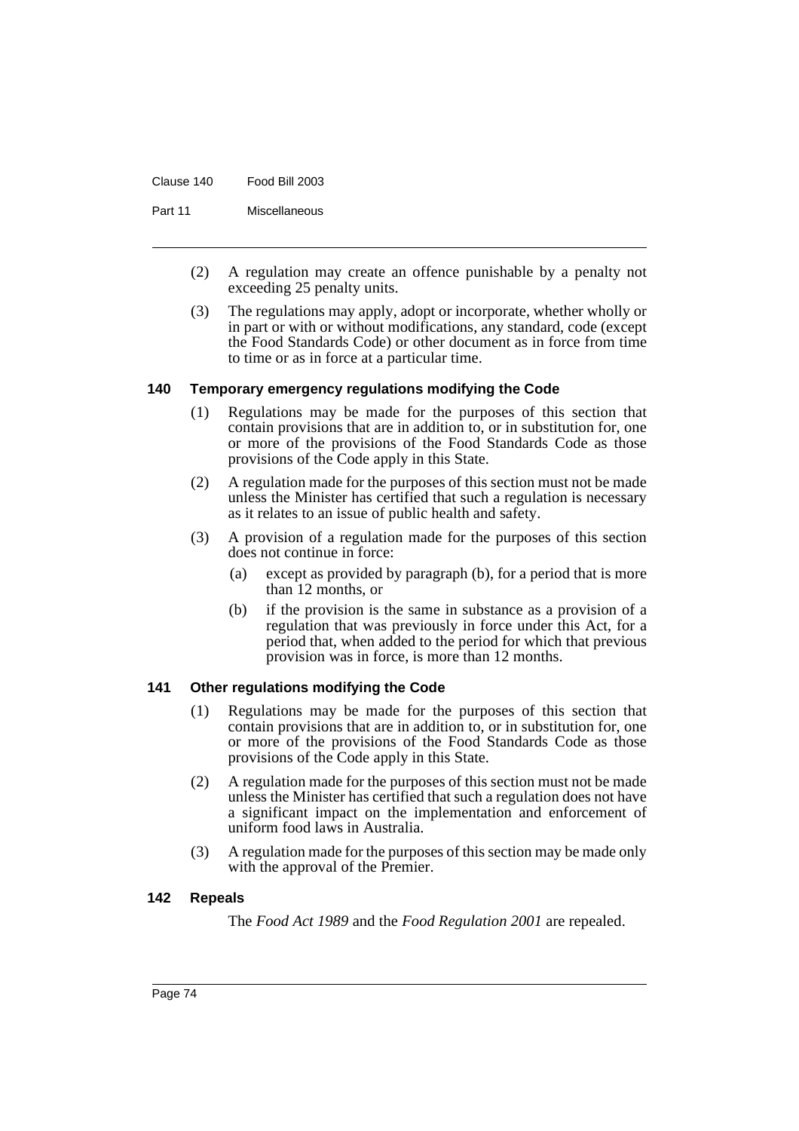Clause 140 Food Bill 2003

Part 11 Miscellaneous

- (2) A regulation may create an offence punishable by a penalty not exceeding 25 penalty units.
- (3) The regulations may apply, adopt or incorporate, whether wholly or in part or with or without modifications, any standard, code (except the Food Standards Code) or other document as in force from time to time or as in force at a particular time.

### **140 Temporary emergency regulations modifying the Code**

- (1) Regulations may be made for the purposes of this section that contain provisions that are in addition to, or in substitution for, one or more of the provisions of the Food Standards Code as those provisions of the Code apply in this State.
- (2) A regulation made for the purposes of this section must not be made unless the Minister has certified that such a regulation is necessary as it relates to an issue of public health and safety.
- (3) A provision of a regulation made for the purposes of this section does not continue in force:
	- (a) except as provided by paragraph (b), for a period that is more than 12 months, or
	- (b) if the provision is the same in substance as a provision of a regulation that was previously in force under this Act, for a period that, when added to the period for which that previous provision was in force, is more than 12 months.

### **141 Other regulations modifying the Code**

- (1) Regulations may be made for the purposes of this section that contain provisions that are in addition to, or in substitution for, one or more of the provisions of the Food Standards Code as those provisions of the Code apply in this State.
- (2) A regulation made for the purposes of this section must not be made unless the Minister has certified that such a regulation does not have a significant impact on the implementation and enforcement of uniform food laws in Australia.
- (3) A regulation made for the purposes of this section may be made only with the approval of the Premier.

### **142 Repeals**

The *Food Act 1989* and the *Food Regulation 2001* are repealed.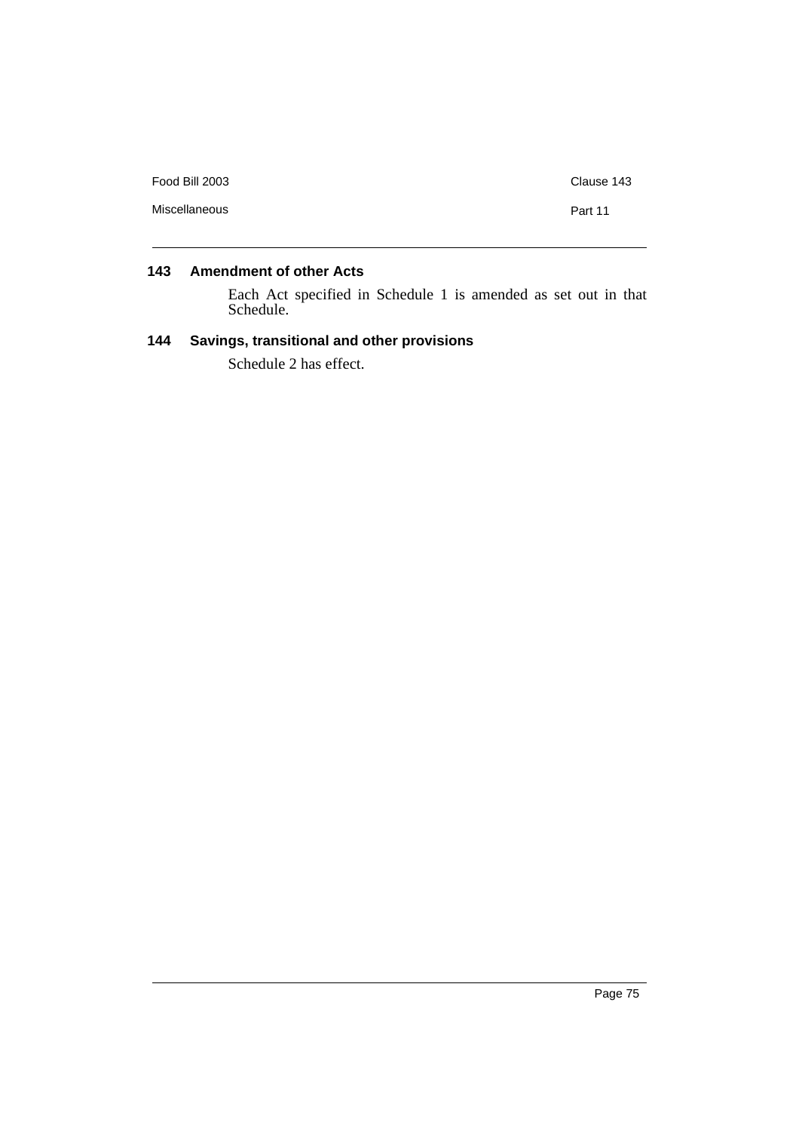| Food Bill 2003 | Clause 143 |
|----------------|------------|
| Miscellaneous  | Part 11    |
|                |            |

# **143 Amendment of other Acts**

Each Act specified in Schedule 1 is amended as set out in that Schedule.

### **144 Savings, transitional and other provisions**

Schedule 2 has effect.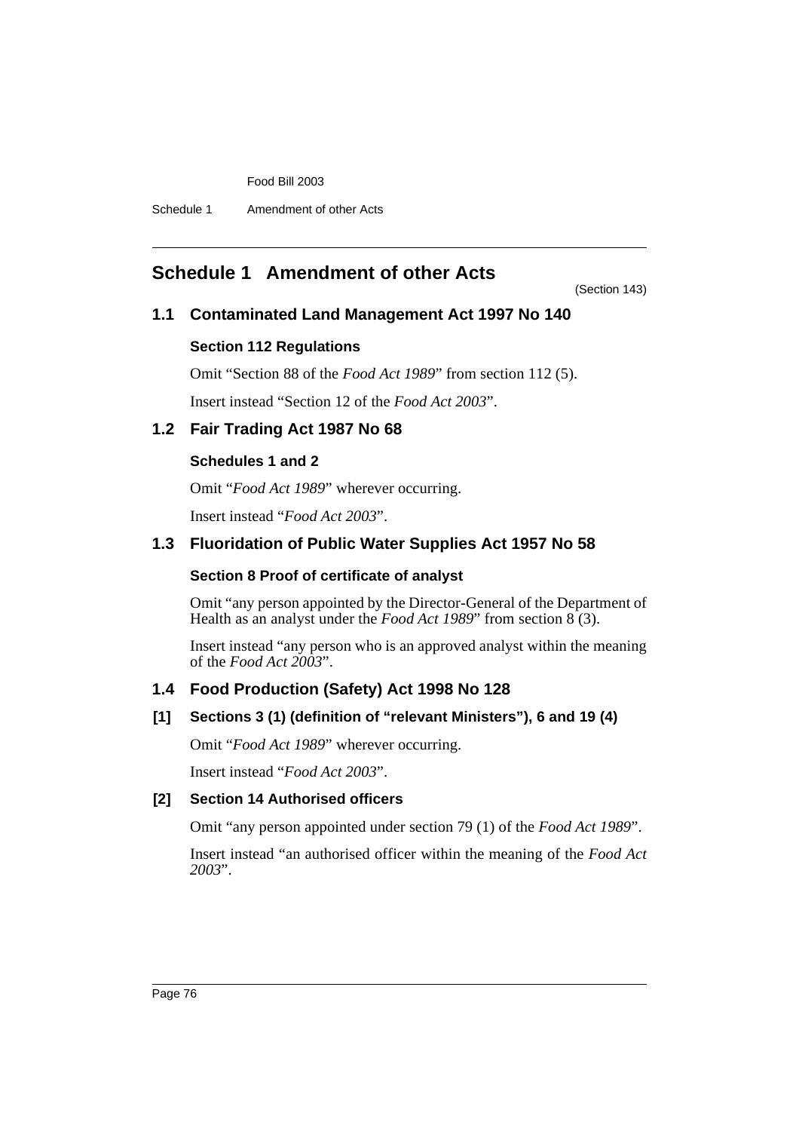Food Bill 2003

Schedule 1 Amendment of other Acts

# **Schedule 1 Amendment of other Acts**

(Section 143)

# **1.1 Contaminated Land Management Act 1997 No 140**

### **Section 112 Regulations**

Omit "Section 88 of the *Food Act 1989*" from section 112 (5).

Insert instead "Section 12 of the *Food Act 2003*".

### **1.2 Fair Trading Act 1987 No 68**

### **Schedules 1 and 2**

Omit "*Food Act 1989*" wherever occurring.

Insert instead "*Food Act 2003*".

# **1.3 Fluoridation of Public Water Supplies Act 1957 No 58**

### **Section 8 Proof of certificate of analyst**

Omit "any person appointed by the Director-General of the Department of Health as an analyst under the *Food Act 1989*" from section 8 (3).

Insert instead "any person who is an approved analyst within the meaning of the *Food Act 2003*".

# **1.4 Food Production (Safety) Act 1998 No 128**

### **[1] Sections 3 (1) (definition of "relevant Ministers"), 6 and 19 (4)**

Omit "*Food Act 1989*" wherever occurring.

Insert instead "*Food Act 2003*".

### **[2] Section 14 Authorised officers**

Omit "any person appointed under section 79 (1) of the *Food Act 1989*".

Insert instead "an authorised officer within the meaning of the *Food Act 2003*".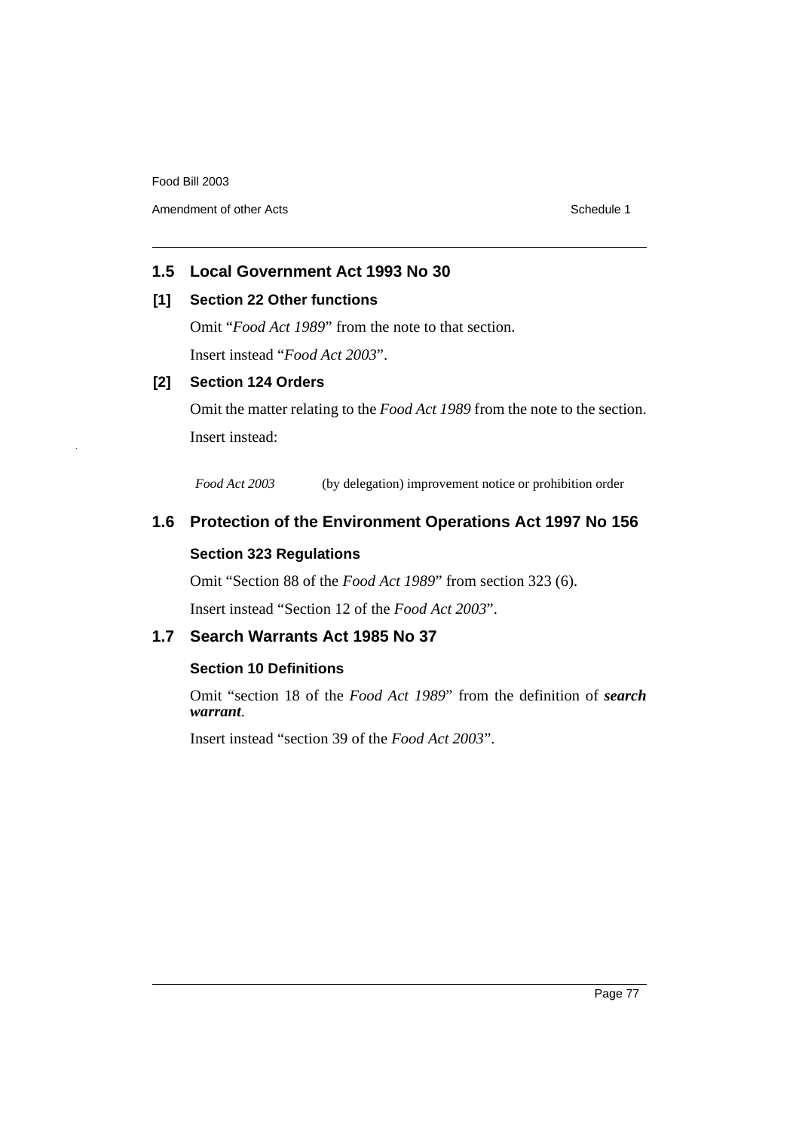Amendment of other Acts **Schedule 1** and the set of other Acts Schedule 1

# **1.5 Local Government Act 1993 No 30**

### **[1] Section 22 Other functions**

Omit "*Food Act 1989*" from the note to that section.

Insert instead "*Food Act 2003*".

### **[2] Section 124 Orders**

Omit the matter relating to the *Food Act 1989* from the note to the section. Insert instead:

*Food Act 2003* (by delegation) improvement notice or prohibition order

# **1.6 Protection of the Environment Operations Act 1997 No 156**

### **Section 323 Regulations**

Omit "Section 88 of the *Food Act 1989*" from section 323 (6).

Insert instead "Section 12 of the *Food Act 2003*".

### **1.7 Search Warrants Act 1985 No 37**

### **Section 10 Definitions**

Omit "section 18 of the *Food Act 1989*" from the definition of *search warrant*.

Insert instead "section 39 of the *Food Act 2003*".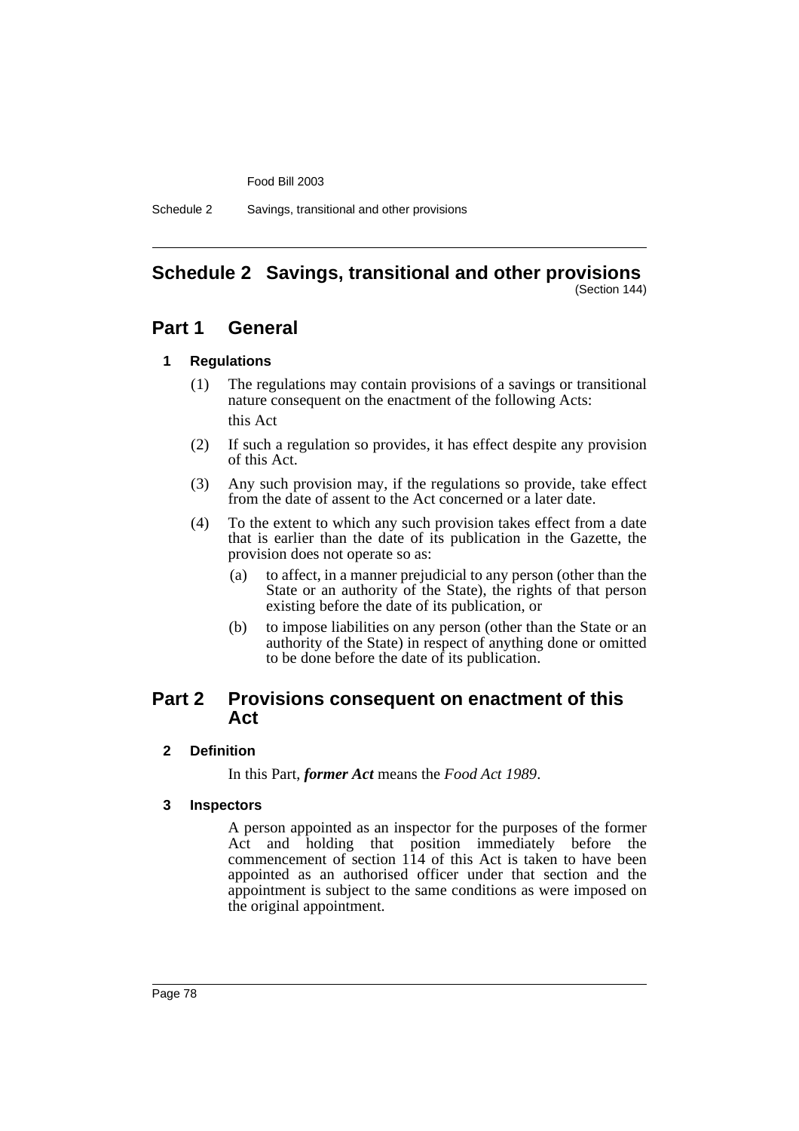Food Bill 2003

Schedule 2 Savings, transitional and other provisions

#### **Schedule 2 Savings, transitional and other provisions** (Section 144)

# **Part 1 General**

### **1 Regulations**

- (1) The regulations may contain provisions of a savings or transitional nature consequent on the enactment of the following Acts: this Act
- (2) If such a regulation so provides, it has effect despite any provision of this Act.
- (3) Any such provision may, if the regulations so provide, take effect from the date of assent to the Act concerned or a later date.
- (4) To the extent to which any such provision takes effect from a date that is earlier than the date of its publication in the Gazette, the provision does not operate so as:
	- (a) to affect, in a manner prejudicial to any person (other than the State or an authority of the State), the rights of that person existing before the date of its publication, or
	- (b) to impose liabilities on any person (other than the State or an authority of the State) in respect of anything done or omitted to be done before the date of its publication.

# **Part 2 Provisions consequent on enactment of this Act**

**2 Definition**

In this Part, *former Act* means the *Food Act 1989*.

### **3 Inspectors**

A person appointed as an inspector for the purposes of the former Act and holding that position immediately before the commencement of section 114 of this Act is taken to have been appointed as an authorised officer under that section and the appointment is subject to the same conditions as were imposed on the original appointment.